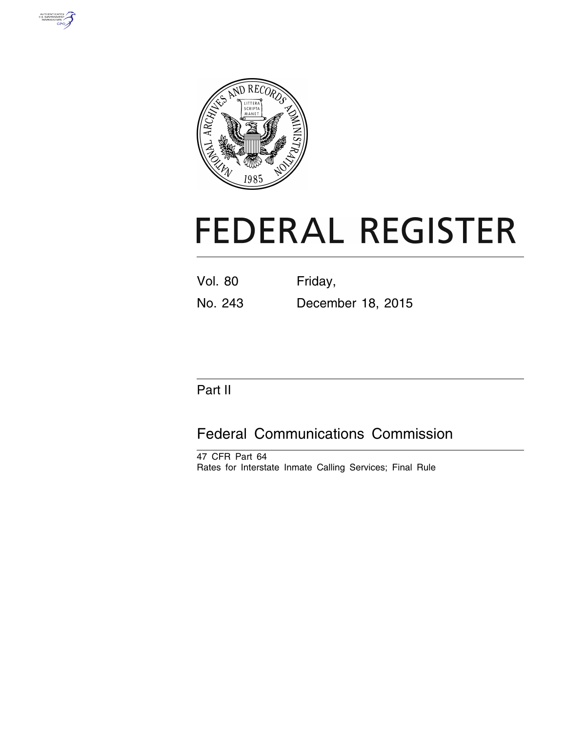



# **FEDERAL REGISTER**

| Vol. 80 | Friday, |  |
|---------|---------|--|
|         |         |  |

No. 243 December 18, 2015

# Part II

# Federal Communications Commission

47 CFR Part 64 Rates for Interstate Inmate Calling Services; Final Rule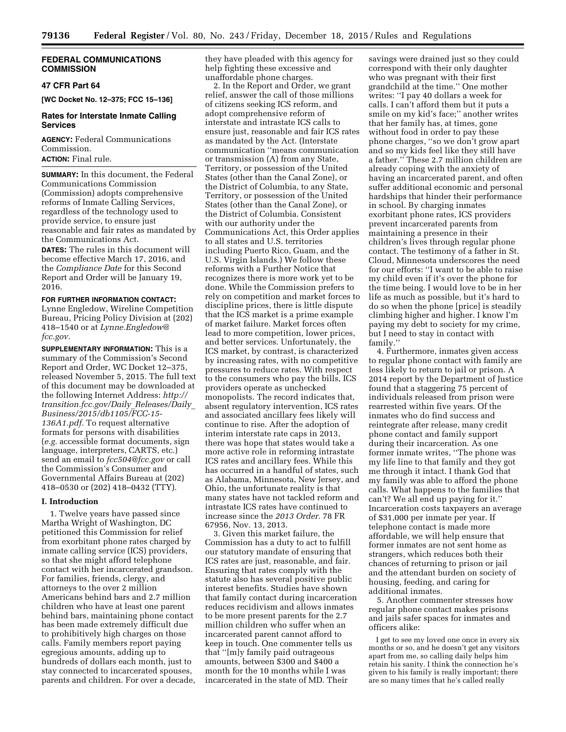# **FEDERAL COMMUNICATIONS COMMISSION**

# **47 CFR Part 64**

**[WC Docket No. 12–375; FCC 15–136]** 

# **Rates for Interstate Inmate Calling Services**

**AGENCY:** Federal Communications Commission.

**ACTION:** Final rule.

**SUMMARY:** In this document, the Federal Communications Commission (Commission) adopts comprehensive reforms of Inmate Calling Services, regardless of the technology used to provide service, to ensure just reasonable and fair rates as mandated by the Communications Act.

**DATES:** The rules in this document will become effective March 17, 2016, and the *Compliance Date* for this Second Report and Order will be January 19, 2016.

#### **FOR FURTHER INFORMATION CONTACT:**

Lynne Engledow, Wireline Competition Bureau, Pricing Policy Division at (202) 418–1540 or at *[Lynne.Engledow@](mailto:Lynne.Engledow@fcc.gov) [fcc.gov.](mailto:Lynne.Engledow@fcc.gov)* 

**SUPPLEMENTARY INFORMATION:** This is a summary of the Commission's Second Report and Order, WC Docket 12–375, released November 5, 2015. The full text of this document may be downloaded at the following Internet Address: *[http://](http://transition.fcc.gov/Daily_Releases/Daily_Business/2015/db1105/FCC-15-136A1.pdf) [transition.fcc.gov/Daily](http://transition.fcc.gov/Daily_Releases/Daily_Business/2015/db1105/FCC-15-136A1.pdf)*\_*Releases/Daily*\_ *[Business/2015/db1105/FCC-15-](http://transition.fcc.gov/Daily_Releases/Daily_Business/2015/db1105/FCC-15-136A1.pdf)  [136A1.pdf.](http://transition.fcc.gov/Daily_Releases/Daily_Business/2015/db1105/FCC-15-136A1.pdf)* To request alternative formats for persons with disabilities (*e.g.* accessible format documents, sign language, interpreters, CARTS, etc.) send an email to *[fcc504@fcc.gov](mailto:fcc504@fcc.gov)* or call the Commission's Consumer and Governmental Affairs Bureau at (202) 418–0530 or (202) 418–0432 (TTY).

#### **I. Introduction**

1. Twelve years have passed since Martha Wright of Washington, DC petitioned this Commission for relief from exorbitant phone rates charged by inmate calling service (ICS) providers, so that she might afford telephone contact with her incarcerated grandson. For families, friends, clergy, and attorneys to the over 2 million Americans behind bars and 2.7 million children who have at least one parent behind bars, maintaining phone contact has been made extremely difficult due to prohibitively high charges on those calls. Family members report paying egregious amounts, adding up to hundreds of dollars each month, just to stay connected to incarcerated spouses, parents and children. For over a decade, they have pleaded with this agency for help fighting these excessive and unaffordable phone charges.

2. In the Report and Order, we grant relief, answer the call of those millions of citizens seeking ICS reform, and adopt comprehensive reform of interstate and intrastate ICS calls to ensure just, reasonable and fair ICS rates as mandated by the Act. (Interstate communication ''means communication or transmission (A) from any State, Territory, or possession of the United States (other than the Canal Zone), or the District of Columbia, to any State, Territory, or possession of the United States (other than the Canal Zone), or the District of Columbia. Consistent with our authority under the Communications Act, this Order applies to all states and U.S. territories including Puerto Rico, Guam, and the U.S. Virgin Islands.) We follow these reforms with a Further Notice that recognizes there is more work yet to be done. While the Commission prefers to rely on competition and market forces to discipline prices, there is little dispute that the ICS market is a prime example of market failure. Market forces often lead to more competition, lower prices, and better services. Unfortunately, the ICS market, by contrast, is characterized by increasing rates, with no competitive pressures to reduce rates. With respect to the consumers who pay the bills, ICS providers operate as unchecked monopolists. The record indicates that, absent regulatory intervention, ICS rates and associated ancillary fees likely will continue to rise. After the adoption of interim interstate rate caps in 2013, there was hope that states would take a more active role in reforming intrastate ICS rates and ancillary fees. While this has occurred in a handful of states, such as Alabama, Minnesota, New Jersey, and Ohio, the unfortunate reality is that many states have not tackled reform and intrastate ICS rates have continued to increase since the *2013 Order.* 78 FR 67956, Nov. 13, 2013.

3. Given this market failure, the Commission has a duty to act to fulfill our statutory mandate of ensuring that ICS rates are just, reasonable, and fair. Ensuring that rates comply with the statute also has several positive public interest benefits. Studies have shown that family contact during incarceration reduces recidivism and allows inmates to be more present parents for the 2.7 million children who suffer when an incarcerated parent cannot afford to keep in touch. One commenter tells us that ''[m]y family paid outrageous amounts, between \$300 and \$400 a month for the 10 months while I was incarcerated in the state of MD. Their

savings were drained just so they could correspond with their only daughter who was pregnant with their first grandchild at the time.'' One mother writes: ''I pay 40 dollars a week for calls. I can't afford them but it puts a smile on my kid's face;'' another writes that her family has, at times, gone without food in order to pay these phone charges, ''so we don't grow apart and so my kids feel like they still have a father.'' These 2.7 million children are already coping with the anxiety of having an incarcerated parent, and often suffer additional economic and personal hardships that hinder their performance in school. By charging inmates exorbitant phone rates, ICS providers prevent incarcerated parents from maintaining a presence in their children's lives through regular phone contact. The testimony of a father in St. Cloud, Minnesota underscores the need for our efforts: ''I want to be able to raise my child even if it's over the phone for the time being. I would love to be in her life as much as possible, but it's hard to do so when the phone [price] is steadily climbing higher and higher. I know I'm paying my debt to society for my crime, but I need to stay in contact with family.''

4. Furthermore, inmates given access to regular phone contact with family are less likely to return to jail or prison. A 2014 report by the Department of Justice found that a staggering 75 percent of individuals released from prison were rearrested within five years. Of the inmates who do find success and reintegrate after release, many credit phone contact and family support during their incarceration. As one former inmate writes, ''The phone was my life line to that family and they got me through it intact. I thank God that my family was able to afford the phone calls. What happens to the families that can't? We all end up paying for it.'' Incarceration costs taxpayers an average of \$31,000 per inmate per year. If telephone contact is made more affordable, we will help ensure that former inmates are not sent home as strangers, which reduces both their chances of returning to prison or jail and the attendant burden on society of housing, feeding, and caring for additional inmates.

5. Another commenter stresses how regular phone contact makes prisons and jails safer spaces for inmates and officers alike:

I get to see my loved one once in every six months or so, and he doesn't get any visitors apart from me, so calling daily helps him retain his sanity. I think the connection he's given to his family is really important; there are so many times that he's called really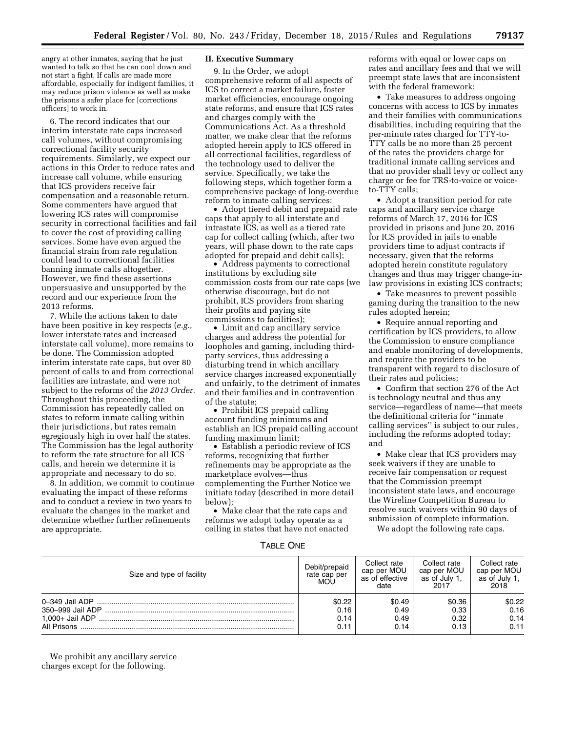angry at other inmates, saying that he just wanted to talk so that he can cool down and not start a fight. If calls are made more affordable, especially for indigent families, it may reduce prison violence as well as make the prisons a safer place for [corrections officers] to work in.

6. The record indicates that our interim interstate rate caps increased call volumes, without compromising correctional facility security requirements. Similarly, we expect our actions in this Order to reduce rates and increase call volume, while ensuring that ICS providers receive fair compensation and a reasonable return. Some commenters have argued that lowering ICS rates will compromise security in correctional facilities and fail to cover the cost of providing calling services. Some have even argued the financial strain from rate regulation could lead to correctional facilities banning inmate calls altogether. However, we find these assertions unpersuasive and unsupported by the record and our experience from the 2013 reforms.

7. While the actions taken to date have been positive in key respects (*e.g.,*  lower interstate rates and increased interstate call volume), more remains to be done. The Commission adopted interim interstate rate caps, but over 80 percent of calls to and from correctional facilities are intrastate, and were not subject to the reforms of the *2013 Order.*  Throughout this proceeding, the Commission has repeatedly called on states to reform inmate calling within their jurisdictions, but rates remain egregiously high in over half the states. The Commission has the legal authority to reform the rate structure for all ICS calls, and herein we determine it is appropriate and necessary to do so.

8. In addition, we commit to continue evaluating the impact of these reforms and to conduct a review in two years to evaluate the changes in the market and determine whether further refinements are appropriate.

# **II. Executive Summary**

9. In the Order, we adopt comprehensive reform of all aspects of ICS to correct a market failure, foster market efficiencies, encourage ongoing state reforms, and ensure that ICS rates and charges comply with the Communications Act. As a threshold matter, we make clear that the reforms adopted herein apply to ICS offered in all correctional facilities, regardless of the technology used to deliver the service. Specifically, we take the following steps, which together form a comprehensive package of long-overdue reform to inmate calling services:

• Adopt tiered debit and prepaid rate caps that apply to all interstate and intrastate ICS, as well as a tiered rate cap for collect calling (which, after two years, will phase down to the rate caps adopted for prepaid and debit calls);

• Address payments to correctional institutions by excluding site commission costs from our rate caps (we otherwise discourage, but do not prohibit, ICS providers from sharing their profits and paying site commissions to facilities);

• Limit and cap ancillary service charges and address the potential for loopholes and gaming, including thirdparty services, thus addressing a disturbing trend in which ancillary service charges increased exponentially and unfairly, to the detriment of inmates and their families and in contravention of the statute;

• Prohibit ICS prepaid calling account funding minimums and establish an ICS prepaid calling account funding maximum limit;

• Establish a periodic review of ICS reforms, recognizing that further refinements may be appropriate as the marketplace evolves—thus complementing the Further Notice we initiate today (described in more detail below);

• Make clear that the rate caps and reforms we adopt today operate as a ceiling in states that have not enacted reforms with equal or lower caps on rates and ancillary fees and that we will preempt state laws that are inconsistent with the federal framework;

• Take measures to address ongoing concerns with access to ICS by inmates and their families with communications disabilities, including requiring that the per-minute rates charged for TTY-to-TTY calls be no more than 25 percent of the rates the providers charge for traditional inmate calling services and that no provider shall levy or collect any charge or fee for TRS-to-voice or voiceto-TTY calls;

• Adopt a transition period for rate caps and ancillary service charge reforms of March 17, 2016 for ICS provided in prisons and June 20, 2016 for ICS provided in jails to enable providers time to adjust contracts if necessary, given that the reforms adopted herein constitute regulatory changes and thus may trigger change-inlaw provisions in existing ICS contracts;

• Take measures to prevent possible gaming during the transition to the new rules adopted herein;

• Require annual reporting and certification by ICS providers, to allow the Commission to ensure compliance and enable monitoring of developments, and require the providers to be transparent with regard to disclosure of their rates and policies;

• Confirm that section 276 of the Act is technology neutral and thus any service—regardless of name—that meets the definitional criteria for ''inmate calling services'' is subject to our rules, including the reforms adopted today; and

• Make clear that ICS providers may seek waivers if they are unable to receive fair compensation or request that the Commission preempt inconsistent state laws, and encourage the Wireline Competition Bureau to resolve such waivers within 90 days of submission of complete information.

We adopt the following rate caps.

| ONF)<br>I ABI FI |
|------------------|
|------------------|

| Size and type of facility     | Debit/prepaid<br>rate cap per<br><b>MOU</b> | Collect rate<br>cap per MOU<br>as of effective<br>date | Collect rate<br>cap per MOU<br>as of July 1.<br>2017 | Collect rate<br>cap per MOU<br>as of July 1.<br>2018 |
|-------------------------------|---------------------------------------------|--------------------------------------------------------|------------------------------------------------------|------------------------------------------------------|
| 0–349 Jail ADP<br>All Prisons | \$0.22<br>0.16<br>0.14<br>0.11              | \$0.49<br>0.49<br>0.49<br>0.14                         | \$0.36<br>0.33<br>0.32<br>0.13                       | \$0.22<br>0.16<br>0.14<br>0.11                       |

We prohibit any ancillary service charges except for the following.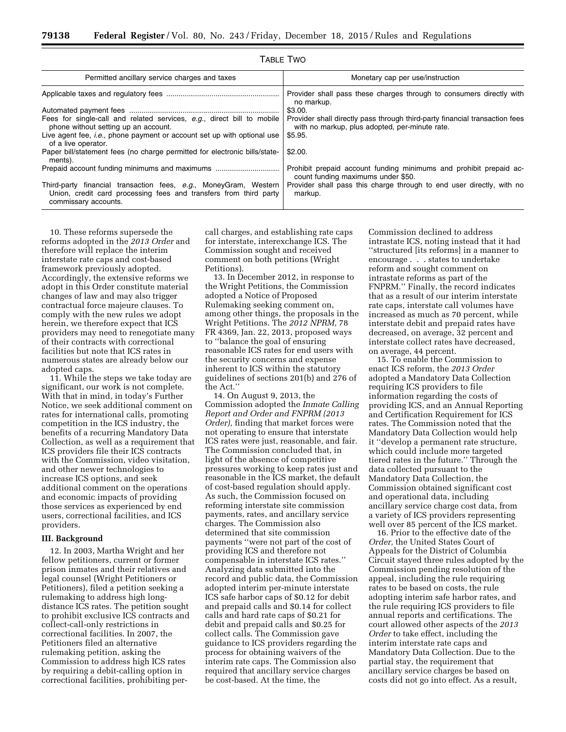| Permitted ancillary service charges and taxes                                                                                                                 | Monetary cap per use/instruction                                                                                              |  |  |  |
|---------------------------------------------------------------------------------------------------------------------------------------------------------------|-------------------------------------------------------------------------------------------------------------------------------|--|--|--|
|                                                                                                                                                               | Provider shall pass these charges through to consumers directly with<br>no markup.                                            |  |  |  |
|                                                                                                                                                               | \$3.00.                                                                                                                       |  |  |  |
| Fees for single-call and related services, e.g., direct bill to mobile<br>phone without setting up an account.                                                | Provider shall directly pass through third-party financial transaction fees<br>with no markup, plus adopted, per-minute rate. |  |  |  |
| Live agent fee, <i>i.e.</i> , phone payment or account set up with optional use<br>of a live operator.                                                        | \$5.95.                                                                                                                       |  |  |  |
| Paper bill/statement fees (no charge permitted for electronic bills/state-<br>ments).                                                                         | \$2.00.                                                                                                                       |  |  |  |
|                                                                                                                                                               | Prohibit prepaid account funding minimums and prohibit prepaid ac-<br>count funding maximums under \$50.                      |  |  |  |
| Third-party financial transaction fees, e.g., MoneyGram, Western<br>Union, credit card processing fees and transfers from third party<br>commissary accounts. | Provider shall pass this charge through to end user directly, with no<br>markup.                                              |  |  |  |

TABLE TWO

10. These reforms supersede the reforms adopted in the *2013 Order* and therefore will replace the interim interstate rate caps and cost-based framework previously adopted. Accordingly, the extensive reforms we adopt in this Order constitute material changes of law and may also trigger contractual force majeure clauses. To comply with the new rules we adopt herein, we therefore expect that ICS providers may need to renegotiate many of their contracts with correctional facilities but note that ICS rates in numerous states are already below our adopted caps.

11. While the steps we take today are significant, our work is not complete. With that in mind, in today's Further Notice, we seek additional comment on rates for international calls, promoting competition in the ICS industry, the benefits of a recurring Mandatory Data Collection, as well as a requirement that ICS providers file their ICS contracts with the Commission, video visitation, and other newer technologies to increase ICS options, and seek additional comment on the operations and economic impacts of providing those services as experienced by end users, correctional facilities, and ICS providers.

#### **III. Background**

12. In 2003, Martha Wright and her fellow petitioners, current or former prison inmates and their relatives and legal counsel (Wright Petitioners or Petitioners), filed a petition seeking a rulemaking to address high longdistance ICS rates. The petition sought to prohibit exclusive ICS contracts and collect-call-only restrictions in correctional facilities. In 2007, the Petitioners filed an alternative rulemaking petition, asking the Commission to address high ICS rates by requiring a debit-calling option in correctional facilities, prohibiting percall charges, and establishing rate caps for interstate, interexchange ICS. The Commission sought and received comment on both petitions (Wright Petitions).

13. In December 2012, in response to the Wright Petitions, the Commission adopted a Notice of Proposed Rulemaking seeking comment on, among other things, the proposals in the Wright Petitions. The *2012 NPRM,* 78 FR 4369, Jan. 22, 2013, proposed ways to ''balance the goal of ensuring reasonable ICS rates for end users with the security concerns and expense inherent to ICS within the statutory guidelines of sections 201(b) and 276 of the Act.''

14. On August 9, 2013, the Commission adopted the *Inmate Calling Report and Order and FNPRM (2013 Order),* finding that market forces were not operating to ensure that interstate ICS rates were just, reasonable, and fair. The Commission concluded that, in light of the absence of competitive pressures working to keep rates just and reasonable in the ICS market, the default of cost-based regulation should apply. As such, the Commission focused on reforming interstate site commission payments, rates, and ancillary service charges. The Commission also determined that site commission payments ''were not part of the cost of providing ICS and therefore not compensable in interstate ICS rates.'' Analyzing data submitted into the record and public data, the Commission adopted interim per-minute interstate ICS safe harbor caps of \$0.12 for debit and prepaid calls and \$0.14 for collect calls and hard rate caps of \$0.21 for debit and prepaid calls and \$0.25 for collect calls. The Commission gave guidance to ICS providers regarding the process for obtaining waivers of the interim rate caps. The Commission also required that ancillary service charges be cost-based. At the time, the

Commission declined to address intrastate ICS, noting instead that it had ''structured [its reforms] in a manner to encourage . . . states to undertake reform and sought comment on intrastate reforms as part of the FNPRM.'' Finally, the record indicates that as a result of our interim interstate rate caps, interstate call volumes have increased as much as 70 percent, while interstate debit and prepaid rates have decreased, on average, 32 percent and interstate collect rates have decreased, on average, 44 percent.

15. To enable the Commission to enact ICS reform, the *2013 Order*  adopted a Mandatory Data Collection requiring ICS providers to file information regarding the costs of providing ICS, and an Annual Reporting and Certification Requirement for ICS rates. The Commission noted that the Mandatory Data Collection would help it ''develop a permanent rate structure, which could include more targeted tiered rates in the future.'' Through the data collected pursuant to the Mandatory Data Collection, the Commission obtained significant cost and operational data, including ancillary service charge cost data, from a variety of ICS providers representing well over 85 percent of the ICS market.

16. Prior to the effective date of the *Order,* the United States Court of Appeals for the District of Columbia Circuit stayed three rules adopted by the Commission pending resolution of the appeal, including the rule requiring rates to be based on costs, the rule adopting interim safe harbor rates, and the rule requiring ICS providers to file annual reports and certifications. The court allowed other aspects of the *2013 Order* to take effect, including the interim interstate rate caps and Mandatory Data Collection. Due to the partial stay, the requirement that ancillary service charges be based on costs did not go into effect. As a result,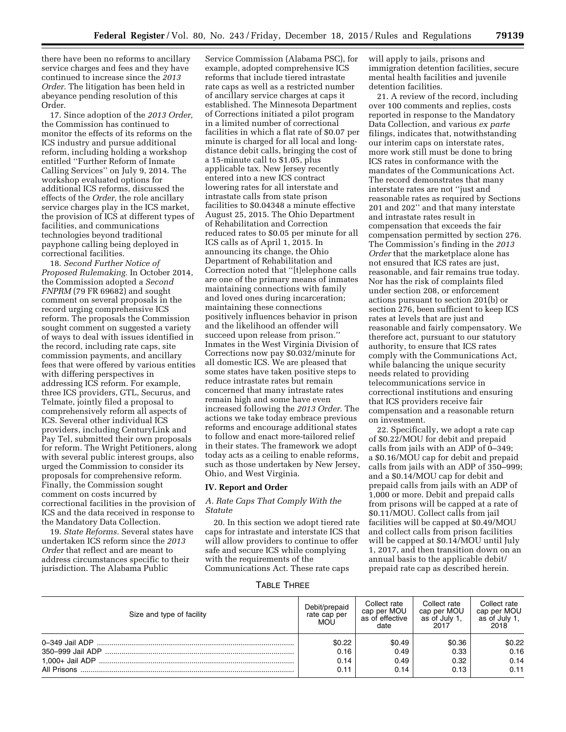there have been no reforms to ancillary service charges and fees and they have continued to increase since the *2013 Order.* The litigation has been held in abeyance pending resolution of this Order.

17. Since adoption of the *2013 Order,*  the Commission has continued to monitor the effects of its reforms on the ICS industry and pursue additional reform, including holding a workshop entitled ''Further Reform of Inmate Calling Services'' on July 9, 2014. The workshop evaluated options for additional ICS reforms, discussed the effects of the *Order,* the role ancillary service charges play in the ICS market, the provision of ICS at different types of facilities, and communications technologies beyond traditional payphone calling being deployed in correctional facilities.

18. *Second Further Notice of Proposed Rulemaking.* In October 2014, the Commission adopted a *Second FNPRM* (79 FR 69682) and sought comment on several proposals in the record urging comprehensive ICS reform. The proposals the Commission sought comment on suggested a variety of ways to deal with issues identified in the record, including rate caps, site commission payments, and ancillary fees that were offered by various entities with differing perspectives in addressing ICS reform. For example, three ICS providers, GTL, Securus, and Telmate, jointly filed a proposal to comprehensively reform all aspects of ICS. Several other individual ICS providers, including CenturyLink and Pay Tel, submitted their own proposals for reform. The Wright Petitioners, along with several public interest groups, also urged the Commission to consider its proposals for comprehensive reform. Finally, the Commission sought comment on costs incurred by correctional facilities in the provision of ICS and the data received in response to the Mandatory Data Collection.

19. *State Reforms.* Several states have undertaken ICS reform since the *2013 Order* that reflect and are meant to address circumstances specific to their jurisdiction. The Alabama Public

Service Commission (Alabama PSC), for example, adopted comprehensive ICS reforms that include tiered intrastate rate caps as well as a restricted number of ancillary service charges at caps it established. The Minnesota Department of Corrections initiated a pilot program in a limited number of correctional facilities in which a flat rate of \$0.07 per minute is charged for all local and longdistance debit calls, bringing the cost of a 15-minute call to \$1.05, plus applicable tax. New Jersey recently entered into a new ICS contract lowering rates for all interstate and intrastate calls from state prison facilities to \$0.04348 a minute effective August 25, 2015. The Ohio Department of Rehabilitation and Correction reduced rates to \$0.05 per minute for all ICS calls as of April 1, 2015. In announcing its change, the Ohio Department of Rehabilitation and Correction noted that ''[t]elephone calls are one of the primary means of inmates maintaining connections with family and loved ones during incarceration; maintaining these connections positively influences behavior in prison and the likelihood an offender will succeed upon release from prison.'' Inmates in the West Virginia Division of Corrections now pay \$0.032/minute for all domestic ICS. We are pleased that some states have taken positive steps to reduce intrastate rates but remain concerned that many intrastate rates remain high and some have even increased following the *2013 Order.* The actions we take today embrace previous reforms and encourage additional states to follow and enact more-tailored relief in their states. The framework we adopt today acts as a ceiling to enable reforms, such as those undertaken by New Jersey, Ohio, and West Virginia.

#### **IV. Report and Order**

# *A. Rate Caps That Comply With the Statute*

20. In this section we adopt tiered rate caps for intrastate and interstate ICS that will allow providers to continue to offer safe and secure ICS while complying with the requirements of the Communications Act. These rate caps

will apply to jails, prisons and immigration detention facilities, secure mental health facilities and juvenile detention facilities.

21. A review of the record, including over 100 comments and replies, costs reported in response to the Mandatory Data Collection, and various *ex parte*  filings, indicates that, notwithstanding our interim caps on interstate rates, more work still must be done to bring ICS rates in conformance with the mandates of the Communications Act. The record demonstrates that many interstate rates are not ''just and reasonable rates as required by Sections 201 and 202'' and that many interstate and intrastate rates result in compensation that exceeds the fair compensation permitted by section 276. The Commission's finding in the *2013 Order* that the marketplace alone has not ensured that ICS rates are just, reasonable, and fair remains true today. Nor has the risk of complaints filed under section 208, or enforcement actions pursuant to section 201(b) or section 276, been sufficient to keep ICS rates at levels that are just and reasonable and fairly compensatory. We therefore act, pursuant to our statutory authority, to ensure that ICS rates comply with the Communications Act, while balancing the unique security needs related to providing telecommunications service in correctional institutions and ensuring that ICS providers receive fair compensation and a reasonable return on investment.

22. Specifically, we adopt a rate cap of \$0.22/MOU for debit and prepaid calls from jails with an ADP of 0–349; a \$0.16/MOU cap for debit and prepaid calls from jails with an ADP of 350–999; and a \$0.14/MOU cap for debit and prepaid calls from jails with an ADP of 1,000 or more. Debit and prepaid calls from prisons will be capped at a rate of \$0.11/MOU. Collect calls from jail facilities will be capped at \$0.49/MOU and collect calls from prison facilities will be capped at \$0.14/MOU until July 1, 2017, and then transition down on an annual basis to the applicable debit/ prepaid rate cap as described herein.

TABLE THREE

| Size and type of facility       | Debit/prepaid<br>rate cap per<br>MOU | Collect rate<br>cap per MOU<br>as of effective<br>date | Collect rate<br>cap per MOU<br>as of July 1,<br>2017 | Collect rate<br>cap per MOU<br>as of July 1.<br>2018 |
|---------------------------------|--------------------------------------|--------------------------------------------------------|------------------------------------------------------|------------------------------------------------------|
| 350–999 Jail ADP<br>All Prisons | \$0.22<br>0.16<br>0.14<br>0.11       | \$0.49<br>0.49<br>0.49<br>0.14                         | \$0.36<br>0.33<br>0.32<br>0.13                       | \$0.22<br>0.16<br>0.14<br>0.11                       |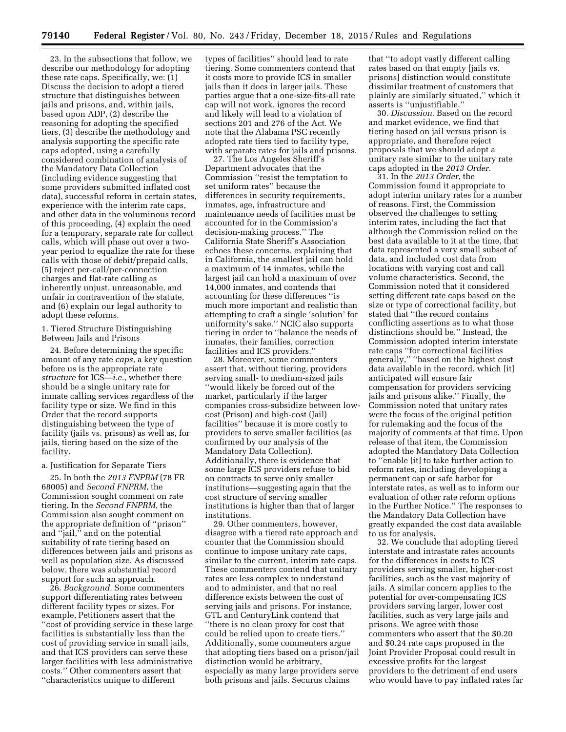23. In the subsections that follow, we describe our methodology for adopting these rate caps. Specifically, we: (1) Discuss the decision to adopt a tiered structure that distinguishes between jails and prisons, and, within jails, based upon ADP, (2) describe the reasoning for adopting the specified tiers, (3) describe the methodology and analysis supporting the specific rate caps adopted, using a carefully considered combination of analysis of the Mandatory Data Collection (including evidence suggesting that some providers submitted inflated cost data), successful reform in certain states, experience with the interim rate caps, and other data in the voluminous record of this proceeding, (4) explain the need for a temporary, separate rate for collect calls, which will phase out over a twoyear period to equalize the rate for these calls with those of debit/prepaid calls, (5) reject per-call/per-connection charges and flat-rate calling as inherently unjust, unreasonable, and unfair in contravention of the statute, and (6) explain our legal authority to adopt these reforms.

1. Tiered Structure Distinguishing Between Jails and Prisons

24. Before determining the specific amount of any rate *caps*, a key question before us is the appropriate rate *structure* for ICS—*i.e.*, whether there should be a single unitary rate for inmate calling services regardless of the facility type or size. We find in this Order that the record supports distinguishing between the type of facility (jails vs. prisons) as well as, for jails, tiering based on the size of the facility.

#### a. Justification for Separate Tiers

25. In both the *2013 FNPRM* (78 FR 68005) and *Second FNPRM*, the Commission sought comment on rate tiering. In the *Second FNPRM*, the Commission also sought comment on the appropriate definition of ''prison'' and ''jail,'' and on the potential suitability of rate tiering based on differences between jails and prisons as well as population size. As discussed below, there was substantial record support for such an approach.

26. *Background.* Some commenters support differentiating rates between different facility types or sizes. For example, Petitioners assert that the ''cost of providing service in these large facilities is substantially less than the cost of providing service in small jails, and that ICS providers can serve these larger facilities with less administrative costs.'' Other commenters assert that ''characteristics unique to different

types of facilities'' should lead to rate tiering. Some commenters contend that it costs more to provide ICS in smaller jails than it does in larger jails. These parties argue that a one-size-fits-all rate cap will not work, ignores the record and likely will lead to a violation of sections 201 and 276 of the Act. We note that the Alabama PSC recently adopted rate tiers tied to facility type, with separate rates for jails and prisons.

27. The Los Angeles Sheriff's Department advocates that the Commission ''resist the temptation to set uniform rates'' because the differences in security requirements, inmates, age, infrastructure and maintenance needs of facilities must be accounted for in the Commission's decision-making process.'' The California State Sheriff's Association echoes these concerns, explaining that in California, the smallest jail can hold a maximum of 14 inmates, while the largest jail can hold a maximum of over 14,000 inmates, and contends that accounting for these differences ''is much more important and realistic than attempting to craft a single 'solution' for uniformity's sake.'' NCIC also supports tiering in order to ''balance the needs of inmates, their families, correction facilities and ICS providers.''

28. Moreover, some commenters assert that, without tiering, providers serving small- to medium-sized jails ''would likely be forced out of the market, particularly if the larger companies cross-subsidize between lowcost (Prison) and high-cost (Jail) facilities'' because it is more costly to providers to serve smaller facilities (as confirmed by our analysis of the Mandatory Data Collection). Additionally, there is evidence that some large ICS providers refuse to bid on contracts to serve only smaller institutions—suggesting again that the cost structure of serving smaller institutions is higher than that of larger institutions.

29. Other commenters, however, disagree with a tiered rate approach and counter that the Commission should continue to impose unitary rate caps, similar to the current, interim rate caps. These commenters contend that unitary rates are less complex to understand and to administer, and that no real difference exists between the cost of serving jails and prisons. For instance, GTL and CenturyLink contend that ''there is no clean proxy for cost that could be relied upon to create tiers.'' Additionally, some commenters argue that adopting tiers based on a prison/jail distinction would be arbitrary, especially as many large providers serve both prisons and jails. Securus claims

that ''to adopt vastly different calling rates based on that empty [jails vs. prisons] distinction would constitute dissimilar treatment of customers that plainly are similarly situated,'' which it asserts is ''unjustifiable.''

30. *Discussion.* Based on the record and market evidence, we find that tiering based on jail versus prison is appropriate, and therefore reject proposals that we should adopt a unitary rate similar to the unitary rate caps adopted in the *2013 Order.* 

31. In the *2013 Order*, the Commission found it appropriate to adopt interim unitary rates for a number of reasons. First, the Commission observed the challenges to setting interim rates, including the fact that although the Commission relied on the best data available to it at the time, that data represented a very small subset of data, and included cost data from locations with varying cost and call volume characteristics. Second, the Commission noted that it considered setting different rate caps based on the size or type of correctional facility, but stated that ''the record contains conflicting assertions as to what those distinctions should be.'' Instead, the Commission adopted interim interstate rate caps ''for correctional facilities generally,'' ''based on the highest cost data available in the record, which [it] anticipated will ensure fair compensation for providers servicing jails and prisons alike.'' Finally, the Commission noted that unitary rates were the focus of the original petition for rulemaking and the focus of the majority of comments at that time. Upon release of that item, the Commission adopted the Mandatory Data Collection to ''enable [it] to take further action to reform rates, including developing a permanent cap or safe harbor for interstate rates, as well as to inform our evaluation of other rate reform options in the Further Notice.'' The responses to the Mandatory Data Collection have greatly expanded the cost data available to us for analysis.

32. We conclude that adopting tiered interstate and intrastate rates accounts for the differences in costs to ICS providers serving smaller, higher-cost facilities, such as the vast majority of jails. A similar concern applies to the potential for over-compensating ICS providers serving larger, lower cost facilities, such as very large jails and prisons. We agree with those commenters who assert that the \$0.20 and \$0.24 rate caps proposed in the Joint Provider Proposal could result in excessive profits for the largest providers to the detriment of end users who would have to pay inflated rates far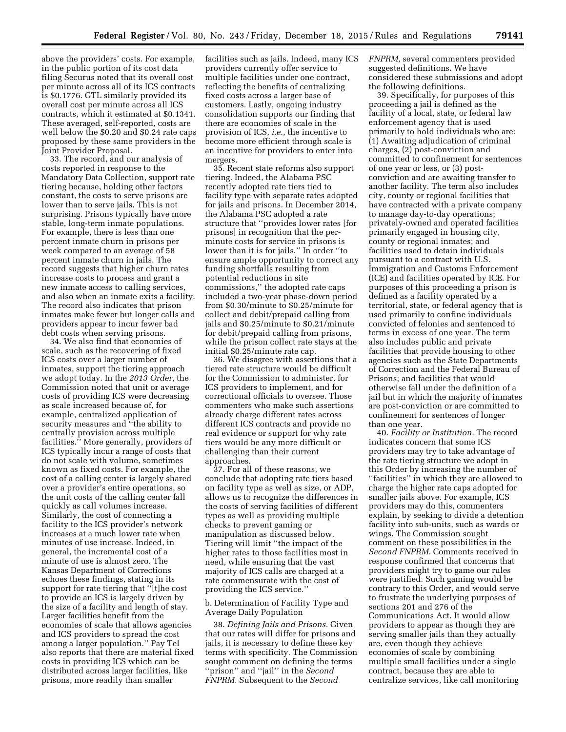above the providers' costs. For example, in the public portion of its cost data filing Securus noted that its overall cost per minute across all of its ICS contracts is \$0.1776. GTL similarly provided its overall cost per minute across all ICS contracts, which it estimated at \$0.1341. These averaged, self-reported, costs are well below the \$0.20 and \$0.24 rate caps proposed by these same providers in the Joint Provider Proposal.

33. The record, and our analysis of costs reported in response to the Mandatory Data Collection, support rate tiering because, holding other factors constant, the costs to serve prisons are lower than to serve jails. This is not surprising. Prisons typically have more stable, long-term inmate populations. For example, there is less than one percent inmate churn in prisons per week compared to an average of 58 percent inmate churn in jails. The record suggests that higher churn rates increase costs to process and grant a new inmate access to calling services, and also when an inmate exits a facility. The record also indicates that prison inmates make fewer but longer calls and providers appear to incur fewer bad debt costs when serving prisons.

34. We also find that economies of scale, such as the recovering of fixed ICS costs over a larger number of inmates, support the tiering approach we adopt today. In the *2013 Order*, the Commission noted that unit or average costs of providing ICS were decreasing as scale increased because of, for example, centralized application of security measures and ''the ability to centrally provision across multiple facilities.'' More generally, providers of ICS typically incur a range of costs that do not scale with volume, sometimes known as fixed costs. For example, the cost of a calling center is largely shared over a provider's entire operations, so the unit costs of the calling center fall quickly as call volumes increase. Similarly, the cost of connecting a facility to the ICS provider's network increases at a much lower rate when minutes of use increase. Indeed, in general, the incremental cost of a minute of use is almost zero. The Kansas Department of Corrections echoes these findings, stating in its support for rate tiering that ''[t]he cost to provide an ICS is largely driven by the size of a facility and length of stay. Larger facilities benefit from the economies of scale that allows agencies and ICS providers to spread the cost among a larger population.'' Pay Tel also reports that there are material fixed costs in providing ICS which can be distributed across larger facilities, like prisons, more readily than smaller

facilities such as jails. Indeed, many ICS providers currently offer service to multiple facilities under one contract, reflecting the benefits of centralizing fixed costs across a larger base of customers. Lastly, ongoing industry consolidation supports our finding that there are economies of scale in the provision of ICS, *i.e.*, the incentive to become more efficient through scale is an incentive for providers to enter into mergers.

35. Recent state reforms also support tiering. Indeed, the Alabama PSC recently adopted rate tiers tied to facility type with separate rates adopted for jails and prisons. In December 2014, the Alabama PSC adopted a rate structure that ''provides lower rates [for prisons] in recognition that the perminute costs for service in prisons is lower than it is for jails.'' In order ''to ensure ample opportunity to correct any funding shortfalls resulting from potential reductions in site commissions,'' the adopted rate caps included a two-year phase-down period from \$0.30/minute to \$0.25/minute for collect and debit/prepaid calling from jails and \$0.25/minute to \$0.21/minute for debit/prepaid calling from prisons, while the prison collect rate stays at the initial \$0.25/minute rate cap.

36. We disagree with assertions that a tiered rate structure would be difficult for the Commission to administer, for ICS providers to implement, and for correctional officials to oversee. Those commenters who make such assertions already charge different rates across different ICS contracts and provide no real evidence or support for why rate tiers would be any more difficult or challenging than their current approaches.

37. For all of these reasons, we conclude that adopting rate tiers based on facility type as well as size, or ADP, allows us to recognize the differences in the costs of serving facilities of different types as well as providing multiple checks to prevent gaming or manipulation as discussed below. Tiering will limit ''the impact of the higher rates to those facilities most in need, while ensuring that the vast majority of ICS calls are charged at a rate commensurate with the cost of providing the ICS service.''

# b. Determination of Facility Type and Average Daily Population

38. *Defining Jails and Prisons.* Given that our rates will differ for prisons and jails, it is necessary to define these key terms with specificity. The Commission sought comment on defining the terms ''prison'' and ''jail'' in the *Second FNPRM.* Subsequent to the *Second* 

*FNPRM,* several commenters provided suggested definitions. We have considered these submissions and adopt the following definitions.

39. Specifically, for purposes of this proceeding a jail is defined as the facility of a local, state, or federal law enforcement agency that is used primarily to hold individuals who are: (1) Awaiting adjudication of criminal charges, (2) post-conviction and committed to confinement for sentences of one year or less, or (3) postconviction and are awaiting transfer to another facility. The term also includes city, county or regional facilities that have contracted with a private company to manage day-to-day operations; privately-owned and operated facilities primarily engaged in housing city, county or regional inmates; and facilities used to detain individuals pursuant to a contract with U.S. Immigration and Customs Enforcement (ICE) and facilities operated by ICE. For purposes of this proceeding a prison is defined as a facility operated by a territorial, state, or federal agency that is used primarily to confine individuals convicted of felonies and sentenced to terms in excess of one year. The term also includes public and private facilities that provide housing to other agencies such as the State Departments of Correction and the Federal Bureau of Prisons; and facilities that would otherwise fall under the definition of a jail but in which the majority of inmates are post-conviction or are committed to confinement for sentences of longer than one year.

40. *Facility or Institution.* The record indicates concern that some ICS providers may try to take advantage of the rate tiering structure we adopt in this Order by increasing the number of ''facilities'' in which they are allowed to charge the higher rate caps adopted for smaller jails above. For example, ICS providers may do this, commenters explain, by seeking to divide a detention facility into sub-units, such as wards or wings. The Commission sought comment on these possibilities in the *Second FNPRM.* Comments received in response confirmed that concerns that providers might try to game our rules were justified. Such gaming would be contrary to this Order, and would serve to frustrate the underlying purposes of sections 201 and 276 of the Communications Act. It would allow providers to appear as though they are serving smaller jails than they actually are, even though they achieve economies of scale by combining multiple small facilities under a single contract, because they are able to centralize services, like call monitoring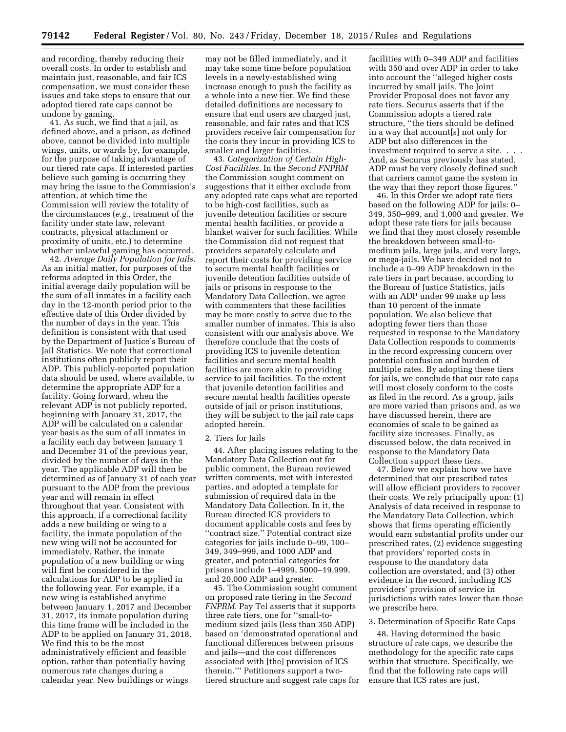and recording, thereby reducing their overall costs. In order to establish and maintain just, reasonable, and fair ICS compensation, we must consider these issues and take steps to ensure that our adopted tiered rate caps cannot be undone by gaming.

41. As such, we find that a jail, as defined above, and a prison, as defined above, cannot be divided into multiple wings, units, or wards by, for example, for the purpose of taking advantage of our tiered rate caps. If interested parties believe such gaming is occurring they may bring the issue to the Commission's attention, at which time the Commission will review the totality of the circumstances (*e.g.,* treatment of the facility under state law, relevant contracts, physical attachment or proximity of units, etc.) to determine whether unlawful gaming has occurred.

42. *Average Daily Population for Jails.*  As an initial matter, for purposes of the reforms adopted in this Order, the initial average daily population will be the sum of all inmates in a facility each day in the 12-month period prior to the effective date of this Order divided by the number of days in the year. This definition is consistent with that used by the Department of Justice's Bureau of Jail Statistics. We note that correctional institutions often publicly report their ADP. This publicly-reported population data should be used, where available, to determine the appropriate ADP for a facility. Going forward, when the relevant ADP is not publicly reported, beginning with January 31, 2017, the ADP will be calculated on a calendar year basis as the sum of all inmates in a facility each day between January 1 and December 31 of the previous year, divided by the number of days in the year. The applicable ADP will then be determined as of January 31 of each year pursuant to the ADP from the previous year and will remain in effect throughout that year. Consistent with this approach, if a correctional facility adds a new building or wing to a facility, the inmate population of the new wing will not be accounted for immediately. Rather, the inmate population of a new building or wing will first be considered in the calculations for ADP to be applied in the following year. For example, if a new wing is established anytime between January 1, 2017 and December 31, 2017, its inmate population during this time frame will be included in the ADP to be applied on January 31, 2018. We find this to be the most administratively efficient and feasible option, rather than potentially having numerous rate changes during a calendar year. New buildings or wings

may not be filled immediately, and it may take some time before population levels in a newly-established wing increase enough to push the facility as a whole into a new tier. We find these detailed definitions are necessary to ensure that end users are charged just, reasonable, and fair rates and that ICS providers receive fair compensation for the costs they incur in providing ICS to smaller and larger facilities.

43. *Categorization of Certain High-Cost Facilities.* In the *Second FNPRM*  the Commission sought comment on suggestions that it either exclude from any adopted rate caps what are reported to be high-cost facilities, such as juvenile detention facilities or secure mental health facilities, or provide a blanket waiver for such facilities. While the Commission did not request that providers separately calculate and report their costs for providing service to secure mental health facilities or juvenile detention facilities outside of jails or prisons in response to the Mandatory Data Collection, we agree with commenters that these facilities may be more costly to serve due to the smaller number of inmates. This is also consistent with our analysis above. We therefore conclude that the costs of providing ICS to juvenile detention facilities and secure mental health facilities are more akin to providing service to jail facilities. To the extent that juvenile detention facilities and secure mental health facilities operate outside of jail or prison institutions, they will be subject to the jail rate caps adopted herein.

#### 2. Tiers for Jails

44. After placing issues relating to the Mandatory Data Collection out for public comment, the Bureau reviewed written comments, met with interested parties, and adopted a template for submission of required data in the Mandatory Data Collection. In it, the Bureau directed ICS providers to document applicable costs and fees by ''contract size.'' Potential contract size categories for jails include 0–99, 100– 349, 349–999, and 1000 ADP and greater, and potential categories for prisons include 1–4999, 5000–19,999, and 20,000 ADP and greater.

45. The Commission sought comment on proposed rate tiering in the *Second FNPRM.* Pay Tel asserts that it supports three rate tiers, one for ''small-tomedium sized jails (less than 350 ADP) based on 'demonstrated operational and functional differences between prisons and jails—and the cost differences associated with [the] provision of ICS therein.''' Petitioners support a twotiered structure and suggest rate caps for

facilities with 0–349 ADP and facilities with 350 and over ADP in order to take into account the ''alleged higher costs incurred by small jails. The Joint Provider Proposal does not favor any rate tiers. Securus asserts that if the Commission adopts a tiered rate structure, ''the tiers should be defined in a way that account[s] not only for ADP but also differences in the investment required to serve a site. . . . And, as Securus previously has stated, ADP must be very closely defined such that carriers cannot game the system in the way that they report those figures.''

46. In this Order we adopt rate tiers based on the following ADP for jails: 0– 349, 350–999, and 1,000 and greater. We adopt these rate tiers for jails because we find that they most closely resemble the breakdown between small-tomedium jails, large jails, and very large, or mega-jails. We have decided not to include a 0–99 ADP breakdown in the rate tiers in part because, according to the Bureau of Justice Statistics, jails with an ADP under 99 make up less than 10 percent of the inmate population. We also believe that adopting fewer tiers than those requested in response to the Mandatory Data Collection responds to comments in the record expressing concern over potential confusion and burden of multiple rates. By adopting these tiers for jails, we conclude that our rate caps will most closely conform to the costs as filed in the record. As a group, jails are more varied than prisons and, as we have discussed herein, there are economies of scale to be gained as facility size increases. Finally, as discussed below, the data received in response to the Mandatory Data Collection support these tiers.

47. Below we explain how we have determined that our prescribed rates will allow efficient providers to recover their costs. We rely principally upon: (1) Analysis of data received in response to the Mandatory Data Collection, which shows that firms operating efficiently would earn substantial profits under our prescribed rates, (2) evidence suggesting that providers' reported costs in response to the mandatory data collection are overstated, and (3) other evidence in the record, including ICS providers' provision of service in jurisdictions with rates lower than those we prescribe here.

## 3. Determination of Specific Rate Caps

48. Having determined the basic structure of rate caps, we describe the methodology for the specific rate caps within that structure. Specifically, we find that the following rate caps will ensure that ICS rates are just,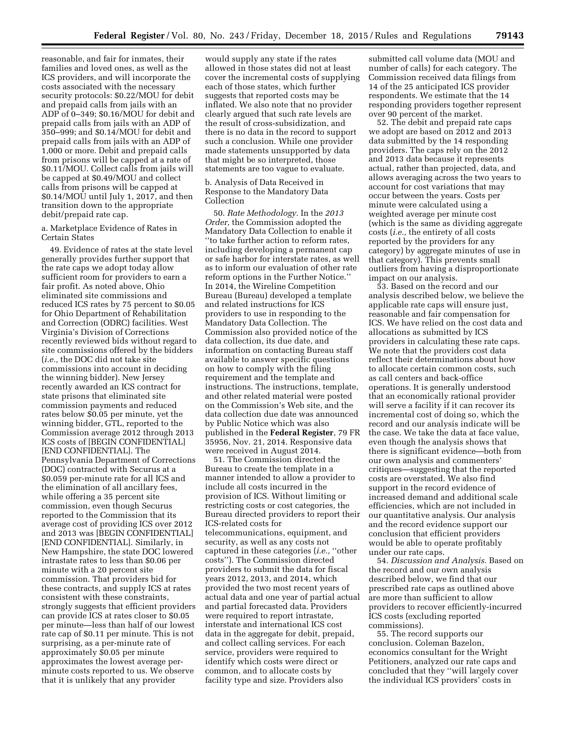reasonable, and fair for inmates, their families and loved ones, as well as the ICS providers, and will incorporate the costs associated with the necessary security protocols: \$0.22/MOU for debit and prepaid calls from jails with an ADP of 0–349; \$0.16/MOU for debit and prepaid calls from jails with an ADP of 350–999; and \$0.14/MOU for debit and prepaid calls from jails with an ADP of 1,000 or more. Debit and prepaid calls from prisons will be capped at a rate of \$0.11/MOU. Collect calls from jails will be capped at \$0.49/MOU and collect calls from prisons will be capped at \$0.14/MOU until July 1, 2017, and then transition down to the appropriate debit/prepaid rate cap.

a. Marketplace Evidence of Rates in Certain States

49. Evidence of rates at the state level generally provides further support that the rate caps we adopt today allow sufficient room for providers to earn a fair profit. As noted above, Ohio eliminated site commissions and reduced ICS rates by 75 percent to \$0.05 for Ohio Department of Rehabilitation and Correction (ODRC) facilities. West Virginia's Division of Corrections recently reviewed bids without regard to site commissions offered by the bidders (*i.e.,* the DOC did not take site commissions into account in deciding the winning bidder). New Jersey recently awarded an ICS contract for state prisons that eliminated site commission payments and reduced rates below \$0.05 per minute, yet the winning bidder, GTL, reported to the Commission average 2012 through 2013 ICS costs of [BEGIN CONFIDENTIAL] [END CONFIDENTIAL]. The Pennsylvania Department of Corrections (DOC) contracted with Securus at a \$0.059 per-minute rate for all ICS and the elimination of all ancillary fees, while offering a 35 percent site commission, even though Securus reported to the Commission that its average cost of providing ICS over 2012 and 2013 was [BEGIN CONFIDENTIAL] [END CONFIDENTIAL]. Similarly, in New Hampshire, the state DOC lowered intrastate rates to less than \$0.06 per minute with a 20 percent site commission. That providers bid for these contracts, and supply ICS at rates consistent with these constraints, strongly suggests that efficient providers can provide ICS at rates closer to \$0.05 per minute—less than half of our lowest rate cap of \$0.11 per minute. This is not surprising, as a per-minute rate of approximately \$0.05 per minute approximates the lowest average perminute costs reported to us. We observe that it is unlikely that any provider

would supply any state if the rates allowed in those states did not at least cover the incremental costs of supplying each of those states, which further suggests that reported costs may be inflated. We also note that no provider clearly argued that such rate levels are the result of cross-subsidization, and there is no data in the record to support such a conclusion. While one provider made statements unsupported by data that might be so interpreted, those statements are too vague to evaluate.

b. Analysis of Data Received in Response to the Mandatory Data Collection

50. *Rate Methodology.* In the *2013 Order,* the Commission adopted the Mandatory Data Collection to enable it ''to take further action to reform rates, including developing a permanent cap or safe harbor for interstate rates, as well as to inform our evaluation of other rate reform options in the Further Notice.'' In 2014, the Wireline Competition Bureau (Bureau) developed a template and related instructions for ICS providers to use in responding to the Mandatory Data Collection. The Commission also provided notice of the data collection, its due date, and information on contacting Bureau staff available to answer specific questions on how to comply with the filing requirement and the template and instructions. The instructions, template, and other related material were posted on the Commission's Web site, and the data collection due date was announced by Public Notice which was also published in the **Federal Register**, 79 FR 35956, Nov. 21, 2014. Responsive data were received in August 2014.

51. The Commission directed the Bureau to create the template in a manner intended to allow a provider to include all costs incurred in the provision of ICS. Without limiting or restricting costs or cost categories, the Bureau directed providers to report their ICS-related costs for telecommunications, equipment, and security, as well as any costs not captured in these categories (*i.e.,* ''other costs''). The Commission directed providers to submit the data for fiscal years 2012, 2013, and 2014, which provided the two most recent years of actual data and one year of partial actual and partial forecasted data. Providers were required to report intrastate, interstate and international ICS cost data in the aggregate for debit, prepaid, and collect calling services. For each service, providers were required to identify which costs were direct or common, and to allocate costs by facility type and size. Providers also

submitted call volume data (MOU and number of calls) for each category. The Commission received data filings from 14 of the 25 anticipated ICS provider respondents. We estimate that the 14 responding providers together represent over 90 percent of the market.

52. The debit and prepaid rate caps we adopt are based on 2012 and 2013 data submitted by the 14 responding providers. The caps rely on the 2012 and 2013 data because it represents actual, rather than projected, data, and allows averaging across the two years to account for cost variations that may occur between the years. Costs per minute were calculated using a weighted average per minute cost (which is the same as dividing aggregate costs (*i.e.,* the entirety of all costs reported by the providers for any category) by aggregate minutes of use in that category). This prevents small outliers from having a disproportionate impact on our analysis.

53. Based on the record and our analysis described below, we believe the applicable rate caps will ensure just, reasonable and fair compensation for ICS. We have relied on the cost data and allocations as submitted by ICS providers in calculating these rate caps. We note that the providers cost data reflect their determinations about how to allocate certain common costs, such as call centers and back-office operations. It is generally understood that an economically rational provider will serve a facility if it can recover its incremental cost of doing so, which the record and our analysis indicate will be the case. We take the data at face value, even though the analysis shows that there is significant evidence—both from our own analysis and commenters' critiques—suggesting that the reported costs are overstated. We also find support in the record evidence of increased demand and additional scale efficiencies, which are not included in our quantitative analysis. Our analysis and the record evidence support our conclusion that efficient providers would be able to operate profitably under our rate caps.

54. *Discussion and Analysis.* Based on the record and our own analysis described below, we find that our prescribed rate caps as outlined above are more than sufficient to allow providers to recover efficiently-incurred ICS costs (excluding reported commissions).

55. The record supports our conclusion. Coleman Bazelon, economics consultant for the Wright Petitioners, analyzed our rate caps and concluded that they ''will largely cover the individual ICS providers' costs in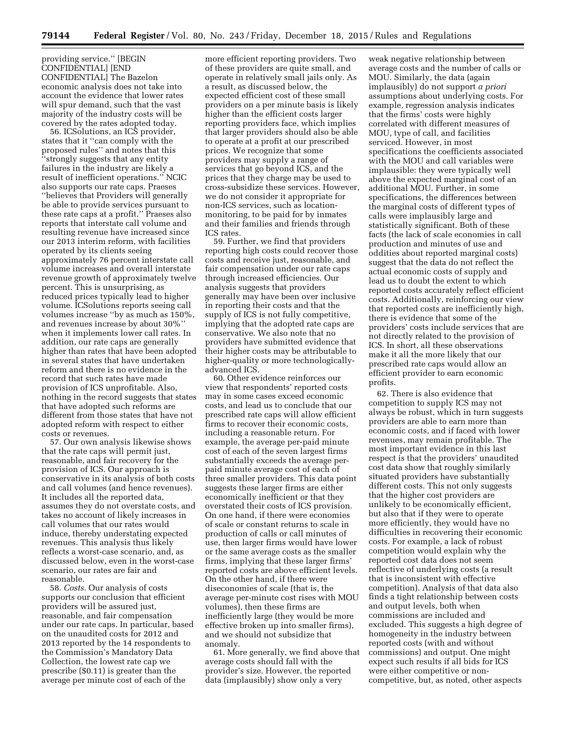providing service.'' [BEGIN CONFIDENTIAL] [END CONFIDENTIAL] The Bazelon economic analysis does not take into account the evidence that lower rates will spur demand, such that the vast majority of the industry costs will be covered by the rates adopted today.

56. ICSolutions, an ICS provider, states that it ''can comply with the proposed rules'' and notes that this ''strongly suggests that any entity failures in the industry are likely a result of inefficient operations.'' NCIC also supports our rate caps. Praeses ''believes that Providers will generally be able to provide services pursuant to these rate caps at a profit.'' Praeses also reports that interstate call volume and resulting revenue have increased since our 2013 interim reform, with facilities operated by its clients seeing approximately 76 percent interstate call volume increases and overall interstate revenue growth of approximately twelve percent. This is unsurprising, as reduced prices typically lead to higher volume. ICSolutions reports seeing call volumes increase ''by as much as 150%, and revenues increase by about 30%'' when it implements lower call rates. In addition, our rate caps are generally higher than rates that have been adopted in several states that have undertaken reform and there is no evidence in the record that such rates have made provision of ICS unprofitable. Also, nothing in the record suggests that states that have adopted such reforms are different from those states that have not adopted reform with respect to either costs or revenues.

57. Our own analysis likewise shows that the rate caps will permit just, reasonable, and fair recovery for the provision of ICS. Our approach is conservative in its analysis of both costs and call volumes (and hence revenues). It includes all the reported data, assumes they do not overstate costs, and takes no account of likely increases in call volumes that our rates would induce, thereby understating expected revenues. This analysis thus likely reflects a worst-case scenario, and, as discussed below, even in the worst-case scenario, our rates are fair and reasonable.

58. *Costs.* Our analysis of costs supports our conclusion that efficient providers will be assured just, reasonable, and fair compensation under our rate caps. In particular, based on the unaudited costs for 2012 and 2013 reported by the 14 respondents to the Commission's Mandatory Data Collection, the lowest rate cap we prescribe (\$0.11) is greater than the average per minute cost of each of the

more efficient reporting providers. Two of these providers are quite small, and operate in relatively small jails only. As a result, as discussed below, the expected efficient cost of these small providers on a per minute basis is likely higher than the efficient costs larger reporting providers face, which implies that larger providers should also be able to operate at a profit at our prescribed prices. We recognize that some providers may supply a range of services that go beyond ICS, and the prices that they charge may be used to cross-subsidize these services. However, we do not consider it appropriate for non-ICS services, such as locationmonitoring, to be paid for by inmates and their families and friends through ICS rates.

59. Further, we find that providers reporting high costs could recover those costs and receive just, reasonable, and fair compensation under our rate caps through increased efficiencies. Our analysis suggests that providers generally may have been over inclusive in reporting their costs and that the supply of ICS is not fully competitive, implying that the adopted rate caps are conservative. We also note that no providers have submitted evidence that their higher costs may be attributable to higher-quality or more technologicallyadvanced ICS.

60. Other evidence reinforces our view that respondents' reported costs may in some cases exceed economic costs, and lead us to conclude that our prescribed rate caps will allow efficient firms to recover their economic costs, including a reasonable return. For example, the average per-paid minute cost of each of the seven largest firms substantially exceeds the average perpaid minute average cost of each of three smaller providers. This data point suggests these larger firms are either economically inefficient or that they overstated their costs of ICS provision. On one hand, if there were economies of scale or constant returns to scale in production of calls or call minutes of use, then larger firms would have lower or the same average costs as the smaller firms, implying that these larger firms' reported costs are above efficient levels. On the other hand, if there were diseconomies of scale (that is, the average per-minute cost rises with MOU volumes), then these firms are inefficiently large (they would be more effective broken up into smaller firms), and we should not subsidize that anomaly.

61. More generally, we find above that average costs should fall with the provider's size. However, the reported data (implausibly) show only a very

weak negative relationship between average costs and the number of calls or MOU. Similarly, the data (again implausibly) do not support *a priori*  assumptions about underlying costs. For example, regression analysis indicates that the firms' costs were highly correlated with different measures of MOU, type of call, and facilities serviced. However, in most specifications the coefficients associated with the MOU and call variables were implausible: they were typically well above the expected marginal cost of an additional MOU. Further, in some specifications, the differences between the marginal costs of different types of calls were implausibly large and statistically significant. Both of these facts (the lack of scale economies in call production and minutes of use and oddities about reported marginal costs) suggest that the data do not reflect the actual economic costs of supply and lead us to doubt the extent to which reported costs accurately reflect efficient costs. Additionally, reinforcing our view that reported costs are inefficiently high, there is evidence that some of the providers' costs include services that are not directly related to the provision of ICS. In short, all these observations make it all the more likely that our prescribed rate caps would allow an efficient provider to earn economic profits.

62. There is also evidence that competition to supply ICS may not always be robust, which in turn suggests providers are able to earn more than economic costs, and if faced with lower revenues, may remain profitable. The most important evidence in this last respect is that the providers' unaudited cost data show that roughly similarly situated providers have substantially different costs. This not only suggests that the higher cost providers are unlikely to be economically efficient, but also that if they were to operate more efficiently, they would have no difficulties in recovering their economic costs. For example, a lack of robust competition would explain why the reported cost data does not seem reflective of underlying costs (a result that is inconsistent with effective competition). Analysis of that data also finds a tight relationship between costs and output levels, both when commissions are included and excluded. This suggests a high degree of homogeneity in the industry between reported costs (with and without commissions) and output. One might expect such results if all bids for ICS were either competitive or noncompetitive, but, as noted, other aspects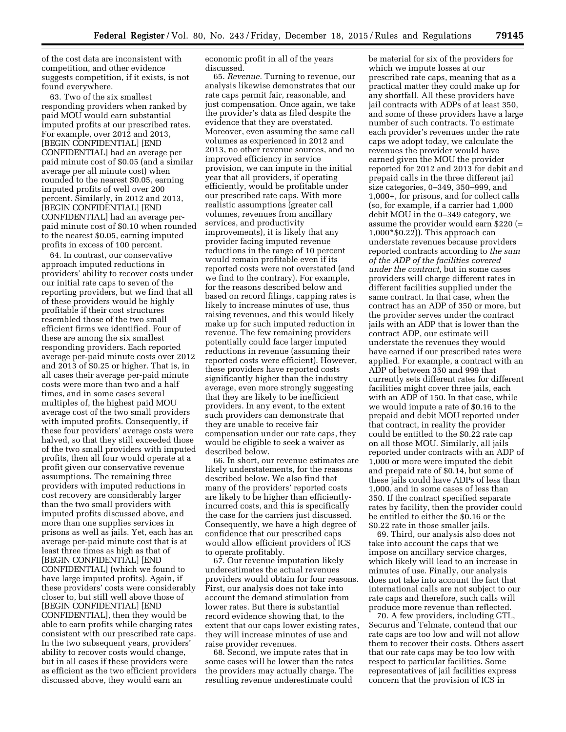of the cost data are inconsistent with competition, and other evidence suggests competition, if it exists, is not found everywhere.

63. Two of the six smallest responding providers when ranked by paid MOU would earn substantial imputed profits at our prescribed rates. For example, over 2012 and 2013, [BEGIN CONFIDENTIAL] [END CONFIDENTIAL] had an average per paid minute cost of \$0.05 (and a similar average per all minute cost) when rounded to the nearest \$0.05, earning imputed profits of well over 200 percent. Similarly, in 2012 and 2013, [BEGIN CONFIDENTIAL] [END CONFIDENTIAL] had an average perpaid minute cost of \$0.10 when rounded to the nearest \$0.05, earning imputed profits in excess of 100 percent.

64. In contrast, our conservative approach imputed reductions in providers' ability to recover costs under our initial rate caps to seven of the reporting providers, but we find that all of these providers would be highly profitable if their cost structures resembled those of the two small efficient firms we identified. Four of these are among the six smallest responding providers. Each reported average per-paid minute costs over 2012 and 2013 of \$0.25 or higher. That is, in all cases their average per-paid minute costs were more than two and a half times, and in some cases several multiples of, the highest paid MOU average cost of the two small providers with imputed profits. Consequently, if these four providers' average costs were halved, so that they still exceeded those of the two small providers with imputed profits, then all four would operate at a profit given our conservative revenue assumptions. The remaining three providers with imputed reductions in cost recovery are considerably larger than the two small providers with imputed profits discussed above, and more than one supplies services in prisons as well as jails. Yet, each has an average per-paid minute cost that is at least three times as high as that of [BEGIN CONFIDENTIAL] [END CONFIDENTIAL] (which we found to have large imputed profits). Again, if these providers' costs were considerably closer to, but still well above those of [BEGIN CONFIDENTIAL] [END CONFIDENTIAL], then they would be able to earn profits while charging rates consistent with our prescribed rate caps. In the two subsequent years, providers' ability to recover costs would change, but in all cases if these providers were as efficient as the two efficient providers discussed above, they would earn an

economic profit in all of the years discussed.

65. *Revenue.* Turning to revenue, our analysis likewise demonstrates that our rate caps permit fair, reasonable, and just compensation. Once again, we take the provider's data as filed despite the evidence that they are overstated. Moreover, even assuming the same call volumes as experienced in 2012 and 2013, no other revenue sources, and no improved efficiency in service provision, we can impute in the initial year that all providers, if operating efficiently, would be profitable under our prescribed rate caps. With more realistic assumptions (greater call volumes, revenues from ancillary services, and productivity improvements), it is likely that any provider facing imputed revenue reductions in the range of 10 percent would remain profitable even if its reported costs were not overstated (and we find to the contrary). For example, for the reasons described below and based on record filings, capping rates is likely to increase minutes of use, thus raising revenues, and this would likely make up for such imputed reduction in revenue. The few remaining providers potentially could face larger imputed reductions in revenue (assuming their reported costs were efficient). However, these providers have reported costs significantly higher than the industry average, even more strongly suggesting that they are likely to be inefficient providers. In any event, to the extent such providers can demonstrate that they are unable to receive fair compensation under our rate caps, they would be eligible to seek a waiver as described below.

66. In short, our revenue estimates are likely understatements, for the reasons described below. We also find that many of the providers' reported costs are likely to be higher than efficientlyincurred costs, and this is specifically the case for the carriers just discussed. Consequently, we have a high degree of confidence that our prescribed caps would allow efficient providers of ICS to operate profitably.

67. Our revenue imputation likely underestimates the actual revenues providers would obtain for four reasons. First, our analysis does not take into account the demand stimulation from lower rates. But there is substantial record evidence showing that, to the extent that our caps lower existing rates, they will increase minutes of use and raise provider revenues.

68. Second, we impute rates that in some cases will be lower than the rates the providers may actually charge. The resulting revenue underestimate could

be material for six of the providers for which we impute losses at our prescribed rate caps, meaning that as a practical matter they could make up for any shortfall. All these providers have jail contracts with ADPs of at least 350, and some of these providers have a large number of such contracts. To estimate each provider's revenues under the rate caps we adopt today, we calculate the revenues the provider would have earned given the MOU the provider reported for 2012 and 2013 for debit and prepaid calls in the three different jail size categories, 0–349, 350–999, and 1,000+, for prisons, and for collect calls (so, for example, if a carrier had 1,000 debit MOU in the 0–349 category, we assume the provider would earn \$220 (= 1,000\*\$0.22)). This approach can understate revenues because providers reported contracts according to *the sum of the ADP of the facilities covered under the contract,* but in some cases providers will charge different rates in different facilities supplied under the same contract. In that case, when the contract has an ADP of 350 or more, but the provider serves under the contract jails with an ADP that is lower than the contract ADP, our estimate will understate the revenues they would have earned if our prescribed rates were applied. For example, a contract with an ADP of between 350 and 999 that currently sets different rates for different facilities might cover three jails, each with an ADP of 150. In that case, while we would impute a rate of \$0.16 to the prepaid and debit MOU reported under that contract, in reality the provider could be entitled to the \$0.22 rate cap on all those MOU. Similarly, all jails reported under contracts with an ADP of 1,000 or more were imputed the debit and prepaid rate of \$0.14, but some of these jails could have ADPs of less than 1,000, and in some cases of less than 350. If the contract specified separate rates by facility, then the provider could be entitled to either the \$0.16 or the \$0.22 rate in those smaller jails.

69. Third, our analysis also does not take into account the caps that we impose on ancillary service charges, which likely will lead to an increase in minutes of use. Finally, our analysis does not take into account the fact that international calls are not subject to our rate caps and therefore, such calls will produce more revenue than reflected.

70. A few providers, including GTL, Securus and Telmate, contend that our rate caps are too low and will not allow them to recover their costs. Others assert that our rate caps may be too low with respect to particular facilities. Some representatives of jail facilities express concern that the provision of ICS in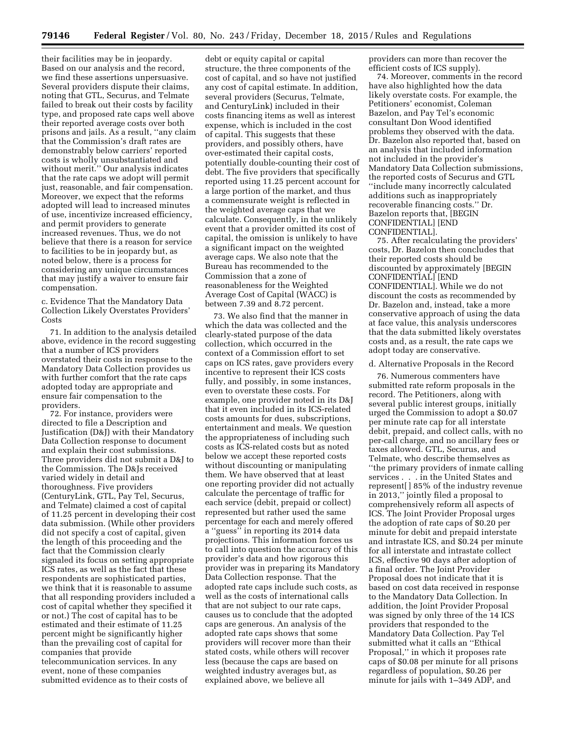their facilities may be in jeopardy. Based on our analysis and the record, we find these assertions unpersuasive. Several providers dispute their claims, noting that GTL, Securus, and Telmate failed to break out their costs by facility type, and proposed rate caps well above their reported average costs over both prisons and jails. As a result, ''any claim that the Commission's draft rates are demonstrably below carriers' reported costs is wholly unsubstantiated and without merit.'' Our analysis indicates that the rate caps we adopt will permit just, reasonable, and fair compensation. Moreover, we expect that the reforms adopted will lead to increased minutes of use, incentivize increased efficiency, and permit providers to generate increased revenues. Thus, we do not believe that there is a reason for service to facilities to be in jeopardy but, as noted below, there is a process for considering any unique circumstances that may justify a waiver to ensure fair compensation.

c. Evidence That the Mandatory Data Collection Likely Overstates Providers' **Costs** 

71. In addition to the analysis detailed above, evidence in the record suggesting that a number of ICS providers overstated their costs in response to the Mandatory Data Collection provides us with further comfort that the rate caps adopted today are appropriate and ensure fair compensation to the providers.

72. For instance, providers were directed to file a Description and Justification (D&J) with their Mandatory Data Collection response to document and explain their cost submissions. Three providers did not submit a D&J to the Commission. The D&Js received varied widely in detail and thoroughness. Five providers (CenturyLink, GTL, Pay Tel, Securus, and Telmate) claimed a cost of capital of 11.25 percent in developing their cost data submission. (While other providers did not specify a cost of capital, given the length of this proceeding and the fact that the Commission clearly signaled its focus on setting appropriate ICS rates, as well as the fact that these respondents are sophisticated parties, we think that it is reasonable to assume that all responding providers included a cost of capital whether they specified it or not.) The cost of capital has to be estimated and their estimate of 11.25 percent might be significantly higher than the prevailing cost of capital for companies that provide telecommunication services. In any event, none of these companies submitted evidence as to their costs of

debt or equity capital or capital structure, the three components of the cost of capital, and so have not justified any cost of capital estimate. In addition, several providers (Securus, Telmate, and CenturyLink) included in their costs financing items as well as interest expense, which is included in the cost of capital. This suggests that these providers, and possibly others, have over-estimated their capital costs, potentially double-counting their cost of debt. The five providers that specifically reported using 11.25 percent account for a large portion of the market, and thus a commensurate weight is reflected in the weighted average caps that we calculate. Consequently, in the unlikely event that a provider omitted its cost of capital, the omission is unlikely to have a significant impact on the weighted average caps. We also note that the Bureau has recommended to the Commission that a zone of reasonableness for the Weighted Average Cost of Capital (WACC) is between 7.39 and 8.72 percent.

73. We also find that the manner in which the data was collected and the clearly-stated purpose of the data collection, which occurred in the context of a Commission effort to set caps on ICS rates, gave providers every incentive to represent their ICS costs fully, and possibly, in some instances, even to overstate these costs. For example, one provider noted in its D&J that it even included in its ICS-related costs amounts for dues, subscriptions, entertainment and meals. We question the appropriateness of including such costs as ICS-related costs but as noted below we accept these reported costs without discounting or manipulating them. We have observed that at least one reporting provider did not actually calculate the percentage of traffic for each service (debit, prepaid or collect) represented but rather used the same percentage for each and merely offered a ''guess'' in reporting its 2014 data projections. This information forces us to call into question the accuracy of this provider's data and how rigorous this provider was in preparing its Mandatory Data Collection response. That the adopted rate caps include such costs, as well as the costs of international calls that are not subject to our rate caps, causes us to conclude that the adopted caps are generous. An analysis of the adopted rate caps shows that some providers will recover more than their stated costs, while others will recover less (because the caps are based on weighted industry averages but, as explained above, we believe all

providers can more than recover the efficient costs of ICS supply).

74. Moreover, comments in the record have also highlighted how the data likely overstate costs. For example, the Petitioners' economist, Coleman Bazelon, and Pay Tel's economic consultant Don Wood identified problems they observed with the data. Dr. Bazelon also reported that, based on an analysis that included information not included in the provider's Mandatory Data Collection submissions, the reported costs of Securus and GTL ''include many incorrectly calculated additions such as inappropriately recoverable financing costs.'' Dr. Bazelon reports that, [BEGIN CONFIDENTIAL] [END CONFIDENTIAL].

75. After recalculating the providers' costs, Dr. Bazelon then concludes that their reported costs should be discounted by approximately [BEGIN CONFIDENTIAL] [END CONFIDENTIAL]. While we do not discount the costs as recommended by Dr. Bazelon and, instead, take a more conservative approach of using the data at face value, this analysis underscores that the data submitted likely overstates costs and, as a result, the rate caps we adopt today are conservative.

# d. Alternative Proposals in the Record

76. Numerous commenters have submitted rate reform proposals in the record. The Petitioners, along with several public interest groups, initially urged the Commission to adopt a \$0.07 per minute rate cap for all interstate debit, prepaid, and collect calls, with no per-call charge, and no ancillary fees or taxes allowed. GTL, Securus, and Telmate, who describe themselves as ''the primary providers of inmate calling services . . . in the United States and represent[ ] 85% of the industry revenue in 2013,'' jointly filed a proposal to comprehensively reform all aspects of ICS. The Joint Provider Proposal urges the adoption of rate caps of \$0.20 per minute for debit and prepaid interstate and intrastate ICS, and \$0.24 per minute for all interstate and intrastate collect ICS, effective 90 days after adoption of a final order. The Joint Provider Proposal does not indicate that it is based on cost data received in response to the Mandatory Data Collection. In addition, the Joint Provider Proposal was signed by only three of the 14 ICS providers that responded to the Mandatory Data Collection. Pay Tel submitted what it calls an ''Ethical Proposal,'' in which it proposes rate caps of \$0.08 per minute for all prisons regardless of population, \$0.26 per minute for jails with 1–349 ADP, and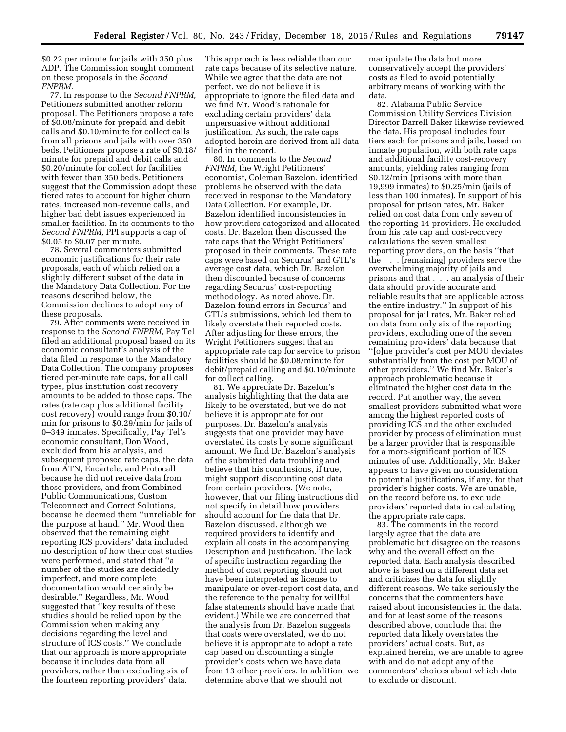\$0.22 per minute for jails with 350 plus ADP. The Commission sought comment on these proposals in the *Second FNPRM.* 

77. In response to the *Second FNPRM,*  Petitioners submitted another reform proposal. The Petitioners propose a rate of \$0.08/minute for prepaid and debit calls and \$0.10/minute for collect calls from all prisons and jails with over 350 beds. Petitioners propose a rate of \$0.18/ minute for prepaid and debit calls and \$0.20/minute for collect for facilities with fewer than 350 beds. Petitioners suggest that the Commission adopt these tiered rates to account for higher churn rates, increased non-revenue calls, and higher bad debt issues experienced in smaller facilities. In its comments to the *Second FNPRM,* PPI supports a cap of \$0.05 to \$0.07 per minute.

78. Several commenters submitted economic justifications for their rate proposals, each of which relied on a slightly different subset of the data in the Mandatory Data Collection. For the reasons described below, the Commission declines to adopt any of these proposals.

79. After comments were received in response to the *Second FNPRM,* Pay Tel filed an additional proposal based on its economic consultant's analysis of the data filed in response to the Mandatory Data Collection. The company proposes tiered per-minute rate caps, for all call types, plus institution cost recovery amounts to be added to those caps. The rates (rate cap plus additional facility cost recovery) would range from \$0.10/ min for prisons to \$0.29/min for jails of 0–349 inmates. Specifically, Pay Tel's economic consultant, Don Wood, excluded from his analysis, and subsequent proposed rate caps, the data from ATN, Encartele, and Protocall because he did not receive data from those providers, and from Combined Public Communications, Custom Teleconnect and Correct Solutions, because he deemed them ''unreliable for the purpose at hand.'' Mr. Wood then observed that the remaining eight reporting ICS providers' data included no description of how their cost studies were performed, and stated that ''a number of the studies are decidedly imperfect, and more complete documentation would certainly be desirable.'' Regardless, Mr. Wood suggested that ''key results of these studies should be relied upon by the Commission when making any decisions regarding the level and structure of ICS costs.'' We conclude that our approach is more appropriate because it includes data from all providers, rather than excluding six of the fourteen reporting providers' data.

This approach is less reliable than our rate caps because of its selective nature. While we agree that the data are not perfect, we do not believe it is appropriate to ignore the filed data and we find Mr. Wood's rationale for excluding certain providers' data unpersuasive without additional justification. As such, the rate caps adopted herein are derived from all data filed in the record.

80. In comments to the *Second FNPRM,* the Wright Petitioners' economist, Coleman Bazelon, identified problems he observed with the data received in response to the Mandatory Data Collection. For example, Dr. Bazelon identified inconsistencies in how providers categorized and allocated costs. Dr. Bazelon then discussed the rate caps that the Wright Petitioners' proposed in their comments. These rate caps were based on Securus' and GTL's average cost data, which Dr. Bazelon then discounted because of concerns regarding Securus' cost-reporting methodology. As noted above, Dr. Bazelon found errors in Securus' and GTL's submissions, which led them to likely overstate their reported costs. After adjusting for these errors, the Wright Petitioners suggest that an appropriate rate cap for service to prison facilities should be \$0.08/minute for debit/prepaid calling and \$0.10/minute for collect calling.

81. We appreciate Dr. Bazelon's analysis highlighting that the data are likely to be overstated, but we do not believe it is appropriate for our purposes. Dr. Bazelon's analysis suggests that one provider may have overstated its costs by some significant amount. We find Dr. Bazelon's analysis of the submitted data troubling and believe that his conclusions, if true, might support discounting cost data from certain providers. (We note, however, that our filing instructions did not specify in detail how providers should account for the data that Dr. Bazelon discussed, although we required providers to identify and explain all costs in the accompanying Description and Justification. The lack of specific instruction regarding the method of cost reporting should not have been interpreted as license to manipulate or over-report cost data, and the reference to the penalty for willful false statements should have made that evident.) While we are concerned that the analysis from Dr. Bazelon suggests that costs were overstated, we do not believe it is appropriate to adopt a rate cap based on discounting a single provider's costs when we have data from 13 other providers. In addition, we determine above that we should not

manipulate the data but more conservatively accept the providers' costs as filed to avoid potentially arbitrary means of working with the data.

82. Alabama Public Service Commission Utility Services Division Director Darrell Baker likewise reviewed the data. His proposal includes four tiers each for prisons and jails, based on inmate population, with both rate caps and additional facility cost-recovery amounts, yielding rates ranging from \$0.12/min (prisons with more than 19,999 inmates) to \$0.25/min (jails of less than 100 inmates). In support of his proposal for prison rates, Mr. Baker relied on cost data from only seven of the reporting 14 providers. He excluded from his rate cap and cost-recovery calculations the seven smallest reporting providers, on the basis ''that the . . . [remaining] providers serve the overwhelming majority of jails and prisons and that . . . an analysis of their data should provide accurate and reliable results that are applicable across the entire industry.'' In support of his proposal for jail rates, Mr. Baker relied on data from only six of the reporting providers, excluding one of the seven remaining providers' data because that ''[o]ne provider's cost per MOU deviates substantially from the cost per MOU of other providers.'' We find Mr. Baker's approach problematic because it eliminated the higher cost data in the

record. Put another way, the seven smallest providers submitted what were among the highest reported costs of providing ICS and the other excluded provider by process of elimination must be a larger provider that is responsible for a more-significant portion of ICS minutes of use. Additionally, Mr. Baker appears to have given no consideration to potential justifications, if any, for that provider's higher costs. We are unable, on the record before us, to exclude providers' reported data in calculating the appropriate rate caps.

83. The comments in the record largely agree that the data are problematic but disagree on the reasons why and the overall effect on the reported data. Each analysis described above is based on a different data set and criticizes the data for slightly different reasons. We take seriously the concerns that the commenters have raised about inconsistencies in the data, and for at least some of the reasons described above, conclude that the reported data likely overstates the providers' actual costs. But, as explained herein, we are unable to agree with and do not adopt any of the commenters' choices about which data to exclude or discount.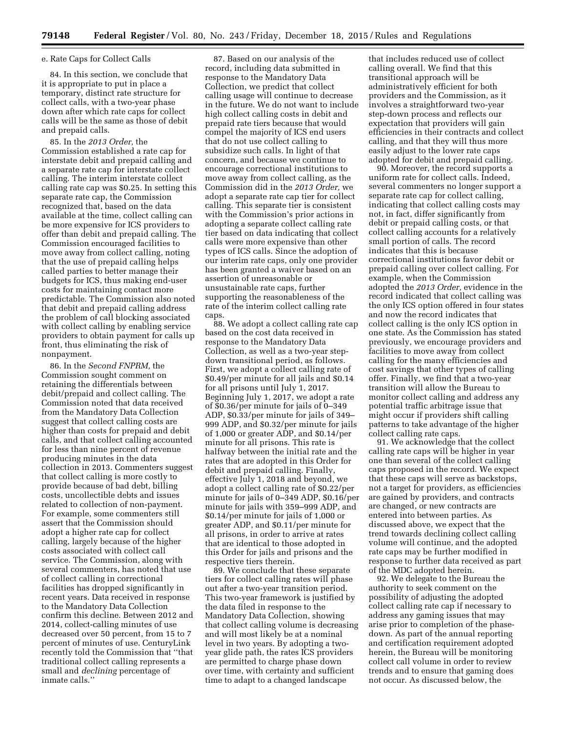#### e. Rate Caps for Collect Calls

84. In this section, we conclude that it is appropriate to put in place a temporary, distinct rate structure for collect calls, with a two-year phase down after which rate caps for collect calls will be the same as those of debit and prepaid calls.

85. In the *2013 Order,* the Commission established a rate cap for interstate debit and prepaid calling and a separate rate cap for interstate collect calling. The interim interstate collect calling rate cap was \$0.25. In setting this separate rate cap, the Commission recognized that, based on the data available at the time, collect calling can be more expensive for ICS providers to offer than debit and prepaid calling. The Commission encouraged facilities to move away from collect calling, noting that the use of prepaid calling helps called parties to better manage their budgets for ICS, thus making end-user costs for maintaining contact more predictable. The Commission also noted that debit and prepaid calling address the problem of call blocking associated with collect calling by enabling service providers to obtain payment for calls up front, thus eliminating the risk of nonpayment.

86. In the *Second FNPRM,* the Commission sought comment on retaining the differentials between debit/prepaid and collect calling. The Commission noted that data received from the Mandatory Data Collection suggest that collect calling costs are higher than costs for prepaid and debit calls, and that collect calling accounted for less than nine percent of revenue producing minutes in the data collection in 2013. Commenters suggest that collect calling is more costly to provide because of bad debt, billing costs, uncollectible debts and issues related to collection of non-payment. For example, some commenters still assert that the Commission should adopt a higher rate cap for collect calling, largely because of the higher costs associated with collect call service. The Commission, along with several commenters, has noted that use of collect calling in correctional facilities has dropped significantly in recent years. Data received in response to the Mandatory Data Collection confirm this decline. Between 2012 and 2014, collect-calling minutes of use decreased over 50 percent, from 15 to 7 percent of minutes of use. CenturyLink recently told the Commission that ''that traditional collect calling represents a small and *declining* percentage of inmate calls.''

87. Based on our analysis of the record, including data submitted in response to the Mandatory Data Collection, we predict that collect calling usage will continue to decrease in the future. We do not want to include high collect calling costs in debit and prepaid rate tiers because that would compel the majority of ICS end users that do not use collect calling to subsidize such calls. In light of that concern, and because we continue to encourage correctional institutions to move away from collect calling, as the Commission did in the *2013 Order,* we adopt a separate rate cap tier for collect calling. This separate tier is consistent with the Commission's prior actions in adopting a separate collect calling rate tier based on data indicating that collect calls were more expensive than other types of ICS calls. Since the adoption of our interim rate caps, only one provider has been granted a waiver based on an assertion of unreasonable or unsustainable rate caps, further supporting the reasonableness of the rate of the interim collect calling rate caps.

88. We adopt a collect calling rate cap based on the cost data received in response to the Mandatory Data Collection, as well as a two-year stepdown transitional period, as follows. First, we adopt a collect calling rate of \$0.49/per minute for all jails and \$0.14 for all prisons until July 1, 2017. Beginning July 1, 2017, we adopt a rate of \$0.36/per minute for jails of 0–349 ADP, \$0.33/per minute for jails of 349– 999 ADP, and \$0.32/per minute for jails of 1,000 or greater ADP, and \$0.14/per minute for all prisons. This rate is halfway between the initial rate and the rates that are adopted in this Order for debit and prepaid calling. Finally, effective July 1, 2018 and beyond, we adopt a collect calling rate of \$0.22/per minute for jails of 0–349 ADP, \$0.16/per minute for jails with 359–999 ADP, and \$0.14/per minute for jails of 1,000 or greater ADP, and \$0.11/per minute for all prisons, in order to arrive at rates that are identical to those adopted in this Order for jails and prisons and the respective tiers therein.

89. We conclude that these separate tiers for collect calling rates will phase out after a two-year transition period. This two-year framework is justified by the data filed in response to the Mandatory Data Collection, showing that collect calling volume is decreasing and will most likely be at a nominal level in two years. By adopting a twoyear glide path, the rates ICS providers are permitted to charge phase down over time, with certainty and sufficient time to adapt to a changed landscape

that includes reduced use of collect calling overall. We find that this transitional approach will be administratively efficient for both providers and the Commission, as it involves a straightforward two-year step-down process and reflects our expectation that providers will gain efficiencies in their contracts and collect calling, and that they will thus more easily adjust to the lower rate caps adopted for debit and prepaid calling.

90. Moreover, the record supports a uniform rate for collect calls. Indeed, several commenters no longer support a separate rate cap for collect calling, indicating that collect calling costs may not, in fact, differ significantly from debit or prepaid calling costs, or that collect calling accounts for a relatively small portion of calls. The record indicates that this is because correctional institutions favor debit or prepaid calling over collect calling. For example, when the Commission adopted the *2013 Order,* evidence in the record indicated that collect calling was the only ICS option offered in four states and now the record indicates that collect calling is the only ICS option in one state. As the Commission has stated previously, we encourage providers and facilities to move away from collect calling for the many efficiencies and cost savings that other types of calling offer. Finally, we find that a two-year transition will allow the Bureau to monitor collect calling and address any potential traffic arbitrage issue that might occur if providers shift calling patterns to take advantage of the higher collect calling rate caps.

91. We acknowledge that the collect calling rate caps will be higher in year one than several of the collect calling caps proposed in the record. We expect that these caps will serve as backstops, not a target for providers, as efficiencies are gained by providers, and contracts are changed, or new contracts are entered into between parties. As discussed above, we expect that the trend towards declining collect calling volume will continue, and the adopted rate caps may be further modified in response to further data received as part of the MDC adopted herein.

92. We delegate to the Bureau the authority to seek comment on the possibility of adjusting the adopted collect calling rate cap if necessary to address any gaming issues that may arise prior to completion of the phasedown. As part of the annual reporting and certification requirement adopted herein, the Bureau will be monitoring collect call volume in order to review trends and to ensure that gaming does not occur. As discussed below, the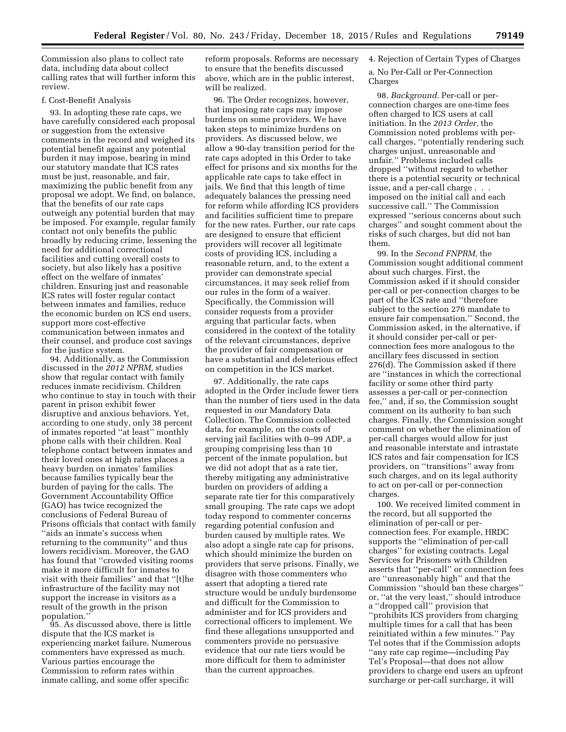Commission also plans to collect rate data, including data about collect calling rates that will further inform this review.

### f. Cost-Benefit Analysis

93. In adopting these rate caps, we have carefully considered each proposal or suggestion from the extensive comments in the record and weighed its potential benefit against any potential burden it may impose, bearing in mind our statutory mandate that ICS rates must be just, reasonable, and fair, maximizing the public benefit from any proposal we adopt. We find, on balance, that the benefits of our rate caps outweigh any potential burden that may be imposed. For example, regular family contact not only benefits the public broadly by reducing crime, lessening the need for additional correctional facilities and cutting overall costs to society, but also likely has a positive effect on the welfare of inmates' children. Ensuring just and reasonable ICS rates will foster regular contact between inmates and families, reduce the economic burden on ICS end users, support more cost-effective communication between inmates and their counsel, and produce cost savings for the justice system.

94. Additionally, as the Commission discussed in the *2012 NPRM,* studies show that regular contact with family reduces inmate recidivism. Children who continue to stay in touch with their parent in prison exhibit fewer disruptive and anxious behaviors. Yet, according to one study, only 38 percent of inmates reported ''at least'' monthly phone calls with their children. Real telephone contact between inmates and their loved ones at high rates places a heavy burden on inmates' families because families typically bear the burden of paying for the calls. The Government Accountability Office (GAO) has twice recognized the conclusions of Federal Bureau of Prisons officials that contact with family ''aids an inmate's success when returning to the community'' and thus lowers recidivism. Moreover, the GAO has found that ''crowded visiting rooms make it more difficult for inmates to visit with their families'' and that ''[t]he infrastructure of the facility may not support the increase in visitors as a result of the growth in the prison population.''

95. As discussed above, there is little dispute that the ICS market is experiencing market failure. Numerous commenters have expressed as much. Various parties encourage the Commission to reform rates within inmate calling, and some offer specific

reform proposals. Reforms are necessary to ensure that the benefits discussed above, which are in the public interest, will be realized.

96. The Order recognizes, however, that imposing rate caps may impose burdens on some providers. We have taken steps to minimize burdens on providers. As discussed below, we allow a 90-day transition period for the rate caps adopted in this Order to take effect for prisons and six months for the applicable rate caps to take effect in jails. We find that this length of time adequately balances the pressing need for reform while affording ICS providers and facilities sufficient time to prepare for the new rates. Further, our rate caps are designed to ensure that efficient providers will recover all legitimate costs of providing ICS, including a reasonable return, and, to the extent a provider can demonstrate special circumstances, it may seek relief from our rules in the form of a waiver. Specifically, the Commission will consider requests from a provider arguing that particular facts, when considered in the context of the totality of the relevant circumstances, deprive the provider of fair compensation or have a substantial and deleterious effect on competition in the ICS market.

97. Additionally, the rate caps adopted in the Order include fewer tiers than the number of tiers used in the data requested in our Mandatory Data Collection. The Commission collected data, for example, on the costs of serving jail facilities with 0–99 ADP, a grouping comprising less than 10 percent of the inmate population, but we did not adopt that as a rate tier, thereby mitigating any administrative burden on providers of adding a separate rate tier for this comparatively small grouping. The rate caps we adopt today respond to commenter concerns regarding potential confusion and burden caused by multiple rates. We also adopt a single rate cap for prisons, which should minimize the burden on providers that serve prisons. Finally, we disagree with those commenters who assert that adopting a tiered rate structure would be unduly burdensome and difficult for the Commission to administer and for ICS providers and correctional officers to implement. We find these allegations unsupported and commenters provide no persuasive evidence that our rate tiers would be more difficult for them to administer than the current approaches.

# 4. Rejection of Certain Types of Charges

# a. No Per-Call or Per-Connection Charges

98. *Background.* Per-call or perconnection charges are one-time fees often charged to ICS users at call initiation. In the *2013 Order,* the Commission noted problems with percall charges, ''potentially rendering such charges unjust, unreasonable and unfair.'' Problems included calls dropped ''without regard to whether there is a potential security or technical issue, and a per-call charge . . . imposed on the initial call and each successive call.'' The Commission expressed ''serious concerns about such charges'' and sought comment about the risks of such charges, but did not ban them.

99. In the *Second FNPRM,* the Commission sought additional comment about such charges. First, the Commission asked if it should consider per-call or per-connection charges to be part of the ICS rate and ''therefore subject to the section 276 mandate to ensure fair compensation.'' Second, the Commission asked, in the alternative, if it should consider per-call or perconnection fees more analogous to the ancillary fees discussed in section 276(d). The Commission asked if there are ''instances in which the correctional facility or some other third party assesses a per-call or per-connection fee,'' and, if so, the Commission sought comment on its authority to ban such charges. Finally, the Commission sought comment on whether the elimination of per-call charges would allow for just and reasonable interstate and intrastate ICS rates and fair compensation for ICS providers, on ''transitions'' away from such charges, and on its legal authority to act on per-call or per-connection charges.

100. We received limited comment in the record, but all supported the elimination of per-call or perconnection fees. For example, HRDC supports the ''elimination of per-call charges'' for existing contracts. Legal Services for Prisoners with Children asserts that ''per-call'' or connection fees are ''unreasonably high'' and that the Commission ''should ban these charges'' or, ''at the very least,'' should introduce a ''dropped call'' provision that ''prohibits ICS providers from charging multiple times for a call that has been reinitiated within a few minutes.'' Pay Tel notes that if the Commission adopts ''any rate cap regime—including Pay Tel's Proposal—that does not allow providers to charge end users an upfront surcharge or per-call surcharge, it will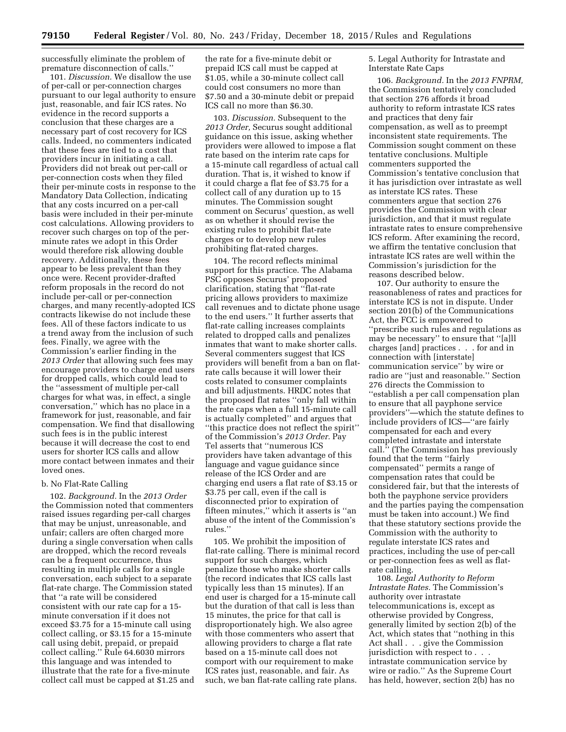successfully eliminate the problem of premature disconnection of calls.''

101. *Discussion.* We disallow the use of per-call or per-connection charges pursuant to our legal authority to ensure just, reasonable, and fair ICS rates. No evidence in the record supports a conclusion that these charges are a necessary part of cost recovery for ICS calls. Indeed, no commenters indicated that these fees are tied to a cost that providers incur in initiating a call. Providers did not break out per-call or per-connection costs when they filed their per-minute costs in response to the Mandatory Data Collection, indicating that any costs incurred on a per-call basis were included in their per-minute cost calculations. Allowing providers to recover such charges on top of the perminute rates we adopt in this Order would therefore risk allowing double recovery. Additionally, these fees appear to be less prevalent than they once were. Recent provider-drafted reform proposals in the record do not include per-call or per-connection charges, and many recently-adopted ICS contracts likewise do not include these fees. All of these factors indicate to us a trend away from the inclusion of such fees. Finally, we agree with the Commission's earlier finding in the *2013 Order* that allowing such fees may encourage providers to charge end users for dropped calls, which could lead to the ''assessment of multiple per-call charges for what was, in effect, a single conversation,'' which has no place in a framework for just, reasonable, and fair compensation. We find that disallowing such fees is in the public interest because it will decrease the cost to end users for shorter ICS calls and allow more contact between inmates and their loved ones.

# b. No Flat-Rate Calling

102. *Background.* In the *2013 Order*  the Commission noted that commenters raised issues regarding per-call charges that may be unjust, unreasonable, and unfair; callers are often charged more during a single conversation when calls are dropped, which the record reveals can be a frequent occurrence, thus resulting in multiple calls for a single conversation, each subject to a separate flat-rate charge. The Commission stated that ''a rate will be considered consistent with our rate cap for a 15 minute conversation if it does not exceed \$3.75 for a 15-minute call using collect calling, or \$3.15 for a 15-minute call using debit, prepaid, or prepaid collect calling.'' Rule 64.6030 mirrors this language and was intended to illustrate that the rate for a five-minute collect call must be capped at \$1.25 and

the rate for a five-minute debit or prepaid ICS call must be capped at \$1.05, while a 30-minute collect call could cost consumers no more than \$7.50 and a 30-minute debit or prepaid ICS call no more than \$6.30.

103. *Discussion.* Subsequent to the *2013 Order,* Securus sought additional guidance on this issue, asking whether providers were allowed to impose a flat rate based on the interim rate caps for a 15-minute call regardless of actual call duration. That is, it wished to know if it could charge a flat fee of \$3.75 for a collect call of any duration up to 15 minutes. The Commission sought comment on Securus' question, as well as on whether it should revise the existing rules to prohibit flat-rate charges or to develop new rules prohibiting flat-rated charges.

104. The record reflects minimal support for this practice. The Alabama PSC opposes Securus' proposed clarification, stating that ''flat-rate pricing allows providers to maximize call revenues and to dictate phone usage to the end users.'' It further asserts that flat-rate calling increases complaints related to dropped calls and penalizes inmates that want to make shorter calls. Several commenters suggest that ICS providers will benefit from a ban on flatrate calls because it will lower their costs related to consumer complaints and bill adjustments. HRDC notes that the proposed flat rates ''only fall within the rate caps when a full 15-minute call is actually completed'' and argues that ''this practice does not reflect the spirit'' of the Commission's *2013 Order.* Pay Tel asserts that ''numerous ICS providers have taken advantage of this language and vague guidance since release of the ICS Order and are charging end users a flat rate of \$3.15 or \$3.75 per call, even if the call is disconnected prior to expiration of fifteen minutes,'' which it asserts is ''an abuse of the intent of the Commission's rules.''

105. We prohibit the imposition of flat-rate calling. There is minimal record support for such charges, which penalize those who make shorter calls (the record indicates that ICS calls last typically less than 15 minutes). If an end user is charged for a 15-minute call but the duration of that call is less than 15 minutes, the price for that call is disproportionately high. We also agree with those commenters who assert that allowing providers to charge a flat rate based on a 15-minute call does not comport with our requirement to make ICS rates just, reasonable, and fair. As such, we ban flat-rate calling rate plans.

5. Legal Authority for Intrastate and Interstate Rate Caps

106. *Background.* In the *2013 FNPRM,*  the Commission tentatively concluded that section 276 affords it broad authority to reform intrastate ICS rates and practices that deny fair compensation, as well as to preempt inconsistent state requirements. The Commission sought comment on these tentative conclusions. Multiple commenters supported the Commission's tentative conclusion that it has jurisdiction over intrastate as well as interstate ICS rates. These commenters argue that section 276 provides the Commission with clear jurisdiction, and that it must regulate intrastate rates to ensure comprehensive ICS reform. After examining the record, we affirm the tentative conclusion that intrastate ICS rates are well within the Commission's jurisdiction for the reasons described below.

107. Our authority to ensure the reasonableness of rates and practices for interstate ICS is not in dispute. Under section 201(b) of the Communications Act, the FCC is empowered to ''prescribe such rules and regulations as may be necessary'' to ensure that ''[a]ll charges [and] practices . . . for and in connection with [interstate] communication service'' by wire or radio are ''just and reasonable.'' Section 276 directs the Commission to ''establish a per call compensation plan to ensure that all payphone service providers''—which the statute defines to include providers of ICS—''are fairly compensated for each and every completed intrastate and interstate call.'' (The Commission has previously found that the term ''fairly compensated'' permits a range of compensation rates that could be considered fair, but that the interests of both the payphone service providers and the parties paying the compensation must be taken into account.) We find that these statutory sections provide the Commission with the authority to regulate interstate ICS rates and practices, including the use of per-call or per-connection fees as well as flatrate calling.

108. *Legal Authority to Reform Intrastate Rates.* The Commission's authority over intrastate telecommunications is, except as otherwise provided by Congress, generally limited by section 2(b) of the Act, which states that ''nothing in this Act shall . . . give the Commission jurisdiction with respect to . . . intrastate communication service by wire or radio.'' As the Supreme Court has held, however, section 2(b) has no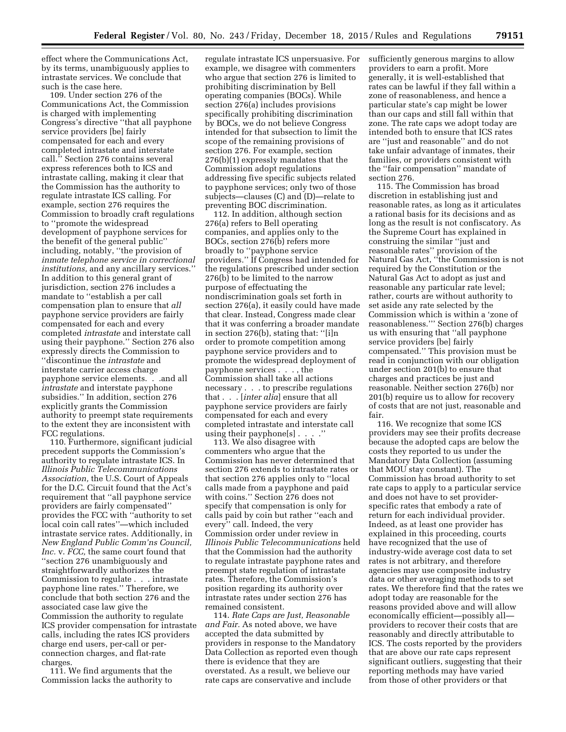effect where the Communications Act, by its terms, unambiguously applies to intrastate services. We conclude that such is the case here.

109. Under section 276 of the Communications Act, the Commission is charged with implementing Congress's directive ''that all payphone service providers [be] fairly compensated for each and every completed intrastate and interstate call.'' Section 276 contains several express references both to ICS and intrastate calling, making it clear that the Commission has the authority to regulate intrastate ICS calling. For example, section 276 requires the Commission to broadly craft regulations to ''promote the widespread development of payphone services for the benefit of the general public'' including, notably, ''the provision of *inmate telephone service in correctional institutions,* and any ancillary services.'' In addition to this general grant of jurisdiction, section 276 includes a mandate to ''establish a per call compensation plan to ensure that *all*  payphone service providers are fairly compensated for each and every completed *intrastate* and interstate call using their payphone.'' Section 276 also expressly directs the Commission to ''discontinue the *intrastate* and interstate carrier access charge payphone service elements. . .and all *intrastate* and interstate payphone subsidies.'' In addition, section 276 explicitly grants the Commission authority to preempt state requirements to the extent they are inconsistent with FCC regulations.

110. Furthermore, significant judicial precedent supports the Commission's authority to regulate intrastate ICS. In *Illinois Public Telecommunications Association,* the U.S. Court of Appeals for the D.C. Circuit found that the Act's requirement that ''all payphone service providers are fairly compensated'' provides the FCC with ''authority to set local coin call rates''—which included intrastate service rates. Additionally, in *New England Public Comm'ns Council, Inc.* v. *FCC,* the same court found that ''section 276 unambiguously and straightforwardly authorizes the Commission to regulate . . . intrastate payphone line rates.'' Therefore, we conclude that both section 276 and the associated case law give the Commission the authority to regulate ICS provider compensation for intrastate calls, including the rates ICS providers charge end users, per-call or perconnection charges, and flat-rate charges.

111. We find arguments that the Commission lacks the authority to

regulate intrastate ICS unpersuasive. For example, we disagree with commenters who argue that section 276 is limited to prohibiting discrimination by Bell operating companies (BOCs). While section 276(a) includes provisions specifically prohibiting discrimination by BOCs, we do not believe Congress intended for that subsection to limit the scope of the remaining provisions of section 276. For example, section 276(b)(1) expressly mandates that the Commission adopt regulations addressing five specific subjects related to payphone services; only two of those subjects—clauses (C) and (D)—relate to preventing BOC discrimination.

112. In addition, although section 276(a) refers to Bell operating companies, and applies only to the BOCs, section 276(b) refers more broadly to ''payphone service providers.'' If Congress had intended for the regulations prescribed under section 276(b) to be limited to the narrow purpose of effectuating the nondiscrimination goals set forth in section 276(a), it easily could have made that clear. Instead, Congress made clear that it was conferring a broader mandate in section 276(b), stating that: ''[i]n order to promote competition among payphone service providers and to promote the widespread deployment of payphone services . . . , the Commission shall take all actions necessary . . . to prescribe regulations that . . . [*inter alia*] ensure that all payphone service providers are fairly compensated for each and every completed intrastate and interstate call using their payphone[s] . . . .''

113. We also disagree with commenters who argue that the Commission has never determined that section 276 extends to intrastate rates or that section 276 applies only to ''local calls made from a payphone and paid with coins.'' Section 276 does not specify that compensation is only for calls paid by coin but rather ''each and every'' call. Indeed, the very Commission order under review in *Illinois Public Telecommunications* held that the Commission had the authority to regulate intrastate payphone rates and preempt state regulation of intrastate rates. Therefore, the Commission's position regarding its authority over intrastate rates under section 276 has remained consistent.

114. *Rate Caps are Just, Reasonable and Fair.* As noted above, we have accepted the data submitted by providers in response to the Mandatory Data Collection as reported even though there is evidence that they are overstated. As a result, we believe our rate caps are conservative and include

sufficiently generous margins to allow providers to earn a profit. More generally, it is well-established that rates can be lawful if they fall within a zone of reasonableness, and hence a particular state's cap might be lower than our caps and still fall within that zone. The rate caps we adopt today are intended both to ensure that ICS rates are ''just and reasonable'' and do not take unfair advantage of inmates, their families, or providers consistent with the ''fair compensation'' mandate of section 276.

115. The Commission has broad discretion in establishing just and reasonable rates, as long as it articulates a rational basis for its decisions and as long as the result is not confiscatory. As the Supreme Court has explained in construing the similar ''just and reasonable rates'' provision of the Natural Gas Act, ''the Commission is not required by the Constitution or the Natural Gas Act to adopt as just and reasonable any particular rate level; rather, courts are without authority to set aside any rate selected by the Commission which is within a 'zone of reasonableness.''' Section 276(b) charges us with ensuring that ''all payphone service providers [be] fairly compensated.'' This provision must be read in conjunction with our obligation under section 201(b) to ensure that charges and practices be just and reasonable. Neither section 276(b) nor 201(b) require us to allow for recovery of costs that are not just, reasonable and fair.

116. We recognize that some ICS providers may see their profits decrease because the adopted caps are below the costs they reported to us under the Mandatory Data Collection (assuming that MOU stay constant). The Commission has broad authority to set rate caps to apply to a particular service and does not have to set providerspecific rates that embody a rate of return for each individual provider. Indeed, as at least one provider has explained in this proceeding, courts have recognized that the use of industry-wide average cost data to set rates is not arbitrary, and therefore agencies may use composite industry data or other averaging methods to set rates. We therefore find that the rates we adopt today are reasonable for the reasons provided above and will allow economically efficient—possibly all providers to recover their costs that are reasonably and directly attributable to ICS. The costs reported by the providers that are above our rate caps represent significant outliers, suggesting that their reporting methods may have varied from those of other providers or that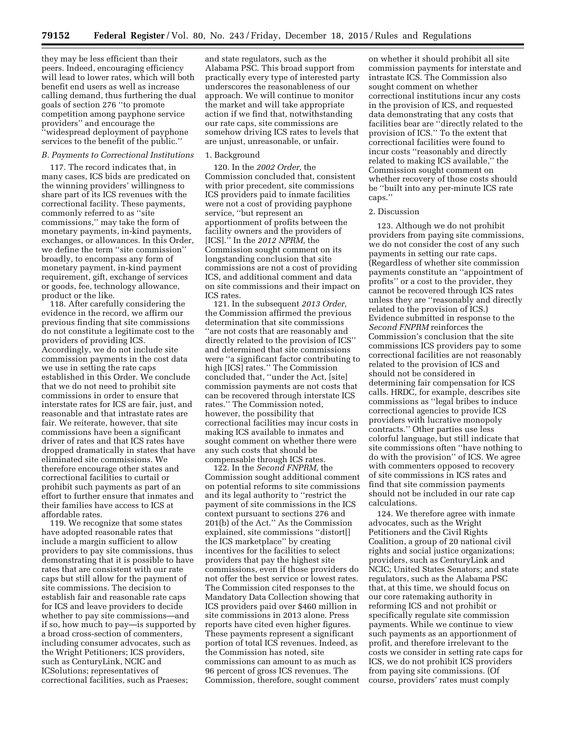they may be less efficient than their peers. Indeed, encouraging efficiency will lead to lower rates, which will both benefit end users as well as increase calling demand, thus furthering the dual goals of section 276 ''to promote competition among payphone service providers" and encourage the 'widespread deployment of payphone services to the benefit of the public.''

#### *B. Payments to Correctional Institutions*

117. The record indicates that, in many cases, ICS bids are predicated on the winning providers' willingness to share part of its ICS revenues with the correctional facility. These payments, commonly referred to as "site commissions,'' may take the form of monetary payments, in-kind payments, exchanges, or allowances. In this Order, we define the term ''site commission'' broadly, to encompass any form of monetary payment, in-kind payment requirement, gift, exchange of services or goods, fee, technology allowance, product or the like.

118. After carefully considering the evidence in the record, we affirm our previous finding that site commissions do not constitute a legitimate cost to the providers of providing ICS. Accordingly, we do not include site commission payments in the cost data we use in setting the rate caps established in this Order. We conclude that we do not need to prohibit site commissions in order to ensure that interstate rates for ICS are fair, just, and reasonable and that intrastate rates are fair. We reiterate, however, that site commissions have been a significant driver of rates and that ICS rates have dropped dramatically in states that have eliminated site commissions. We therefore encourage other states and correctional facilities to curtail or prohibit such payments as part of an effort to further ensure that inmates and their families have access to ICS at affordable rates.

119. We recognize that some states have adopted reasonable rates that include a margin sufficient to allow providers to pay site commissions, thus demonstrating that it is possible to have rates that are consistent with our rate caps but still allow for the payment of site commissions. The decision to establish fair and reasonable rate caps for ICS and leave providers to decide whether to pay site commissions—and if so, how much to pay—is supported by a broad cross-section of commenters, including consumer advocates, such as the Wright Petitioners; ICS providers, such as CenturyLink, NCIC and ICSolutions; representatives of correctional facilities, such as Praeses;

and state regulators, such as the Alabama PSC. This broad support from practically every type of interested party underscores the reasonableness of our approach. We will continue to monitor the market and will take appropriate action if we find that, notwithstanding our rate caps, site commissions are somehow driving ICS rates to levels that are unjust, unreasonable, or unfair.

#### 1. Background

120. In the *2002 Order,* the Commission concluded that, consistent with prior precedent, site commissions ICS providers paid to inmate facilities were not a cost of providing payphone service, ''but represent an apportionment of profits between the facility owners and the providers of [ICS].'' In the *2012 NPRM,* the Commission sought comment on its longstanding conclusion that site commissions are not a cost of providing ICS, and additional comment and data on site commissions and their impact on ICS rates.

121. In the subsequent *2013 Order,*  the Commission affirmed the previous determination that site commissions ''are not costs that are reasonably and directly related to the provision of ICS'' and determined that site commissions were ''a significant factor contributing to high [ICS] rates.'' The Commission concluded that, ''under the Act, [site] commission payments are not costs that can be recovered through interstate ICS rates.'' The Commission noted, however, the possibility that correctional facilities may incur costs in making ICS available to inmates and sought comment on whether there were any such costs that should be compensable through ICS rates.

122. In the *Second FNPRM,* the Commission sought additional comment on potential reforms to site commissions and its legal authority to ''restrict the payment of site commissions in the ICS context pursuant to sections 276 and 201(b) of the Act.'' As the Commission explained, site commissions ''distort[] the ICS marketplace'' by creating incentives for the facilities to select providers that pay the highest site commissions, even if those providers do not offer the best service or lowest rates. The Commission cited responses to the Mandatory Data Collection showing that ICS providers paid over \$460 million in site commissions in 2013 alone. Press reports have cited even higher figures. These payments represent a significant portion of total ICS revenues. Indeed, as the Commission has noted, site commissions can amount to as much as 96 percent of gross ICS revenues. The Commission, therefore, sought comment

on whether it should prohibit all site commission payments for interstate and intrastate ICS. The Commission also sought comment on whether correctional institutions incur any costs in the provision of ICS, and requested data demonstrating that any costs that facilities bear are ''directly related to the provision of ICS.'' To the extent that correctional facilities were found to incur costs ''reasonably and directly related to making ICS available,'' the Commission sought comment on whether recovery of those costs should be ''built into any per-minute ICS rate caps.''

#### 2. Discussion

123. Although we do not prohibit providers from paying site commissions, we do not consider the cost of any such payments in setting our rate caps. (Regardless of whether site commission payments constitute an ''appointment of profits'' or a cost to the provider, they cannot be recovered through ICS rates unless they are ''reasonably and directly related to the provision of ICS.) Evidence submitted in response to the *Second FNPRM* reinforces the Commission's conclusion that the site commissions ICS providers pay to some correctional facilities are not reasonably related to the provision of ICS and should not be considered in determining fair compensation for ICS calls. HRDC, for example, describes site commissions as ''legal bribes to induce correctional agencies to provide ICS providers with lucrative monopoly contracts.'' Other parties use less colorful language, but still indicate that site commissions often ''have nothing to do with the provision'' of ICS. We agree with commenters opposed to recovery of site commissions in ICS rates and find that site commission payments should not be included in our rate cap calculations.

124. We therefore agree with inmate advocates, such as the Wright Petitioners and the Civil Rights Coalition, a group of 20 national civil rights and social justice organizations; providers, such as CenturyLink and NCIC; United States Senators; and state regulators, such as the Alabama PSC that, at this time, we should focus on our core ratemaking authority in reforming ICS and not prohibit or specifically regulate site commission payments. While we continue to view such payments as an apportionment of profit, and therefore irrelevant to the costs we consider in setting rate caps for ICS, we do not prohibit ICS providers from paying site commissions. (Of course, providers' rates must comply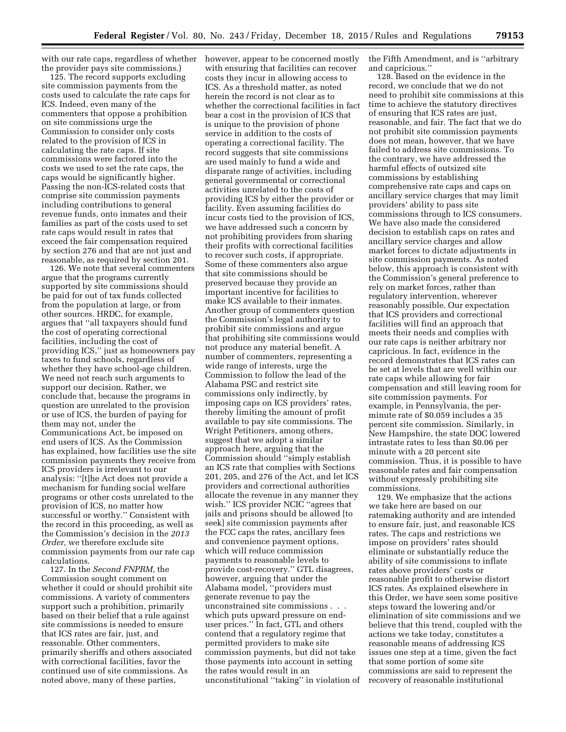with our rate caps, regardless of whether the provider pays site commissions.)

125. The record supports excluding site commission payments from the costs used to calculate the rate caps for ICS. Indeed, even many of the commenters that oppose a prohibition on site commissions urge the Commission to consider only costs related to the provision of ICS in calculating the rate caps. If site commissions were factored into the costs we used to set the rate caps, the caps would be significantly higher. Passing the non-ICS-related costs that comprise site commission payments including contributions to general revenue funds, onto inmates and their families as part of the costs used to set rate caps would result in rates that exceed the fair compensation required by section 276 and that are not just and reasonable, as required by section 201.

126. We note that several commenters argue that the programs currently supported by site commissions should be paid for out of tax funds collected from the population at large, or from other sources. HRDC, for example, argues that ''all taxpayers should fund the cost of operating correctional facilities, including the cost of providing ICS,'' just as homeowners pay taxes to fund schools, regardless of whether they have school-age children. We need not reach such arguments to support our decision. Rather, we conclude that, because the programs in question are unrelated to the provision or use of ICS, the burden of paying for them may not, under the Communications Act, be imposed on end users of ICS. As the Commission has explained, how facilities use the site commission payments they receive from ICS providers is irrelevant to our analysis: ''[t]he Act does not provide a mechanism for funding social welfare programs or other costs unrelated to the provision of ICS, no matter how successful or worthy.'' Consistent with the record in this proceeding, as well as the Commission's decision in the *2013 Order,* we therefore exclude site commission payments from our rate cap calculations.

127. In the *Second FNPRM,* the Commission sought comment on whether it could or should prohibit site commissions. A variety of commenters support such a prohibition, primarily based on their belief that a rule against site commissions is needed to ensure that ICS rates are fair, just, and reasonable. Other commenters, primarily sheriffs and others associated with correctional facilities, favor the continued use of site commissions. As noted above, many of these parties,

however, appear to be concerned mostly with ensuring that facilities can recover costs they incur in allowing access to ICS. As a threshold matter, as noted herein the record is not clear as to whether the correctional facilities in fact bear a cost in the provision of ICS that is unique to the provision of phone service in addition to the costs of operating a correctional facility. The record suggests that site commissions are used mainly to fund a wide and disparate range of activities, including general governmental or correctional activities unrelated to the costs of providing ICS by either the provider or facility. Even assuming facilities do incur costs tied to the provision of ICS, we have addressed such a concern by not prohibiting providers from sharing their profits with correctional facilities to recover such costs, if appropriate. Some of these commenters also argue that site commissions should be preserved because they provide an important incentive for facilities to make ICS available to their inmates. Another group of commenters question the Commission's legal authority to prohibit site commissions and argue that prohibiting site commissions would not produce any material benefit. A number of commenters, representing a wide range of interests, urge the Commission to follow the lead of the Alabama PSC and restrict site commissions only indirectly, by imposing caps on ICS providers' rates, thereby limiting the amount of profit available to pay site commissions. The Wright Petitioners, among others, suggest that we adopt a similar approach here, arguing that the Commission should ''simply establish an ICS rate that complies with Sections 201, 205, and 276 of the Act, and let ICS providers and correctional authorities allocate the revenue in any manner they wish.'' ICS provider NCIC ''agrees that jails and prisons should be allowed [to seek] site commission payments after the FCC caps the rates, ancillary fees and convenience payment options, which will reduce commission payments to reasonable levels to provide cost-recovery.'' GTL disagrees, however, arguing that under the Alabama model, ''providers must generate revenue to pay the unconstrained site commissions . . . which puts upward pressure on enduser prices.'' In fact, GTL and others contend that a regulatory regime that permitted providers to make site commission payments, but did not take those payments into account in setting the rates would result in an unconstitutional ''taking'' in violation of

the Fifth Amendment, and is ''arbitrary and capricious.''

128. Based on the evidence in the record, we conclude that we do not need to prohibit site commissions at this time to achieve the statutory directives of ensuring that ICS rates are just, reasonable, and fair. The fact that we do not prohibit site commission payments does not mean, however, that we have failed to address site commissions. To the contrary, we have addressed the harmful effects of outsized site commissions by establishing comprehensive rate caps and caps on ancillary service charges that may limit providers' ability to pass site commissions through to ICS consumers. We have also made the considered decision to establish caps on rates and ancillary service charges and allow market forces to dictate adjustments in site commission payments. As noted below, this approach is consistent with the Commission's general preference to rely on market forces, rather than regulatory intervention, wherever reasonably possible. Our expectation that ICS providers and correctional facilities will find an approach that meets their needs and complies with our rate caps is neither arbitrary nor capricious. In fact, evidence in the record demonstrates that ICS rates can be set at levels that are well within our rate caps while allowing for fair compensation and still leaving room for site commission payments. For example, in Pennsylvania, the perminute rate of \$0.059 includes a 35 percent site commission. Similarly, in New Hampshire, the state DOC lowered intrastate rates to less than \$0.06 per minute with a 20 percent site commission. Thus, it is possible to have reasonable rates and fair compensation without expressly prohibiting site commissions.

129. We emphasize that the actions we take here are based on our ratemaking authority and are intended to ensure fair, just, and reasonable ICS rates. The caps and restrictions we impose on providers' rates should eliminate or substantially reduce the ability of site commissions to inflate rates above providers' costs or reasonable profit to otherwise distort ICS rates. As explained elsewhere in this Order, we have seen some positive steps toward the lowering and/or elimination of site commissions and we believe that this trend, coupled with the actions we take today, constitutes a reasonable means of addressing ICS issues one step at a time, given the fact that some portion of some site commissions are said to represent the recovery of reasonable institutional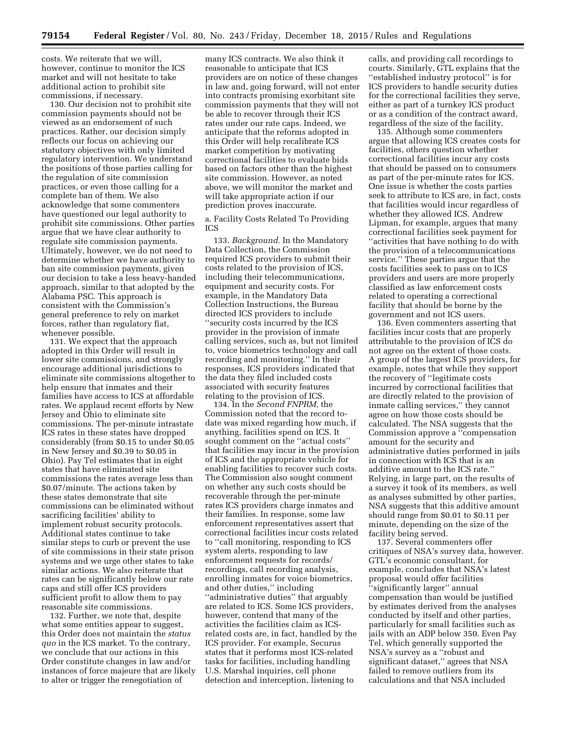costs. We reiterate that we will, however, continue to monitor the ICS market and will not hesitate to take additional action to prohibit site commissions, if necessary.

130. Our decision not to prohibit site commission payments should not be viewed as an endorsement of such practices. Rather, our decision simply reflects our focus on achieving our statutory objectives with only limited regulatory intervention. We understand the positions of those parties calling for the regulation of site commission practices, or even those calling for a complete ban of them. We also acknowledge that some commenters have questioned our legal authority to prohibit site commissions. Other parties argue that we have clear authority to regulate site commission payments. Ultimately, however, we do not need to determine whether we have authority to ban site commission payments, given our decision to take a less heavy-handed approach, similar to that adopted by the Alabama PSC. This approach is consistent with the Commission's general preference to rely on market forces, rather than regulatory fiat, whenever possible.

131. We expect that the approach adopted in this Order will result in lower site commissions, and strongly encourage additional jurisdictions to eliminate site commissions altogether to help ensure that inmates and their families have access to ICS at affordable rates. We applaud recent efforts by New Jersey and Ohio to eliminate site commissions. The per-minute intrastate ICS rates in these states have dropped considerably (from \$0.15 to under \$0.05 in New Jersey and \$0.39 to \$0.05 in Ohio). Pay Tel estimates that in eight states that have eliminated site commissions the rates average less than \$0.07/minute. The actions taken by these states demonstrate that site commissions can be eliminated without sacrificing facilities' ability to implement robust security protocols. Additional states continue to take similar steps to curb or prevent the use of site commissions in their state prison systems and we urge other states to take similar actions. We also reiterate that rates can be significantly below our rate caps and still offer ICS providers sufficient profit to allow them to pay reasonable site commissions.

132. Further, we note that, despite what some entities appear to suggest, this Order does not maintain the *status quo* in the ICS market. To the contrary, we conclude that our actions in this Order constitute changes in law and/or instances of force majeure that are likely to alter or trigger the renegotiation of

many ICS contracts. We also think it reasonable to anticipate that ICS providers are on notice of these changes in law and, going forward, will not enter into contracts promising exorbitant site commission payments that they will not be able to recover through their ICS rates under our rate caps. Indeed, we anticipate that the reforms adopted in this Order will help recalibrate ICS market competition by motivating correctional facilities to evaluate bids based on factors other than the highest site commission. However, as noted above, we will monitor the market and will take appropriate action if our prediction proves inaccurate.

a. Facility Costs Related To Providing ICS

133. *Background.* In the Mandatory Data Collection, the Commission required ICS providers to submit their costs related to the provision of ICS, including their telecommunications, equipment and security costs. For example, in the Mandatory Data Collection Instructions, the Bureau directed ICS providers to include ''security costs incurred by the ICS provider in the provision of inmate calling services, such as, but not limited to, voice biometrics technology and call recording and monitoring.'' In their responses, ICS providers indicated that the data they filed included costs associated with security features relating to the provision of ICS.

134. In the *Second FNPRM,* the Commission noted that the record todate was mixed regarding how much, if anything, facilities spend on ICS. It sought comment on the ''actual costs'' that facilities may incur in the provision of ICS and the appropriate vehicle for enabling facilities to recover such costs. The Commission also sought comment on whether any such costs should be recoverable through the per-minute rates ICS providers charge inmates and their families. In response, some law enforcement representatives assert that correctional facilities incur costs related to ''call monitoring, responding to ICS system alerts, responding to law enforcement requests for records/ recordings, call recording analysis, enrolling inmates for voice biometrics, and other duties,'' including ''administrative duties'' that arguably are related to ICS. Some ICS providers, however, contend that many of the activities the facilities claim as ICSrelated costs are, in fact, handled by the ICS provider. For example, Securus states that it performs most ICS-related tasks for facilities, including handling U.S. Marshal inquiries, cell phone detection and interception, listening to

calls, and providing call recordings to courts. Similarly, GTL explains that the ''established industry protocol'' is for ICS providers to handle security duties for the correctional facilities they serve, either as part of a turnkey ICS product or as a condition of the contract award, regardless of the size of the facility.

135. Although some commenters argue that allowing ICS creates costs for facilities, others question whether correctional facilities incur any costs that should be passed on to consumers as part of the per-minute rates for ICS. One issue is whether the costs parties seek to attribute to ICS are, in fact, costs that facilities would incur regardless of whether they allowed ICS. Andrew Lipman, for example, argues that many correctional facilities seek payment for ''activities that have nothing to do with the provision of a telecommunications service.'' These parties argue that the costs facilities seek to pass on to ICS providers and users are more properly classified as law enforcement costs related to operating a correctional facility that should be borne by the government and not ICS users.

136. Even commenters asserting that facilities incur costs that are properly attributable to the provision of ICS do not agree on the extent of those costs. A group of the largest ICS providers, for example, notes that while they support the recovery of ''legitimate costs incurred by correctional facilities that are directly related to the provision of inmate calling services,'' they cannot agree on how those costs should be calculated. The NSA suggests that the Commission approve a ''compensation amount for the security and administrative duties performed in jails in connection with ICS that is an additive amount to the ICS rate.'' Relying, in large part, on the results of a survey it took of its members, as well as analyses submitted by other parties, NSA suggests that this additive amount should range from \$0.01 to \$0.11 per minute, depending on the size of the facility being served.

137. Several commenters offer critiques of NSA's survey data, however. GTL's economic consultant, for example, concludes that NSA's latest proposal would offer facilities ''significantly larger'' annual compensation than would be justified by estimates derived from the analyses conducted by itself and other parties, particularly for small facilities such as jails with an ADP below 350. Even Pay Tel, which generally supported the NSA's survey as a ''robust and significant dataset,'' agrees that NSA failed to remove outliers from its calculations and that NSA included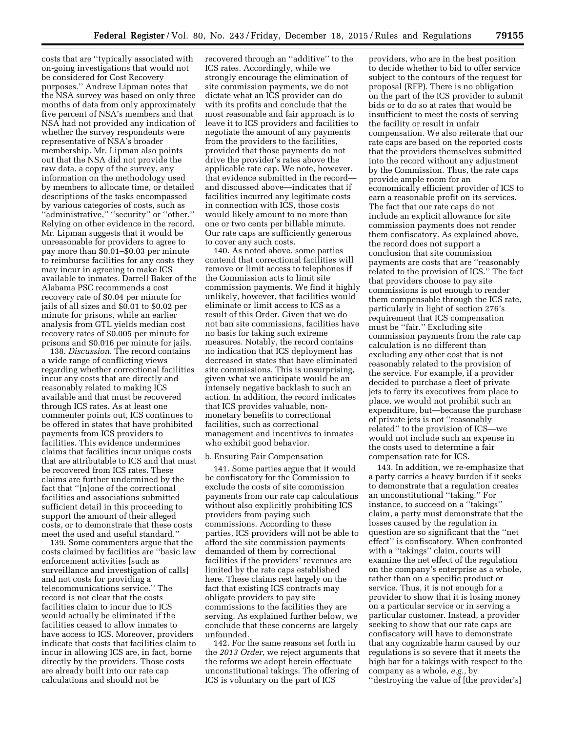costs that are ''typically associated with on-going investigations that would not be considered for Cost Recovery purposes.'' Andrew Lipman notes that the NSA survey was based on only three months of data from only approximately five percent of NSA's members and that NSA had not provided any indication of whether the survey respondents were representative of NSA's broader membership. Mr. Lipman also points out that the NSA did not provide the raw data, a copy of the survey, any information on the methodology used by members to allocate time, or detailed descriptions of the tasks encompassed by various categories of costs, such as ''administrative,'' ''security'' or ''other.'' Relying on other evidence in the record, Mr. Lipman suggests that it would be unreasonable for providers to agree to pay more than \$0.01–\$0.03 per minute to reimburse facilities for any costs they may incur in agreeing to make ICS available to inmates. Darrell Baker of the Alabama PSC recommends a cost recovery rate of \$0.04 per minute for jails of all sizes and \$0.01 to \$0.02 per minute for prisons, while an earlier analysis from GTL yields median cost recovery rates of \$0.005 per minute for prisons and \$0.016 per minute for jails.

138. *Discussion.* The record contains a wide range of conflicting views regarding whether correctional facilities incur any costs that are directly and reasonably related to making ICS available and that must be recovered through ICS rates. As at least one commenter points out, ICS continues to be offered in states that have prohibited payments from ICS providers to facilities. This evidence undermines claims that facilities incur unique costs that are attributable to ICS and that must be recovered from ICS rates. These claims are further undermined by the fact that ''[n]one of the correctional facilities and associations submitted sufficient detail in this proceeding to support the amount of their alleged costs, or to demonstrate that these costs meet the used and useful standard.''

139. Some commenters argue that the costs claimed by facilities are ''basic law enforcement activities [such as surveillance and investigation of calls] and not costs for providing a telecommunications service.'' The record is not clear that the costs facilities claim to incur due to ICS would actually be eliminated if the facilities ceased to allow inmates to have access to ICS. Moreover, providers indicate that costs that facilities claim to incur in allowing ICS are, in fact, borne directly by the providers. Those costs are already built into our rate cap calculations and should not be

recovered through an ''additive'' to the ICS rates. Accordingly, while we strongly encourage the elimination of site commission payments, we do not dictate what an ICS provider can do with its profits and conclude that the most reasonable and fair approach is to leave it to ICS providers and facilities to negotiate the amount of any payments from the providers to the facilities, provided that those payments do not drive the provider's rates above the applicable rate cap. We note, however, that evidence submitted in the record and discussed above—indicates that if facilities incurred any legitimate costs in connection with ICS, those costs would likely amount to no more than one or two cents per billable minute. Our rate caps are sufficiently generous to cover any such costs.

140. As noted above, some parties contend that correctional facilities will remove or limit access to telephones if the Commission acts to limit site commission payments. We find it highly unlikely, however, that facilities would eliminate or limit access to ICS as a result of this Order. Given that we do not ban site commissions, facilities have no basis for taking such extreme measures. Notably, the record contains no indication that ICS deployment has decreased in states that have eliminated site commissions. This is unsurprising, given what we anticipate would be an intensely negative backlash to such an action. In addition, the record indicates that ICS provides valuable, nonmonetary benefits to correctional facilities, such as correctional management and incentives to inmates who exhibit good behavior.

#### b. Ensuring Fair Compensation

141. Some parties argue that it would be confiscatory for the Commission to exclude the costs of site commission payments from our rate cap calculations without also explicitly prohibiting ICS providers from paying such commissions. According to these parties, ICS providers will not be able to afford the site commission payments demanded of them by correctional facilities if the providers' revenues are limited by the rate caps established here. These claims rest largely on the fact that existing ICS contracts may obligate providers to pay site commissions to the facilities they are serving. As explained further below, we conclude that these concerns are largely unfounded.

142. For the same reasons set forth in the *2013 Order,* we reject arguments that the reforms we adopt herein effectuate unconstitutional takings. The offering of ICS is voluntary on the part of ICS

providers, who are in the best position to decide whether to bid to offer service subject to the contours of the request for proposal (RFP). There is no obligation on the part of the ICS provider to submit bids or to do so at rates that would be insufficient to meet the costs of serving the facility or result in unfair compensation. We also reiterate that our rate caps are based on the reported costs that the providers themselves submitted into the record without any adjustment by the Commission. Thus, the rate caps provide ample room for an economically efficient provider of ICS to earn a reasonable profit on its services. The fact that our rate caps do not include an explicit allowance for site commission payments does not render them confiscatory. As explained above, the record does not support a conclusion that site commission payments are costs that are ''reasonably related to the provision of ICS.'' The fact that providers choose to pay site commissions is not enough to render them compensable through the ICS rate, particularly in light of section 276's requirement that ICS compensation must be ''fair.'' Excluding site commission payments from the rate cap calculation is no different than excluding any other cost that is not reasonably related to the provision of the service. For example, if a provider decided to purchase a fleet of private jets to ferry its executives from place to place, we would not prohibit such an expenditure, but—because the purchase of private jets is not ''reasonably related'' to the provision of ICS—we would not include such an expense in the costs used to determine a fair compensation rate for ICS.

143. In addition, we re-emphasize that a party carries a heavy burden if it seeks to demonstrate that a regulation creates an unconstitutional ''taking.'' For instance, to succeed on a ''takings'' claim, a party must demonstrate that the losses caused by the regulation in question are so significant that the ''net effect'' is confiscatory. When confronted with a ''takings'' claim, courts will examine the net effect of the regulation on the company's enterprise as a whole, rather than on a specific product or service. Thus, it is not enough for a provider to show that it is losing money on a particular service or in serving a particular customer. Instead, a provider seeking to show that our rate caps are confiscatory will have to demonstrate that any cognizable harm caused by our regulations is so severe that it meets the high bar for a takings with respect to the company as a whole, *e.g.,* by ''destroying the value of [the provider's]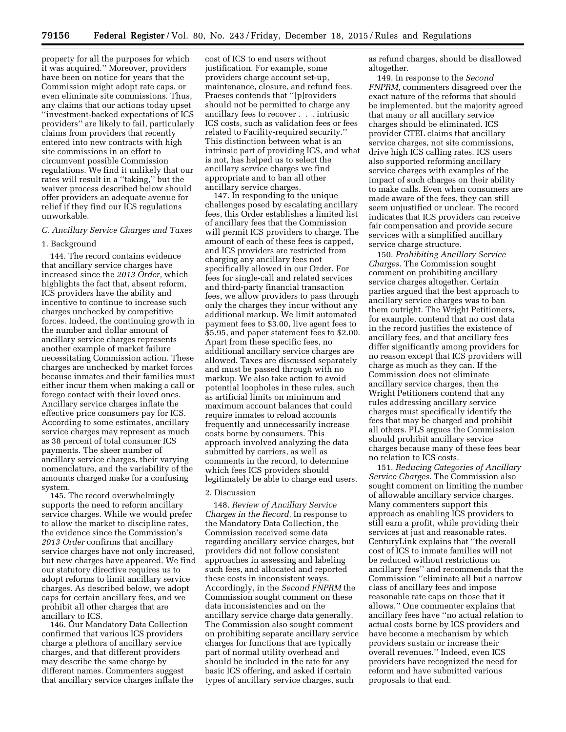property for all the purposes for which it was acquired.'' Moreover, providers have been on notice for years that the Commission might adopt rate caps, or even eliminate site commissions. Thus, any claims that our actions today upset ''investment-backed expectations of ICS providers'' are likely to fail, particularly claims from providers that recently entered into new contracts with high site commissions in an effort to circumvent possible Commission regulations. We find it unlikely that our rates will result in a ''taking,'' but the waiver process described below should offer providers an adequate avenue for relief if they find our ICS regulations unworkable.

#### *C. Ancillary Service Charges and Taxes*

#### 1. Background

144. The record contains evidence that ancillary service charges have increased since the *2013 Order,* which highlights the fact that, absent reform, ICS providers have the ability and incentive to continue to increase such charges unchecked by competitive forces. Indeed, the continuing growth in the number and dollar amount of ancillary service charges represents another example of market failure necessitating Commission action. These charges are unchecked by market forces because inmates and their families must either incur them when making a call or forego contact with their loved ones. Ancillary service charges inflate the effective price consumers pay for ICS. According to some estimates, ancillary service charges may represent as much as 38 percent of total consumer ICS payments. The sheer number of ancillary service charges, their varying nomenclature, and the variability of the amounts charged make for a confusing system.

145. The record overwhelmingly supports the need to reform ancillary service charges. While we would prefer to allow the market to discipline rates, the evidence since the Commission's *2013 Order* confirms that ancillary service charges have not only increased, but new charges have appeared. We find our statutory directive requires us to adopt reforms to limit ancillary service charges. As described below, we adopt caps for certain ancillary fees, and we prohibit all other charges that are ancillary to ICS.

146. Our Mandatory Data Collection confirmed that various ICS providers charge a plethora of ancillary service charges, and that different providers may describe the same charge by different names. Commenters suggest that ancillary service charges inflate the

cost of ICS to end users without justification. For example, some providers charge account set-up, maintenance, closure, and refund fees. Praeses contends that ''[p]roviders should not be permitted to charge any ancillary fees to recover . . . intrinsic ICS costs, such as validation fees or fees related to Facility-required security.'' This distinction between what is an intrinsic part of providing ICS, and what is not, has helped us to select the ancillary service charges we find appropriate and to ban all other ancillary service charges.

147. In responding to the unique challenges posed by escalating ancillary fees, this Order establishes a limited list of ancillary fees that the Commission will permit ICS providers to charge. The amount of each of these fees is capped, and ICS providers are restricted from charging any ancillary fees not specifically allowed in our Order. For fees for single-call and related services and third-party financial transaction fees, we allow providers to pass through only the charges they incur without any additional markup. We limit automated payment fees to \$3.00, live agent fees to \$5.95, and paper statement fees to \$2.00. Apart from these specific fees, no additional ancillary service charges are allowed. Taxes are discussed separately and must be passed through with no markup. We also take action to avoid potential loopholes in these rules, such as artificial limits on minimum and maximum account balances that could require inmates to reload accounts frequently and unnecessarily increase costs borne by consumers. This approach involved analyzing the data submitted by carriers, as well as comments in the record, to determine which fees ICS providers should legitimately be able to charge end users.

#### 2. Discussion

148. *Review of Ancillary Service Charges in the Record.* In response to the Mandatory Data Collection, the Commission received some data regarding ancillary service charges, but providers did not follow consistent approaches in assessing and labeling such fees, and allocated and reported these costs in inconsistent ways. Accordingly, in the *Second FNPRM* the Commission sought comment on these data inconsistencies and on the ancillary service charge data generally. The Commission also sought comment on prohibiting separate ancillary service charges for functions that are typically part of normal utility overhead and should be included in the rate for any basic ICS offering, and asked if certain types of ancillary service charges, such

as refund charges, should be disallowed altogether.

149. In response to the *Second FNPRM,* commenters disagreed over the exact nature of the reforms that should be implemented, but the majority agreed that many or all ancillary service charges should be eliminated. ICS provider CTEL claims that ancillary service charges, not site commissions, drive high ICS calling rates. ICS users also supported reforming ancillary service charges with examples of the impact of such charges on their ability to make calls. Even when consumers are made aware of the fees, they can still seem unjustified or unclear. The record indicates that ICS providers can receive fair compensation and provide secure services with a simplified ancillary service charge structure.

150. *Prohibiting Ancillary Service Charges.* The Commission sought comment on prohibiting ancillary service charges altogether. Certain parties argued that the best approach to ancillary service charges was to ban them outright. The Wright Petitioners, for example, contend that no cost data in the record justifies the existence of ancillary fees, and that ancillary fees differ significantly among providers for no reason except that ICS providers will charge as much as they can. If the Commission does not eliminate ancillary service charges, then the Wright Petitioners contend that any rules addressing ancillary service charges must specifically identify the fees that may be charged and prohibit all others. PLS argues the Commission should prohibit ancillary service charges because many of these fees bear no relation to ICS costs.

151. *Reducing Categories of Ancillary Service Charges.* The Commission also sought comment on limiting the number of allowable ancillary service charges. Many commenters support this approach as enabling ICS providers to still earn a profit, while providing their services at just and reasonable rates. CenturyLink explains that ''the overall cost of ICS to inmate families will not be reduced without restrictions on ancillary fees'' and recommends that the Commission ''eliminate all but a narrow class of ancillary fees and impose reasonable rate caps on those that it allows.'' One commenter explains that ancillary fees have ''no actual relation to actual costs borne by ICS providers and have become a mechanism by which providers sustain or increase their overall revenues.'' Indeed, even ICS providers have recognized the need for reform and have submitted various proposals to that end.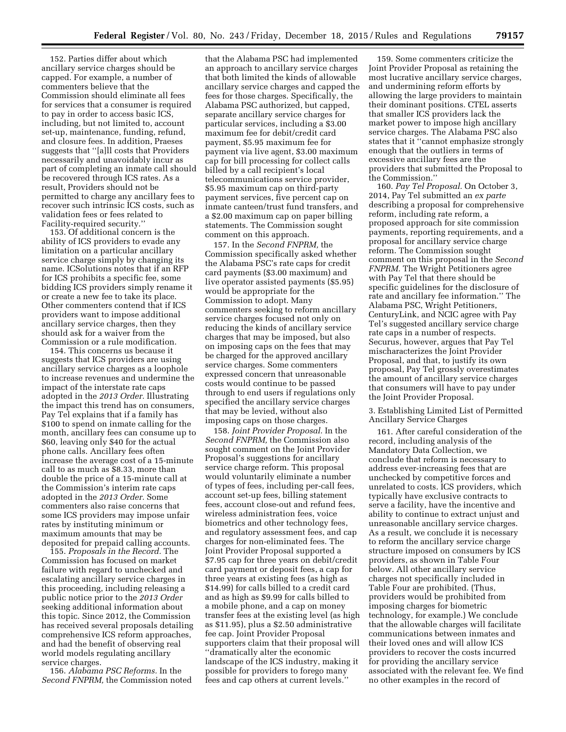152. Parties differ about which ancillary service charges should be capped. For example, a number of commenters believe that the Commission should eliminate all fees for services that a consumer is required to pay in order to access basic ICS, including, but not limited to, account set-up, maintenance, funding, refund, and closure fees. In addition, Praeses suggests that ''[a]ll costs that Providers necessarily and unavoidably incur as part of completing an inmate call should be recovered through ICS rates. As a result, Providers should not be permitted to charge any ancillary fees to recover such intrinsic ICS costs, such as validation fees or fees related to Facility-required security.''

153. Of additional concern is the ability of ICS providers to evade any limitation on a particular ancillary service charge simply by changing its name. ICSolutions notes that if an RFP for ICS prohibits a specific fee, some bidding ICS providers simply rename it or create a new fee to take its place. Other commenters contend that if ICS providers want to impose additional ancillary service charges, then they should ask for a waiver from the Commission or a rule modification.

154. This concerns us because it suggests that ICS providers are using ancillary service charges as a loophole to increase revenues and undermine the impact of the interstate rate caps adopted in the *2013 Order.* Illustrating the impact this trend has on consumers, Pay Tel explains that if a family has \$100 to spend on inmate calling for the month, ancillary fees can consume up to \$60, leaving only \$40 for the actual phone calls. Ancillary fees often increase the average cost of a 15-minute call to as much as \$8.33, more than double the price of a 15-minute call at the Commission's interim rate caps adopted in the *2013 Order.* Some commenters also raise concerns that some ICS providers may impose unfair rates by instituting minimum or maximum amounts that may be deposited for prepaid calling accounts.

155. *Proposals in the Record.* The Commission has focused on market failure with regard to unchecked and escalating ancillary service charges in this proceeding, including releasing a public notice prior to the *2013 Order*  seeking additional information about this topic. Since 2012, the Commission has received several proposals detailing comprehensive ICS reform approaches, and had the benefit of observing real world models regulating ancillary service charges.

156. *Alabama PSC Reforms.* In the *Second FNPRM,* the Commission noted

that the Alabama PSC had implemented an approach to ancillary service charges that both limited the kinds of allowable ancillary service charges and capped the fees for those charges. Specifically, the Alabama PSC authorized, but capped, separate ancillary service charges for particular services, including a \$3.00 maximum fee for debit/credit card payment, \$5.95 maximum fee for payment via live agent, \$3.00 maximum cap for bill processing for collect calls billed by a call recipient's local telecommunications service provider, \$5.95 maximum cap on third-party payment services, five percent cap on inmate canteen/trust fund transfers, and a \$2.00 maximum cap on paper billing statements. The Commission sought comment on this approach.

157. In the *Second FNPRM,* the Commission specifically asked whether the Alabama PSC's rate caps for credit card payments (\$3.00 maximum) and live operator assisted payments (\$5.95) would be appropriate for the Commission to adopt. Many commenters seeking to reform ancillary service charges focused not only on reducing the kinds of ancillary service charges that may be imposed, but also on imposing caps on the fees that may be charged for the approved ancillary service charges. Some commenters expressed concern that unreasonable costs would continue to be passed through to end users if regulations only specified the ancillary service charges that may be levied, without also imposing caps on those charges.

158. *Joint Provider Proposal.* In the *Second FNPRM,* the Commission also sought comment on the Joint Provider Proposal's suggestions for ancillary service charge reform. This proposal would voluntarily eliminate a number of types of fees, including per-call fees, account set-up fees, billing statement fees, account close-out and refund fees, wireless administration fees, voice biometrics and other technology fees, and regulatory assessment fees, and cap charges for non-eliminated fees. The Joint Provider Proposal supported a \$7.95 cap for three years on debit/credit card payment or deposit fees, a cap for three years at existing fees (as high as \$14.99) for calls billed to a credit card and as high as \$9.99 for calls billed to a mobile phone, and a cap on money transfer fees at the existing level (as high as \$11.95), plus a \$2.50 administrative fee cap. Joint Provider Proposal supporters claim that their proposal will ''dramatically alter the economic landscape of the ICS industry, making it possible for providers to forego many fees and cap others at current levels.''

159. Some commenters criticize the Joint Provider Proposal as retaining the most lucrative ancillary service charges, and undermining reform efforts by allowing the large providers to maintain their dominant positions. CTEL asserts that smaller ICS providers lack the market power to impose high ancillary service charges. The Alabama PSC also states that it ''cannot emphasize strongly enough that the outliers in terms of excessive ancillary fees are the providers that submitted the Proposal to the Commission.''

160. *Pay Tel Proposal.* On October 3, 2014, Pay Tel submitted an *ex parte*  describing a proposal for comprehensive reform, including rate reform, a proposed approach for site commission payments, reporting requirements, and a proposal for ancillary service charge reform. The Commission sought comment on this proposal in the *Second FNPRM.* The Wright Petitioners agree with Pay Tel that there should be specific guidelines for the disclosure of rate and ancillary fee information.'' The Alabama PSC, Wright Petitioners, CenturyLink, and NCIC agree with Pay Tel's suggested ancillary service charge rate caps in a number of respects. Securus, however, argues that Pay Tel mischaracterizes the Joint Provider Proposal, and that, to justify its own proposal, Pay Tel grossly overestimates the amount of ancillary service charges that consumers will have to pay under the Joint Provider Proposal.

# 3. Establishing Limited List of Permitted Ancillary Service Charges

161. After careful consideration of the record, including analysis of the Mandatory Data Collection, we conclude that reform is necessary to address ever-increasing fees that are unchecked by competitive forces and unrelated to costs. ICS providers, which typically have exclusive contracts to serve a facility, have the incentive and ability to continue to extract unjust and unreasonable ancillary service charges. As a result, we conclude it is necessary to reform the ancillary service charge structure imposed on consumers by ICS providers, as shown in Table Four below. All other ancillary service charges not specifically included in Table Four are prohibited. (Thus, providers would be prohibited from imposing charges for biometric technology, for example.) We conclude that the allowable charges will facilitate communications between inmates and their loved ones and will allow ICS providers to recover the costs incurred for providing the ancillary service associated with the relevant fee. We find no other examples in the record of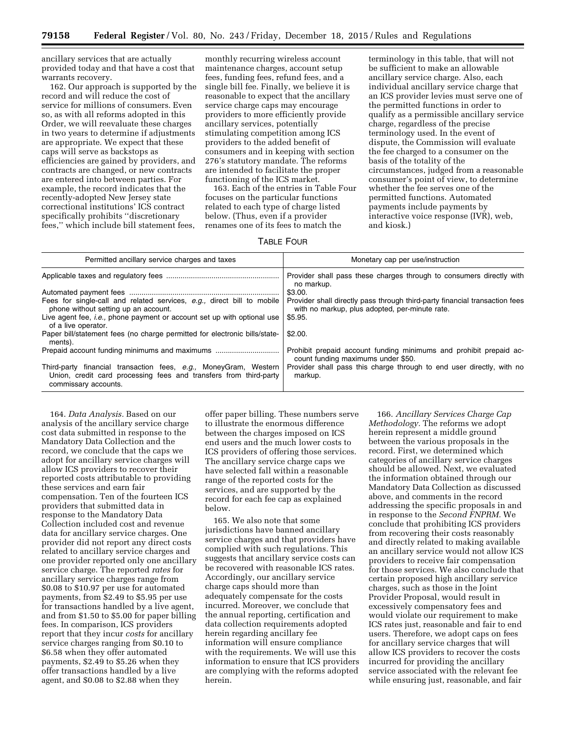ancillary services that are actually provided today and that have a cost that warrants recovery.

162. Our approach is supported by the record and will reduce the cost of service for millions of consumers. Even so, as with all reforms adopted in this Order, we will reevaluate these charges in two years to determine if adjustments are appropriate. We expect that these caps will serve as backstops as efficiencies are gained by providers, and contracts are changed, or new contracts are entered into between parties. For example, the record indicates that the recently-adopted New Jersey state correctional institutions' ICS contract specifically prohibits ''discretionary fees,'' which include bill statement fees,

monthly recurring wireless account maintenance charges, account setup fees, funding fees, refund fees, and a single bill fee. Finally, we believe it is reasonable to expect that the ancillary service charge caps may encourage providers to more efficiently provide ancillary services, potentially stimulating competition among ICS providers to the added benefit of consumers and in keeping with section 276's statutory mandate. The reforms are intended to facilitate the proper functioning of the ICS market.

163. Each of the entries in Table Four focuses on the particular functions related to each type of charge listed below. (Thus, even if a provider renames one of its fees to match the

terminology in this table, that will not be sufficient to make an allowable ancillary service charge. Also, each individual ancillary service charge that an ICS provider levies must serve one of the permitted functions in order to qualify as a permissible ancillary service charge, regardless of the precise terminology used. In the event of dispute, the Commission will evaluate the fee charged to a consumer on the basis of the totality of the circumstances, judged from a reasonable consumer's point of view, to determine whether the fee serves one of the permitted functions. Automated payments include payments by interactive voice response (IVR), web, and kiosk.)

# TABLE FOUR

| Permitted ancillary service charges and taxes                                                                                                                 | Monetary cap per use/instruction                                                                                              |  |  |  |
|---------------------------------------------------------------------------------------------------------------------------------------------------------------|-------------------------------------------------------------------------------------------------------------------------------|--|--|--|
|                                                                                                                                                               | Provider shall pass these charges through to consumers directly with<br>no markup.                                            |  |  |  |
|                                                                                                                                                               | \$3.00.                                                                                                                       |  |  |  |
| Fees for single-call and related services, e.g., direct bill to mobile<br>phone without setting up an account.                                                | Provider shall directly pass through third-party financial transaction fees<br>with no markup, plus adopted, per-minute rate. |  |  |  |
| Live agent fee, <i>i.e.</i> , phone payment or account set up with optional use<br>of a live operator.                                                        | \$5.95.                                                                                                                       |  |  |  |
| Paper bill/statement fees (no charge permitted for electronic bills/state-<br>ments).                                                                         | \$2.00.                                                                                                                       |  |  |  |
|                                                                                                                                                               | Prohibit prepaid account funding minimums and prohibit prepaid ac-<br>count funding maximums under \$50.                      |  |  |  |
| Third-party financial transaction fees, e.g., MoneyGram, Western<br>Union, credit card processing fees and transfers from third-party<br>commissary accounts. | Provider shall pass this charge through to end user directly, with no<br>markup.                                              |  |  |  |

164. *Data Analysis.* Based on our analysis of the ancillary service charge cost data submitted in response to the Mandatory Data Collection and the record, we conclude that the caps we adopt for ancillary service charges will allow ICS providers to recover their reported costs attributable to providing these services and earn fair compensation. Ten of the fourteen ICS providers that submitted data in response to the Mandatory Data Collection included cost and revenue data for ancillary service charges. One provider did not report any direct costs related to ancillary service charges and one provider reported only one ancillary service charge. The reported *rates* for ancillary service charges range from \$0.08 to \$10.97 per use for automated payments, from \$2.49 to \$5.95 per use for transactions handled by a live agent, and from \$1.50 to \$5.00 for paper billing fees. In comparison, ICS providers report that they incur *costs* for ancillary service charges ranging from \$0.10 to \$6.58 when they offer automated payments, \$2.49 to \$5.26 when they offer transactions handled by a live agent, and \$0.08 to \$2.88 when they

offer paper billing. These numbers serve to illustrate the enormous difference between the charges imposed on ICS end users and the much lower costs to ICS providers of offering those services. The ancillary service charge caps we have selected fall within a reasonable range of the reported costs for the services, and are supported by the record for each fee cap as explained below.

165. We also note that some jurisdictions have banned ancillary service charges and that providers have complied with such regulations. This suggests that ancillary service costs can be recovered with reasonable ICS rates. Accordingly, our ancillary service charge caps should more than adequately compensate for the costs incurred. Moreover, we conclude that the annual reporting, certification and data collection requirements adopted herein regarding ancillary fee information will ensure compliance with the requirements. We will use this information to ensure that ICS providers are complying with the reforms adopted herein.

166. *Ancillary Services Charge Cap Methodology.* The reforms we adopt herein represent a middle ground between the various proposals in the record. First, we determined which categories of ancillary service charges should be allowed. Next, we evaluated the information obtained through our Mandatory Data Collection as discussed above, and comments in the record addressing the specific proposals in and in response to the *Second FNPRM.* We conclude that prohibiting ICS providers from recovering their costs reasonably and directly related to making available an ancillary service would not allow ICS providers to receive fair compensation for those services. We also conclude that certain proposed high ancillary service charges, such as those in the Joint Provider Proposal, would result in excessively compensatory fees and would violate our requirement to make ICS rates just, reasonable and fair to end users. Therefore, we adopt caps on fees for ancillary service charges that will allow ICS providers to recover the costs incurred for providing the ancillary service associated with the relevant fee while ensuring just, reasonable, and fair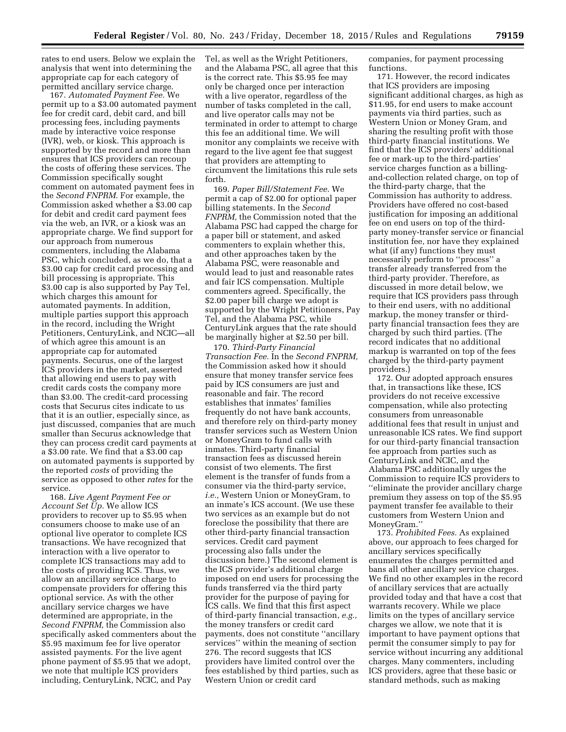rates to end users. Below we explain the analysis that went into determining the appropriate cap for each category of permitted ancillary service charge.

167. *Automated Payment Fee.* We permit up to a \$3.00 automated payment fee for credit card, debit card, and bill processing fees, including payments made by interactive voice response (IVR), web, or kiosk. This approach is supported by the record and more than ensures that ICS providers can recoup the costs of offering these services. The Commission specifically sought comment on automated payment fees in the *Second FNPRM.* For example, the Commission asked whether a \$3.00 cap for debit and credit card payment fees via the web, an IVR, or a kiosk was an appropriate charge. We find support for our approach from numerous commenters, including the Alabama PSC, which concluded, as we do, that a \$3.00 cap for credit card processing and bill processing is appropriate. This \$3.00 cap is also supported by Pay Tel, which charges this amount for automated payments. In addition, multiple parties support this approach in the record, including the Wright Petitioners, CenturyLink, and NCIC—all of which agree this amount is an appropriate cap for automated payments. Securus, one of the largest ICS providers in the market, asserted that allowing end users to pay with credit cards costs the company more than \$3.00. The credit-card processing costs that Securus cites indicate to us that it is an outlier, especially since, as just discussed, companies that are much smaller than Securus acknowledge that they can process credit card payments at a \$3.00 rate. We find that a \$3.00 cap on automated payments is supported by the reported *costs* of providing the service as opposed to other *rates* for the service.

168. *Live Agent Payment Fee or Account Set Up.* We allow ICS providers to recover up to \$5.95 when consumers choose to make use of an optional live operator to complete ICS transactions. We have recognized that interaction with a live operator to complete ICS transactions may add to the costs of providing ICS. Thus, we allow an ancillary service charge to compensate providers for offering this optional service. As with the other ancillary service charges we have determined are appropriate, in the *Second FNPRM,* the Commission also specifically asked commenters about the \$5.95 maximum fee for live operator assisted payments. For the live agent phone payment of \$5.95 that we adopt, we note that multiple ICS providers including, CenturyLink, NCIC, and Pay

Tel, as well as the Wright Petitioners, and the Alabama PSC, all agree that this is the correct rate. This \$5.95 fee may only be charged once per interaction with a live operator, regardless of the number of tasks completed in the call, and live operator calls may not be terminated in order to attempt to charge this fee an additional time. We will monitor any complaints we receive with regard to the live agent fee that suggest that providers are attempting to circumvent the limitations this rule sets forth.

169. *Paper Bill/Statement Fee.* We permit a cap of \$2.00 for optional paper billing statements. In the *Second FNPRM,* the Commission noted that the Alabama PSC had capped the charge for a paper bill or statement, and asked commenters to explain whether this, and other approaches taken by the Alabama PSC, were reasonable and would lead to just and reasonable rates and fair ICS compensation. Multiple commenters agreed. Specifically, the \$2.00 paper bill charge we adopt is supported by the Wright Petitioners, Pay Tel, and the Alabama PSC, while CenturyLink argues that the rate should be marginally higher at \$2.50 per bill.

170. *Third-Party Financial Transaction Fee.* In the *Second FNPRM,*  the Commission asked how it should ensure that money transfer service fees paid by ICS consumers are just and reasonable and fair. The record establishes that inmates' families frequently do not have bank accounts, and therefore rely on third-party money transfer services such as Western Union or MoneyGram to fund calls with inmates. Third-party financial transaction fees as discussed herein consist of two elements. The first element is the transfer of funds from a consumer via the third-party service, *i.e.,* Western Union or MoneyGram, to an inmate's ICS account. (We use these two services as an example but do not foreclose the possibility that there are other third-party financial transaction services. Credit card payment processing also falls under the discussion here.) The second element is the ICS provider's additional charge imposed on end users for processing the funds transferred via the third party provider for the purpose of paying for ICS calls. We find that this first aspect of third-party financial transaction, *e.g.,*  the money transfers or credit card payments, does not constitute ''ancillary services'' within the meaning of section 276. The record suggests that ICS providers have limited control over the fees established by third parties, such as Western Union or credit card

companies, for payment processing functions.

171. However, the record indicates that ICS providers are imposing significant additional charges, as high as \$11.95, for end users to make account payments via third parties, such as Western Union or Money Gram, and sharing the resulting profit with those third-party financial institutions. We find that the ICS providers' additional fee or mark-up to the third-parties' service charges function as a billingand-collection related charge, on top of the third-party charge, that the Commission has authority to address. Providers have offered no cost-based justification for imposing an additional fee on end users on top of the thirdparty money-transfer service or financial institution fee, nor have they explained what (if any) functions they must necessarily perform to ''process'' a transfer already transferred from the third-party provider. Therefore, as discussed in more detail below, we require that ICS providers pass through to their end users, with no additional markup, the money transfer or thirdparty financial transaction fees they are charged by such third parties. (The record indicates that no additional markup is warranted on top of the fees charged by the third-party payment providers.)

172. Our adopted approach ensures that, in transactions like these, ICS providers do not receive excessive compensation, while also protecting consumers from unreasonable additional fees that result in unjust and unreasonable ICS rates. We find support for our third-party financial transaction fee approach from parties such as CenturyLink and NCIC, and the Alabama PSC additionally urges the Commission to require ICS providers to ''eliminate the provider ancillary charge premium they assess on top of the \$5.95 payment transfer fee available to their customers from Western Union and MoneyGram.''

173. *Prohibited Fees.* As explained above, our approach to fees charged for ancillary services specifically enumerates the charges permitted and bans all other ancillary service charges. We find no other examples in the record of ancillary services that are actually provided today and that have a cost that warrants recovery. While we place limits on the types of ancillary service charges we allow, we note that it is important to have payment options that permit the consumer simply to pay for service without incurring any additional charges. Many commenters, including ICS providers, agree that these basic or standard methods, such as making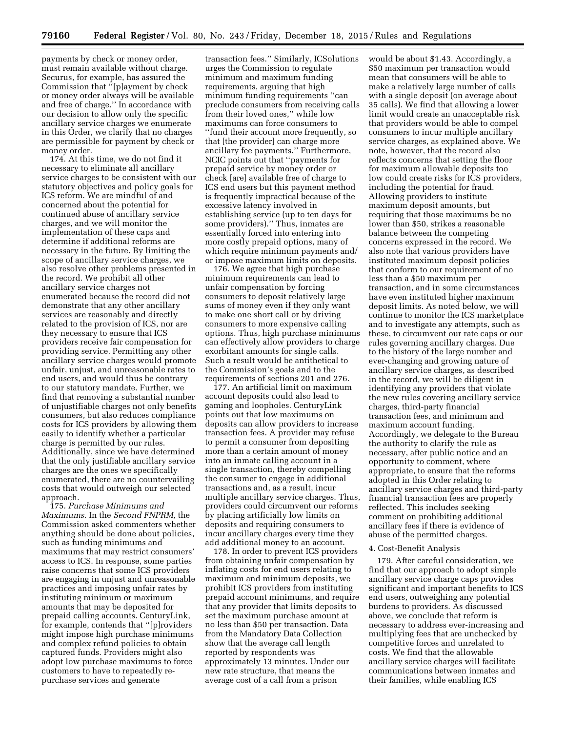payments by check or money order, must remain available without charge. Securus, for example, has assured the Commission that ''[p]ayment by check or money order always will be available and free of charge.'' In accordance with our decision to allow only the specific ancillary service charges we enumerate in this Order, we clarify that no charges are permissible for payment by check or money order.

174. At this time, we do not find it necessary to eliminate all ancillary service charges to be consistent with our statutory objectives and policy goals for ICS reform. We are mindful of and concerned about the potential for continued abuse of ancillary service charges, and we will monitor the implementation of these caps and determine if additional reforms are necessary in the future. By limiting the scope of ancillary service charges, we also resolve other problems presented in the record. We prohibit all other ancillary service charges not enumerated because the record did not demonstrate that any other ancillary services are reasonably and directly related to the provision of ICS, nor are they necessary to ensure that ICS providers receive fair compensation for providing service. Permitting any other ancillary service charges would promote unfair, unjust, and unreasonable rates to end users, and would thus be contrary to our statutory mandate. Further, we find that removing a substantial number of unjustifiable charges not only benefits consumers, but also reduces compliance costs for ICS providers by allowing them easily to identify whether a particular charge is permitted by our rules. Additionally, since we have determined that the only justifiable ancillary service charges are the ones we specifically enumerated, there are no countervailing costs that would outweigh our selected approach.

175. *Purchase Minimums and Maximums.* In the *Second FNPRM,* the Commission asked commenters whether anything should be done about policies, such as funding minimums and maximums that may restrict consumers' access to ICS. In response, some parties raise concerns that some ICS providers are engaging in unjust and unreasonable practices and imposing unfair rates by instituting minimum or maximum amounts that may be deposited for prepaid calling accounts. CenturyLink, for example, contends that ''[p]roviders might impose high purchase minimums and complex refund policies to obtain captured funds. Providers might also adopt low purchase maximums to force customers to have to repeatedly repurchase services and generate

transaction fees.'' Similarly, ICSolutions urges the Commission to regulate minimum and maximum funding requirements, arguing that high minimum funding requirements ''can preclude consumers from receiving calls from their loved ones,'' while low maximums can force consumers to ''fund their account more frequently, so that [the provider] can charge more ancillary fee payments.'' Furthermore, NCIC points out that ''payments for prepaid service by money order or check [are] available free of charge to ICS end users but this payment method is frequently impractical because of the excessive latency involved in establishing service (up to ten days for some providers).'' Thus, inmates are essentially forced into entering into more costly prepaid options, many of which require minimum payments and/ or impose maximum limits on deposits.

176. We agree that high purchase minimum requirements can lead to unfair compensation by forcing consumers to deposit relatively large sums of money even if they only want to make one short call or by driving consumers to more expensive calling options. Thus, high purchase minimums can effectively allow providers to charge exorbitant amounts for single calls. Such a result would be antithetical to the Commission's goals and to the requirements of sections 201 and 276.

177. An artificial limit on maximum account deposits could also lead to gaming and loopholes. CenturyLink points out that low maximums on deposits can allow providers to increase transaction fees. A provider may refuse to permit a consumer from depositing more than a certain amount of money into an inmate calling account in a single transaction, thereby compelling the consumer to engage in additional transactions and, as a result, incur multiple ancillary service charges. Thus, providers could circumvent our reforms by placing artificially low limits on deposits and requiring consumers to incur ancillary charges every time they add additional money to an account.

178. In order to prevent ICS providers from obtaining unfair compensation by inflating costs for end users relating to maximum and minimum deposits, we prohibit ICS providers from instituting prepaid account minimums, and require that any provider that limits deposits to set the maximum purchase amount at no less than \$50 per transaction. Data from the Mandatory Data Collection show that the average call length reported by respondents was approximately 13 minutes. Under our new rate structure, that means the average cost of a call from a prison

would be about \$1.43. Accordingly, a \$50 maximum per transaction would mean that consumers will be able to make a relatively large number of calls with a single deposit (on average about 35 calls). We find that allowing a lower limit would create an unacceptable risk that providers would be able to compel consumers to incur multiple ancillary service charges, as explained above. We note, however, that the record also reflects concerns that setting the floor for maximum allowable deposits too low could create risks for ICS providers, including the potential for fraud. Allowing providers to institute maximum deposit amounts, but requiring that those maximums be no lower than \$50, strikes a reasonable balance between the competing concerns expressed in the record. We also note that various providers have instituted maximum deposit policies that conform to our requirement of no less than a \$50 maximum per transaction, and in some circumstances have even instituted higher maximum deposit limits. As noted below, we will continue to monitor the ICS marketplace and to investigate any attempts, such as these, to circumvent our rate caps or our rules governing ancillary charges. Due to the history of the large number and ever-changing and growing nature of ancillary service charges, as described in the record, we will be diligent in identifying any providers that violate the new rules covering ancillary service charges, third-party financial transaction fees, and minimum and maximum account funding. Accordingly, we delegate to the Bureau the authority to clarify the rule as necessary, after public notice and an opportunity to comment, where appropriate, to ensure that the reforms adopted in this Order relating to ancillary service charges and third-party financial transaction fees are properly reflected. This includes seeking comment on prohibiting additional ancillary fees if there is evidence of abuse of the permitted charges.

#### 4. Cost-Benefit Analysis

179. After careful consideration, we find that our approach to adopt simple ancillary service charge caps provides significant and important benefits to ICS end users, outweighing any potential burdens to providers. As discussed above, we conclude that reform is necessary to address ever-increasing and multiplying fees that are unchecked by competitive forces and unrelated to costs. We find that the allowable ancillary service charges will facilitate communications between inmates and their families, while enabling ICS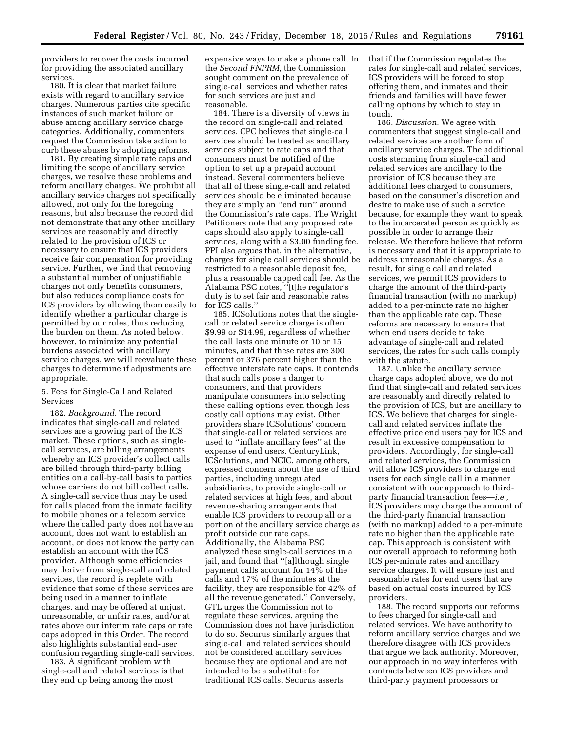providers to recover the costs incurred for providing the associated ancillary services.

180. It is clear that market failure exists with regard to ancillary service charges. Numerous parties cite specific instances of such market failure or abuse among ancillary service charge categories. Additionally, commenters request the Commission take action to curb these abuses by adopting reforms.

181. By creating simple rate caps and limiting the scope of ancillary service charges, we resolve these problems and reform ancillary charges. We prohibit all ancillary service charges not specifically allowed, not only for the foregoing reasons, but also because the record did not demonstrate that any other ancillary services are reasonably and directly related to the provision of ICS or necessary to ensure that ICS providers receive fair compensation for providing service. Further, we find that removing a substantial number of unjustifiable charges not only benefits consumers, but also reduces compliance costs for ICS providers by allowing them easily to identify whether a particular charge is permitted by our rules, thus reducing the burden on them. As noted below, however, to minimize any potential burdens associated with ancillary service charges, we will reevaluate these charges to determine if adjustments are appropriate.

# 5. Fees for Single-Call and Related Services

182. *Background.* The record indicates that single-call and related services are a growing part of the ICS market. These options, such as singlecall services, are billing arrangements whereby an ICS provider's collect calls are billed through third-party billing entities on a call-by-call basis to parties whose carriers do not bill collect calls. A single-call service thus may be used for calls placed from the inmate facility to mobile phones or a telecom service where the called party does not have an account, does not want to establish an account, or does not know the party can establish an account with the ICS provider. Although some efficiencies may derive from single-call and related services, the record is replete with evidence that some of these services are being used in a manner to inflate charges, and may be offered at unjust, unreasonable, or unfair rates, and/or at rates above our interim rate caps or rate caps adopted in this Order. The record also highlights substantial end-user confusion regarding single-call services.

183. A significant problem with single-call and related services is that they end up being among the most

expensive ways to make a phone call. In the *Second FNPRM,* the Commission sought comment on the prevalence of single-call services and whether rates for such services are just and reasonable.

184. There is a diversity of views in the record on single-call and related services. CPC believes that single-call services should be treated as ancillary services subject to rate caps and that consumers must be notified of the option to set up a prepaid account instead. Several commenters believe that all of these single-call and related services should be eliminated because they are simply an ''end run'' around the Commission's rate caps. The Wright Petitioners note that any proposed rate caps should also apply to single-call services, along with a \$3.00 funding fee. PPI also argues that, in the alternative, charges for single call services should be restricted to a reasonable deposit fee, plus a reasonable capped call fee. As the Alabama PSC notes, ''[t]he regulator's duty is to set fair and reasonable rates for ICS calls.''

185. ICSolutions notes that the singlecall or related service charge is often \$9.99 or \$14.99, regardless of whether the call lasts one minute or 10 or 15 minutes, and that these rates are 300 percent or 376 percent higher than the effective interstate rate caps. It contends that such calls pose a danger to consumers, and that providers manipulate consumers into selecting these calling options even though less costly call options may exist. Other providers share ICSolutions' concern that single-call or related services are used to ''inflate ancillary fees'' at the expense of end users. CenturyLink, ICSolutions, and NCIC, among others, expressed concern about the use of third parties, including unregulated subsidiaries, to provide single-call or related services at high fees, and about revenue-sharing arrangements that enable ICS providers to recoup all or a portion of the ancillary service charge as profit outside our rate caps. Additionally, the Alabama PSC analyzed these single-call services in a jail, and found that ''[a]lthough single payment calls account for 14% of the calls and 17% of the minutes at the facility, they are responsible for 42% of all the revenue generated.'' Conversely, GTL urges the Commission not to regulate these services, arguing the Commission does not have jurisdiction to do so. Securus similarly argues that single-call and related services should not be considered ancillary services because they are optional and are not intended to be a substitute for traditional ICS calls. Securus asserts

that if the Commission regulates the rates for single-call and related services, ICS providers will be forced to stop offering them, and inmates and their friends and families will have fewer calling options by which to stay in touch.

186. *Discussion.* We agree with commenters that suggest single-call and related services are another form of ancillary service charges. The additional costs stemming from single-call and related services are ancillary to the provision of ICS because they are additional fees charged to consumers, based on the consumer's discretion and desire to make use of such a service because, for example they want to speak to the incarcerated person as quickly as possible in order to arrange their release. We therefore believe that reform is necessary and that it is appropriate to address unreasonable charges. As a result, for single call and related services, we permit ICS providers to charge the amount of the third-party financial transaction (with no markup) added to a per-minute rate no higher than the applicable rate cap. These reforms are necessary to ensure that when end users decide to take advantage of single-call and related services, the rates for such calls comply with the statute.

187. Unlike the ancillary service charge caps adopted above, we do not find that single-call and related services are reasonably and directly related to the provision of ICS, but are ancillary to ICS. We believe that charges for singlecall and related services inflate the effective price end users pay for ICS and result in excessive compensation to providers. Accordingly, for single-call and related services, the Commission will allow ICS providers to charge end users for each single call in a manner consistent with our approach to thirdparty financial transaction fees—*i.e.,*  ICS providers may charge the amount of the third-party financial transaction (with no markup) added to a per-minute rate no higher than the applicable rate cap. This approach is consistent with our overall approach to reforming both ICS per-minute rates and ancillary service charges. It will ensure just and reasonable rates for end users that are based on actual costs incurred by ICS providers.

188. The record supports our reforms to fees charged for single-call and related services. We have authority to reform ancillary service charges and we therefore disagree with ICS providers that argue we lack authority. Moreover, our approach in no way interferes with contracts between ICS providers and third-party payment processors or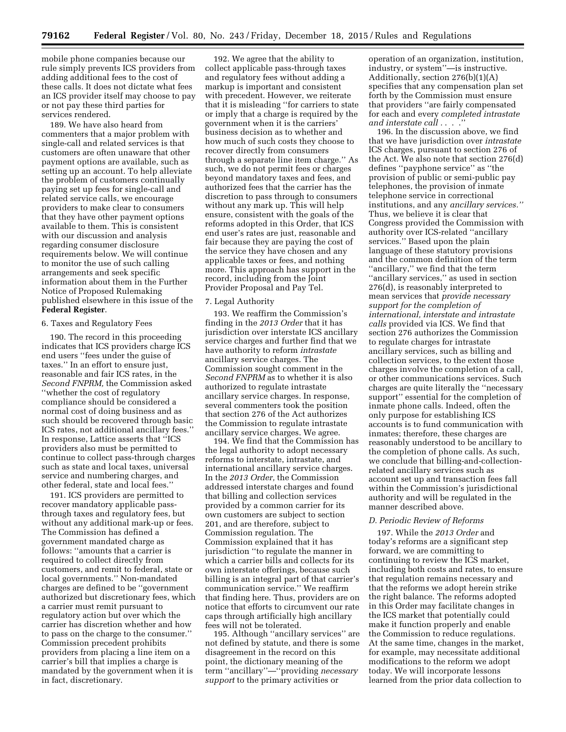mobile phone companies because our rule simply prevents ICS providers from adding additional fees to the cost of these calls. It does not dictate what fees an ICS provider itself may choose to pay or not pay these third parties for services rendered.

189. We have also heard from commenters that a major problem with single-call and related services is that customers are often unaware that other payment options are available, such as setting up an account. To help alleviate the problem of customers continually paying set up fees for single-call and related service calls, we encourage providers to make clear to consumers that they have other payment options available to them. This is consistent with our discussion and analysis regarding consumer disclosure requirements below. We will continue to monitor the use of such calling arrangements and seek specific information about them in the Further Notice of Proposed Rulemaking published elsewhere in this issue of the **Federal Register**.

#### 6. Taxes and Regulatory Fees

190. The record in this proceeding indicates that ICS providers charge ICS end users ''fees under the guise of taxes.'' In an effort to ensure just, reasonable and fair ICS rates, in the *Second FNPRM,* the Commission asked ''whether the cost of regulatory compliance should be considered a normal cost of doing business and as such should be recovered through basic ICS rates, not additional ancillary fees.'' In response, Lattice asserts that ''ICS providers also must be permitted to continue to collect pass-through charges such as state and local taxes, universal service and numbering charges, and other federal, state and local fees.''

191. ICS providers are permitted to recover mandatory applicable passthrough taxes and regulatory fees, but without any additional mark-up or fees. The Commission has defined a government mandated charge as follows: ''amounts that a carrier is required to collect directly from customers, and remit to federal, state or local governments.'' Non-mandated charges are defined to be ''government authorized but discretionary fees, which a carrier must remit pursuant to regulatory action but over which the carrier has discretion whether and how to pass on the charge to the consumer.'' Commission precedent prohibits providers from placing a line item on a carrier's bill that implies a charge is mandated by the government when it is in fact, discretionary.

192. We agree that the ability to collect applicable pass-through taxes and regulatory fees without adding a markup is important and consistent with precedent. However, we reiterate that it is misleading ''for carriers to state or imply that a charge is required by the government when it is the carriers' business decision as to whether and how much of such costs they choose to recover directly from consumers through a separate line item charge.'' As such, we do not permit fees or charges beyond mandatory taxes and fees, and authorized fees that the carrier has the discretion to pass through to consumers without any mark up. This will help ensure, consistent with the goals of the reforms adopted in this Order, that ICS end user's rates are just, reasonable and fair because they are paying the cost of the service they have chosen and any applicable taxes or fees, and nothing more. This approach has support in the record, including from the Joint Provider Proposal and Pay Tel.

#### 7. Legal Authority

193. We reaffirm the Commission's finding in the *2013 Order* that it has jurisdiction over interstate ICS ancillary service charges and further find that we have authority to reform *intrastate*  ancillary service charges. The Commission sought comment in the *Second FNPRM* as to whether it is also authorized to regulate intrastate ancillary service charges. In response, several commenters took the position that section 276 of the Act authorizes the Commission to regulate intrastate ancillary service charges. We agree.

194. We find that the Commission has the legal authority to adopt necessary reforms to interstate, intrastate, and international ancillary service charges. In the *2013 Order,* the Commission addressed interstate charges and found that billing and collection services provided by a common carrier for its own customers are subject to section 201, and are therefore, subject to Commission regulation. The Commission explained that it has jurisdiction ''to regulate the manner in which a carrier bills and collects for its own interstate offerings, because such billing is an integral part of that carrier's communication service.'' We reaffirm that finding here. Thus, providers are on notice that efforts to circumvent our rate caps through artificially high ancillary fees will not be tolerated.

195. Although ''ancillary services'' are not defined by statute, and there is some disagreement in the record on this point, the dictionary meaning of the term ''ancillary''—''providing *necessary support* to the primary activities or

operation of an organization, institution, industry, or system''—is instructive. Additionally, section 276(b)(1)(A) specifies that any compensation plan set forth by the Commission must ensure that providers ''are fairly compensated for each and every *completed intrastate and interstate call .* . . .''

196. In the discussion above, we find that we have jurisdiction over *intrastate*  ICS charges, pursuant to section 276 of the Act. We also note that section 276(d) defines ''payphone service'' as ''the provision of public or semi-public pay telephones, the provision of inmate telephone service in correctional institutions, and any *ancillary services.''*  Thus, we believe it is clear that Congress provided the Commission with authority over ICS-related ''ancillary services.'' Based upon the plain language of these statutory provisions and the common definition of the term ''ancillary,'' we find that the term ''ancillary services,'' as used in section 276(d), is reasonably interpreted to mean services that *provide necessary support for the completion of international, interstate and intrastate calls* provided via ICS. We find that section 276 authorizes the Commission to regulate charges for intrastate ancillary services, such as billing and collection services, to the extent those charges involve the completion of a call, or other communications services. Such charges are quite literally the ''necessary support'' essential for the completion of inmate phone calls. Indeed, often the only purpose for establishing ICS accounts is to fund communication with inmates; therefore, these charges are reasonably understood to be ancillary to the completion of phone calls. As such, we conclude that billing-and-collectionrelated ancillary services such as account set up and transaction fees fall within the Commission's jurisdictional authority and will be regulated in the manner described above.

#### *D. Periodic Review of Reforms*

197. While the *2013 Order* and today's reforms are a significant step forward, we are committing to continuing to review the ICS market, including both costs and rates, to ensure that regulation remains necessary and that the reforms we adopt herein strike the right balance. The reforms adopted in this Order may facilitate changes in the ICS market that potentially could make it function properly and enable the Commission to reduce regulations. At the same time, changes in the market, for example, may necessitate additional modifications to the reform we adopt today. We will incorporate lessons learned from the prior data collection to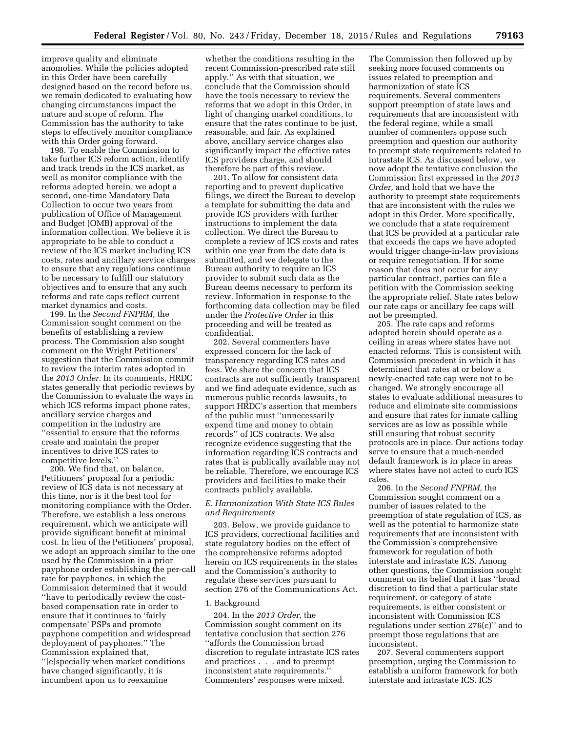improve quality and eliminate anomolies. While the policies adopted in this Order have been carefully designed based on the record before us, we remain dedicated to evaluating how changing circumstances impact the nature and scope of reform. The Commission has the authority to take steps to effectively monitor compliance with this Order going forward.

198. To enable the Commission to take further ICS reform action, identify and track trends in the ICS market, as well as monitor compliance with the reforms adopted herein, we adopt a second, one-time Mandatory Data Collection to occur two years from publication of Office of Management and Budget (OMB) approval of the information collection. We believe it is appropriate to be able to conduct a review of the ICS market including ICS costs, rates and ancillary service charges to ensure that any regulations continue to be necessary to fulfill our statutory objectives and to ensure that any such reforms and rate caps reflect current market dynamics and costs.

199. In the *Second FNPRM,* the Commission sought comment on the benefits of establishing a review process. The Commission also sought comment on the Wright Petitioners' suggestion that the Commission commit to review the interim rates adopted in the *2013 Order.* In its comments, HRDC states generally that periodic reviews by the Commission to evaluate the ways in which ICS reforms impact phone rates, ancillary service charges and competition in the industry are ''essential to ensure that the reforms create and maintain the proper incentives to drive ICS rates to competitive levels.''

200. We find that, on balance, Petitioners' proposal for a periodic review of ICS data is not necessary at this time, nor is it the best tool for monitoring compliance with the Order. Therefore, we establish a less onerous requirement, which we anticipate will provide significant benefit at minimal cost. In lieu of the Petitioners' proposal, we adopt an approach similar to the one used by the Commission in a prior payphone order establishing the per-call rate for payphones, in which the Commission determined that it would ''have to periodically review the costbased compensation rate in order to ensure that it continues to 'fairly compensate' PSPs and promote payphone competition and widespread deployment of payphones.'' The Commission explained that, ''[e]specially when market conditions have changed significantly, it is incumbent upon us to reexamine

whether the conditions resulting in the recent Commission-prescribed rate still apply.'' As with that situation, we conclude that the Commission should have the tools necessary to review the reforms that we adopt in this Order, in light of changing market conditions, to ensure that the rates continue to be just, reasonable, and fair. As explained above, ancillary service charges also significantly impact the effective rates ICS providers charge, and should therefore be part of this review.

201. To allow for consistent data reporting and to prevent duplicative filings, we direct the Bureau to develop a template for submitting the data and provide ICS providers with further instructions to implement the data collection. We direct the Bureau to complete a review of ICS costs and rates within one year from the date data is submitted, and we delegate to the Bureau authority to require an ICS provider to submit such data as the Bureau deems necessary to perform its review. Information in response to the forthcoming data collection may be filed under the *Protective Order* in this proceeding and will be treated as confidential.

202. Several commenters have expressed concern for the lack of transparency regarding ICS rates and fees. We share the concern that ICS contracts are not sufficiently transparent and we find adequate evidence, such as numerous public records lawsuits, to support HRDC's assertion that members of the public must ''unnecessarily expend time and money to obtain records'' of ICS contracts. We also recognize evidence suggesting that the information regarding ICS contracts and rates that is publically available may not be reliable. Therefore, we encourage ICS providers and facilities to make their contracts publicly available.

# *E. Harmonization With State ICS Rules and Requirements*

203. Below, we provide guidance to ICS providers, correctional facilities and state regulatory bodies on the effect of the comprehensive reforms adopted herein on ICS requirements in the states and the Commission's authority to regulate these services pursuant to section 276 of the Communications Act.

# 1. Background

204. In the *2013 Order,* the Commission sought comment on its tentative conclusion that section 276 ''affords the Commission broad discretion to regulate intrastate ICS rates and practices . . . and to preempt inconsistent state requirements.'' Commenters' responses were mixed.

The Commission then followed up by seeking more focused comments on issues related to preemption and harmonization of state ICS requirements. Several commenters support preemption of state laws and requirements that are inconsistent with the federal regime, while a small number of commenters oppose such preemption and question our authority to preempt state requirements related to intrastate ICS. As discussed below, we now adopt the tentative conclusion the Commission first expressed in the *2013 Order,* and hold that we have the authority to preempt state requirements that are inconsistent with the rules we adopt in this Order. More specifically, we conclude that a state requirement that ICS be provided at a particular rate that exceeds the caps we have adopted would trigger change-in-law provisions or require renegotiation. If for some reason that does not occur for any particular contract, parties can file a petition with the Commission seeking the appropriate relief. State rates below our rate caps or ancillary fee caps will not be preempted.

205. The rate caps and reforms adopted herein should operate as a ceiling in areas where states have not enacted reforms. This is consistent with Commission precedent in which it has determined that rates at or below a newly-enacted rate cap were not to be changed. We strongly encourage all states to evaluate additional measures to reduce and eliminate site commissions and ensure that rates for inmate calling services are as low as possible while still ensuring that robust security protocols are in place. Our actions today serve to ensure that a much-needed default framework is in place in areas where states have not acted to curb ICS rates.

206. In the *Second FNPRM,* the Commission sought comment on a number of issues related to the preemption of state regulation of ICS, as well as the potential to harmonize state requirements that are inconsistent with the Commission's comprehensive framework for regulation of both interstate and intrastate ICS. Among other questions, the Commission sought comment on its belief that it has ''broad discretion to find that a particular state requirement, or category of state requirements, is either consistent or inconsistent with Commission ICS regulations under section 276(c)'' and to preempt those regulations that are inconsistent.

207. Several commenters support preemption, urging the Commission to establish a uniform framework for both interstate and intrastate ICS. ICS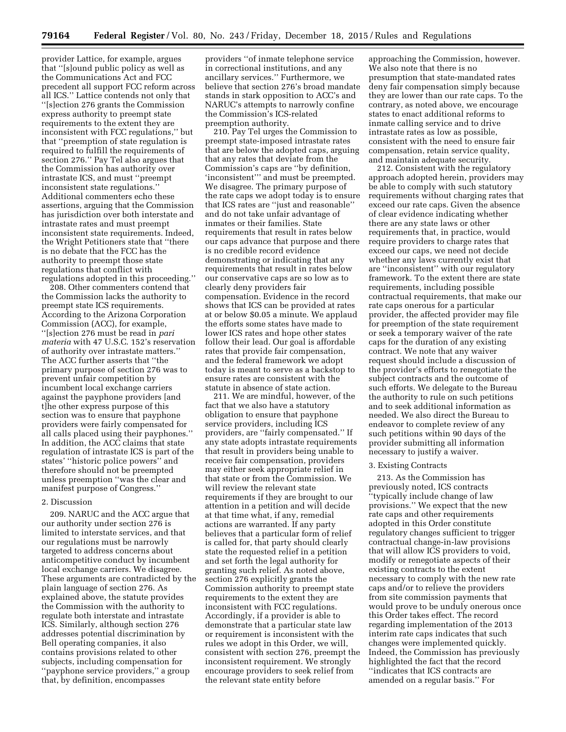provider Lattice, for example, argues that ''[s]ound public policy as well as the Communications Act and FCC precedent all support FCC reform across all ICS.'' Lattice contends not only that ''[s]ection 276 grants the Commission express authority to preempt state requirements to the extent they are inconsistent with FCC regulations,'' but that ''preemption of state regulation is required to fulfill the requirements of section 276.'' Pay Tel also argues that the Commission has authority over intrastate ICS, and must ''preempt inconsistent state regulations.'' Additional commenters echo these assertions, arguing that the Commission has jurisdiction over both interstate and intrastate rates and must preempt inconsistent state requirements. Indeed, the Wright Petitioners state that ''there is no debate that the FCC has the authority to preempt those state regulations that conflict with regulations adopted in this proceeding.''

208. Other commenters contend that the Commission lacks the authority to preempt state ICS requirements. According to the Arizona Corporation Commission (ACC), for example, ''[s]ection 276 must be read in *pari materia* with 47 U.S.C. 152's reservation of authority over intrastate matters.'' The ACC further asserts that ''the primary purpose of section 276 was to prevent unfair competition by incumbent local exchange carriers against the payphone providers [and t]he other express purpose of this section was to ensure that payphone providers were fairly compensated for all calls placed using their payphones.'' In addition, the ACC claims that state regulation of intrastate ICS is part of the states' ''historic police powers'' and therefore should not be preempted unless preemption ''was the clear and manifest purpose of Congress.''

# 2. Discussion

209. NARUC and the ACC argue that our authority under section 276 is limited to interstate services, and that our regulations must be narrowly targeted to address concerns about anticompetitive conduct by incumbent local exchange carriers. We disagree. These arguments are contradicted by the plain language of section 276. As explained above, the statute provides the Commission with the authority to regulate both interstate and intrastate ICS. Similarly, although section 276 addresses potential discrimination by Bell operating companies, it also contains provisions related to other subjects, including compensation for ''payphone service providers,'' a group that, by definition, encompasses

providers ''of inmate telephone service in correctional institutions, and any ancillary services.'' Furthermore, we believe that section 276's broad mandate stands in stark opposition to ACC's and NARUC's attempts to narrowly confine the Commission's ICS-related preemption authority.

210. Pay Tel urges the Commission to preempt state-imposed intrastate rates that are below the adopted caps, arguing that any rates that deviate from the Commission's caps are ''by definition, 'inconsistent''' and must be preempted. We disagree. The primary purpose of the rate caps we adopt today is to ensure that ICS rates are ''just and reasonable'' and do not take unfair advantage of inmates or their families. State requirements that result in rates below our caps advance that purpose and there is no credible record evidence demonstrating or indicating that any requirements that result in rates below our conservative caps are so low as to clearly deny providers fair compensation. Evidence in the record shows that ICS can be provided at rates at or below \$0.05 a minute. We applaud the efforts some states have made to lower ICS rates and hope other states follow their lead. Our goal is affordable rates that provide fair compensation, and the federal framework we adopt today is meant to serve as a backstop to ensure rates are consistent with the statute in absence of state action.

211. We are mindful, however, of the fact that we also have a statutory obligation to ensure that payphone service providers, including ICS providers, are ''fairly compensated.'' If any state adopts intrastate requirements that result in providers being unable to receive fair compensation, providers may either seek appropriate relief in that state or from the Commission. We will review the relevant state requirements if they are brought to our attention in a petition and will decide at that time what, if any, remedial actions are warranted. If any party believes that a particular form of relief is called for, that party should clearly state the requested relief in a petition and set forth the legal authority for granting such relief. As noted above, section 276 explicitly grants the Commission authority to preempt state requirements to the extent they are inconsistent with FCC regulations. Accordingly, if a provider is able to demonstrate that a particular state law or requirement is inconsistent with the rules we adopt in this Order, we will, consistent with section 276, preempt the inconsistent requirement. We strongly encourage providers to seek relief from the relevant state entity before

approaching the Commission, however. We also note that there is no presumption that state-mandated rates deny fair compensation simply because they are lower than our rate caps. To the contrary, as noted above, we encourage states to enact additional reforms to inmate calling service and to drive intrastate rates as low as possible, consistent with the need to ensure fair compensation, retain service quality, and maintain adequate security.

212. Consistent with the regulatory approach adopted herein, providers may be able to comply with such statutory requirements without charging rates that exceed our rate caps. Given the absence of clear evidence indicating whether there are any state laws or other requirements that, in practice, would require providers to charge rates that exceed our caps, we need not decide whether any laws currently exist that are ''inconsistent'' with our regulatory framework. To the extent there are state requirements, including possible contractual requirements, that make our rate caps onerous for a particular provider, the affected provider may file for preemption of the state requirement or seek a temporary waiver of the rate caps for the duration of any existing contract. We note that any waiver request should include a discussion of the provider's efforts to renegotiate the subject contracts and the outcome of such efforts. We delegate to the Bureau the authority to rule on such petitions and to seek additional information as needed. We also direct the Bureau to endeavor to complete review of any such petitions within 90 days of the provider submitting all information necessary to justify a waiver.

#### 3. Existing Contracts

213. As the Commission has previously noted, ICS contracts ''typically include change of law provisions.'' We expect that the new rate caps and other requirements adopted in this Order constitute regulatory changes sufficient to trigger contractual change-in-law provisions that will allow ICS providers to void, modify or renegotiate aspects of their existing contracts to the extent necessary to comply with the new rate caps and/or to relieve the providers from site commission payments that would prove to be unduly onerous once this Order takes effect. The record regarding implementation of the 2013 interim rate caps indicates that such changes were implemented quickly. Indeed, the Commission has previously highlighted the fact that the record ''indicates that ICS contracts are amended on a regular basis.'' For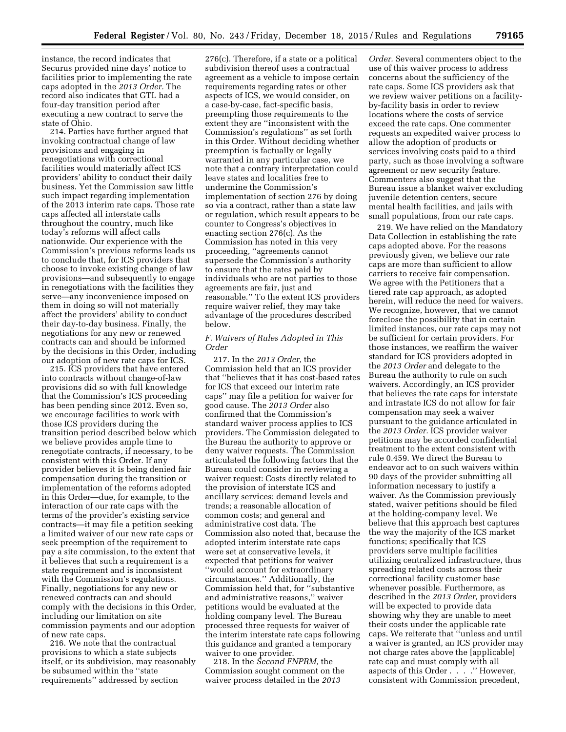instance, the record indicates that Securus provided nine days' notice to facilities prior to implementing the rate caps adopted in the *2013 Order.* The record also indicates that GTL had a four-day transition period after executing a new contract to serve the state of Ohio.

214. Parties have further argued that invoking contractual change of law provisions and engaging in renegotiations with correctional facilities would materially affect ICS providers' ability to conduct their daily business. Yet the Commission saw little such impact regarding implementation of the 2013 interim rate caps. Those rate caps affected all interstate calls throughout the country, much like today's reforms will affect calls nationwide. Our experience with the Commission's previous reforms leads us to conclude that, for ICS providers that choose to invoke existing change of law provisions—and subsequently to engage in renegotiations with the facilities they serve—any inconvenience imposed on them in doing so will not materially affect the providers' ability to conduct their day-to-day business. Finally, the negotiations for any new or renewed contracts can and should be informed by the decisions in this Order, including our adoption of new rate caps for ICS.

215. ICS providers that have entered into contracts without change-of-law provisions did so with full knowledge that the Commission's ICS proceeding has been pending since 2012. Even so, we encourage facilities to work with those ICS providers during the transition period described below which we believe provides ample time to renegotiate contracts, if necessary, to be consistent with this Order. If any provider believes it is being denied fair compensation during the transition or implementation of the reforms adopted in this Order—due, for example, to the interaction of our rate caps with the terms of the provider's existing service contracts—it may file a petition seeking a limited waiver of our new rate caps or seek preemption of the requirement to pay a site commission, to the extent that it believes that such a requirement is a state requirement and is inconsistent with the Commission's regulations. Finally, negotiations for any new or renewed contracts can and should comply with the decisions in this Order, including our limitation on site commission payments and our adoption of new rate caps.

216. We note that the contractual provisions to which a state subjects itself, or its subdivision, may reasonably be subsumed within the ''state requirements'' addressed by section

276(c). Therefore, if a state or a political subdivision thereof uses a contractual agreement as a vehicle to impose certain requirements regarding rates or other aspects of ICS, we would consider, on a case-by-case, fact-specific basis, preempting those requirements to the extent they are ''inconsistent with the Commission's regulations'' as set forth in this Order. Without deciding whether preemption is factually or legally warranted in any particular case, we note that a contrary interpretation could leave states and localities free to undermine the Commission's implementation of section 276 by doing so via a contract, rather than a state law or regulation, which result appears to be counter to Congress's objectives in enacting section 276(c). As the Commission has noted in this very proceeding, ''agreements cannot supersede the Commission's authority to ensure that the rates paid by individuals who are not parties to those agreements are fair, just and reasonable.'' To the extent ICS providers require waiver relief, they may take advantage of the procedures described below.

# *F. Waivers of Rules Adopted in This Order*

217. In the *2013 Order,* the Commission held that an ICS provider that ''believes that it has cost-based rates for ICS that exceed our interim rate caps'' may file a petition for waiver for good cause. The *2013 Order* also confirmed that the Commission's standard waiver process applies to ICS providers. The Commission delegated to the Bureau the authority to approve or deny waiver requests. The Commission articulated the following factors that the Bureau could consider in reviewing a waiver request: Costs directly related to the provision of interstate ICS and ancillary services; demand levels and trends; a reasonable allocation of common costs; and general and administrative cost data. The Commission also noted that, because the adopted interim interstate rate caps were set at conservative levels, it expected that petitions for waiver ''would account for extraordinary circumstances.'' Additionally, the Commission held that, for ''substantive and administrative reasons,'' waiver petitions would be evaluated at the holding company level. The Bureau processed three requests for waiver of the interim interstate rate caps following this guidance and granted a temporary waiver to one provider.

218. In the *Second FNPRM,* the Commission sought comment on the waiver process detailed in the *2013* 

*Order.* Several commenters object to the use of this waiver process to address concerns about the sufficiency of the rate caps. Some ICS providers ask that we review waiver petitions on a facilityby-facility basis in order to review locations where the costs of service exceed the rate caps. One commenter requests an expedited waiver process to allow the adoption of products or services involving costs paid to a third party, such as those involving a software agreement or new security feature. Commenters also suggest that the Bureau issue a blanket waiver excluding juvenile detention centers, secure mental health facilities, and jails with small populations, from our rate caps.

219. We have relied on the Mandatory Data Collection in establishing the rate caps adopted above. For the reasons previously given, we believe our rate caps are more than sufficient to allow carriers to receive fair compensation. We agree with the Petitioners that a tiered rate cap approach, as adopted herein, will reduce the need for waivers. We recognize, however, that we cannot foreclose the possibility that in certain limited instances, our rate caps may not be sufficient for certain providers. For those instances, we reaffirm the waiver standard for ICS providers adopted in the *2013 Order* and delegate to the Bureau the authority to rule on such waivers. Accordingly, an ICS provider that believes the rate caps for interstate and intrastate ICS do not allow for fair compensation may seek a waiver pursuant to the guidance articulated in the *2013 Order.* ICS provider waiver petitions may be accorded confidential treatment to the extent consistent with rule 0.459. We direct the Bureau to endeavor act to on such waivers within 90 days of the provider submitting all information necessary to justify a waiver. As the Commission previously stated, waiver petitions should be filed at the holding-company level. We believe that this approach best captures the way the majority of the ICS market functions; specifically that ICS providers serve multiple facilities utilizing centralized infrastructure, thus spreading related costs across their correctional facility customer base whenever possible. Furthermore, as described in the *2013 Order,* providers will be expected to provide data showing why they are unable to meet their costs under the applicable rate caps. We reiterate that ''unless and until a waiver is granted, an ICS provider may not charge rates above the [applicable] rate cap and must comply with all aspects of this Order . . . .'' However, consistent with Commission precedent,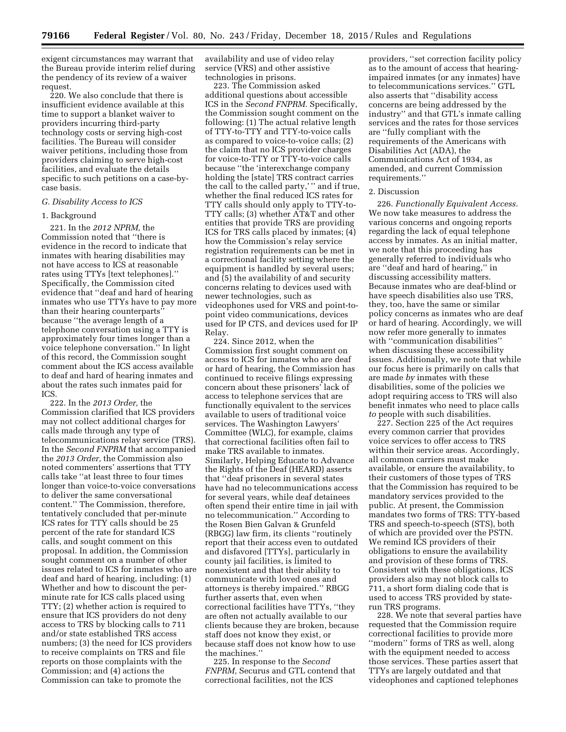exigent circumstances may warrant that the Bureau provide interim relief during the pendency of its review of a waiver request.

220. We also conclude that there is insufficient evidence available at this time to support a blanket waiver to providers incurring third-party technology costs or serving high-cost facilities. The Bureau will consider waiver petitions, including those from providers claiming to serve high-cost facilities, and evaluate the details specific to such petitions on a case-bycase basis.

#### *G. Disability Access to ICS*

#### 1. Background

221. In the *2012 NPRM,* the Commission noted that ''there is evidence in the record to indicate that inmates with hearing disabilities may not have access to ICS at reasonable rates using TTYs [text telephones].'' Specifically, the Commission cited evidence that ''deaf and hard of hearing inmates who use TTYs have to pay more than their hearing counterparts'' because ''the average length of a telephone conversation using a TTY is approximately four times longer than a voice telephone conversation.'' In light of this record, the Commission sought comment about the ICS access available to deaf and hard of hearing inmates and about the rates such inmates paid for ICS.

222. In the *2013 Order,* the Commission clarified that ICS providers may not collect additional charges for calls made through any type of telecommunications relay service (TRS). In the *Second FNPRM* that accompanied the *2013 Order,* the Commission also noted commenters' assertions that TTY calls take ''at least three to four times longer than voice-to-voice conversations to deliver the same conversational content.'' The Commission, therefore, tentatively concluded that per-minute ICS rates for TTY calls should be 25 percent of the rate for standard ICS calls, and sought comment on this proposal. In addition, the Commission sought comment on a number of other issues related to ICS for inmates who are deaf and hard of hearing, including: (1) Whether and how to discount the perminute rate for ICS calls placed using TTY; (2) whether action is required to ensure that ICS providers do not deny access to TRS by blocking calls to 711 and/or state established TRS access numbers; (3) the need for ICS providers to receive complaints on TRS and file reports on those complaints with the Commission; and (4) actions the Commission can take to promote the

availability and use of video relay service (VRS) and other assistive technologies in prisons.

223. The Commission asked additional questions about accessible ICS in the *Second FNPRM.* Specifically, the Commission sought comment on the following: (1) The actual relative length of TTY-to-TTY and TTY-to-voice calls as compared to voice-to-voice calls; (2) the claim that no ICS provider charges for voice-to-TTY or TTY-to-voice calls because ''the 'interexchange company holding the [state] TRS contract carries the call to the called party,'" and if true, whether the final reduced ICS rates for TTY calls should only apply to TTY-to-TTY calls; (3) whether AT&T and other entities that provide TRS are providing ICS for TRS calls placed by inmates; (4) how the Commission's relay service registration requirements can be met in a correctional facility setting where the equipment is handled by several users; and (5) the availability of and security concerns relating to devices used with newer technologies, such as videophones used for VRS and point-topoint video communications, devices used for IP CTS, and devices used for IP Relay.

224. Since 2012, when the Commission first sought comment on access to ICS for inmates who are deaf or hard of hearing, the Commission has continued to receive filings expressing concern about these prisoners' lack of access to telephone services that are functionally equivalent to the services available to users of traditional voice services. The Washington Lawyers' Committee (WLC), for example, claims that correctional facilities often fail to make TRS available to inmates. Similarly, Helping Educate to Advance the Rights of the Deaf (HEARD) asserts that ''deaf prisoners in several states have had no telecommunications access for several years, while deaf detainees often spend their entire time in jail with no telecommunication.'' According to the Rosen Bien Galvan & Grunfeld (RBGG) law firm, its clients ''routinely report that their access even to outdated and disfavored [TTYs], particularly in county jail facilities, is limited to nonexistent and that their ability to communicate with loved ones and attorneys is thereby impaired.'' RBGG further asserts that, even when correctional facilities have TTYs, ''they are often not actually available to our clients because they are broken, because staff does not know they exist, or because staff does not know how to use the machines.''

225. In response to the *Second FNPRM,* Securus and GTL contend that correctional facilities, not the ICS

providers, ''set correction facility policy as to the amount of access that hearingimpaired inmates (or any inmates) have to telecommunications services.'' GTL also asserts that ''disability access concerns are being addressed by the industry'' and that GTL's inmate calling services and the rates for those services are ''fully compliant with the requirements of the Americans with Disabilities Act (ADA), the Communications Act of 1934, as amended, and current Commission requirements.''

# 2. Discussion

226. *Functionally Equivalent Access.*  We now take measures to address the various concerns and ongoing reports regarding the lack of equal telephone access by inmates. As an initial matter, we note that this proceeding has generally referred to individuals who are ''deaf and hard of hearing,'' in discussing accessibility matters. Because inmates who are deaf-blind or have speech disabilities also use TRS, they, too, have the same or similar policy concerns as inmates who are deaf or hard of hearing. Accordingly, we will now refer more generally to inmates with ''communication disabilities'' when discussing these accessibility issues. Additionally, we note that while our focus here is primarily on calls that are made *by* inmates with these disabilities, some of the policies we adopt requiring access to TRS will also benefit inmates who need to place calls *to* people with such disabilities.

227. Section 225 of the Act requires every common carrier that provides voice services to offer access to TRS within their service areas. Accordingly, all common carriers must make available, or ensure the availability, to their customers of those types of TRS that the Commission has required to be mandatory services provided to the public. At present, the Commission mandates two forms of TRS: TTY-based TRS and speech-to-speech (STS), both of which are provided over the PSTN. We remind ICS providers of their obligations to ensure the availability and provision of these forms of TRS. Consistent with these obligations, ICS providers also may not block calls to 711, a short form dialing code that is used to access TRS provided by staterun TRS programs.

228. We note that several parties have requested that the Commission require correctional facilities to provide more ''modern'' forms of TRS as well, along with the equipment needed to access those services. These parties assert that TTYs are largely outdated and that videophones and captioned telephones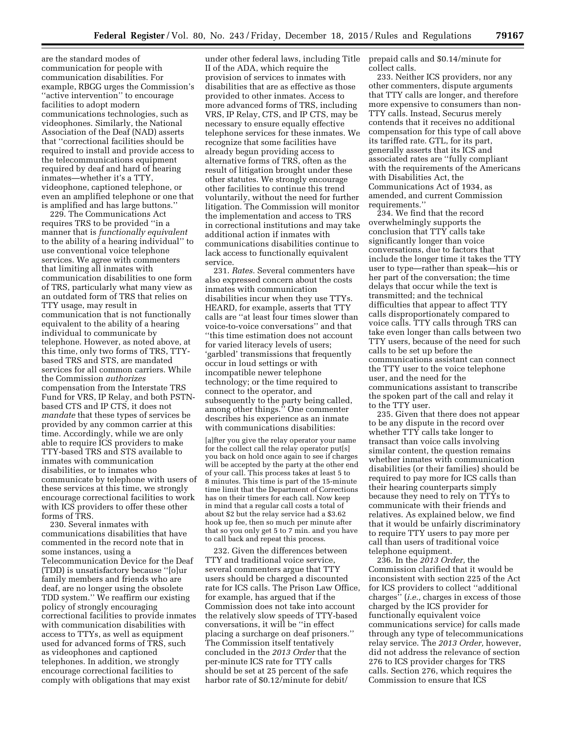are the standard modes of communication for people with communication disabilities. For example, RBGG urges the Commission's ''active intervention'' to encourage facilities to adopt modern communications technologies, such as videophones. Similarly, the National Association of the Deaf (NAD) asserts that ''correctional facilities should be required to install and provide access to the telecommunications equipment required by deaf and hard of hearing inmates—whether it's a TTY, videophone, captioned telephone, or even an amplified telephone or one that is amplified and has large buttons.''

229. The Communications Act requires TRS to be provided ''in a manner that is *functionally equivalent*  to the ability of a hearing individual'' to use conventional voice telephone services. We agree with commenters that limiting all inmates with communication disabilities to one form of TRS, particularly what many view as an outdated form of TRS that relies on TTY usage, may result in communication that is not functionally equivalent to the ability of a hearing individual to communicate by telephone. However, as noted above, at this time, only two forms of TRS, TTYbased TRS and STS, are mandated services for all common carriers. While the Commission *authorizes*  compensation from the Interstate TRS Fund for VRS, IP Relay, and both PSTNbased CTS and IP CTS, it does not *mandate* that these types of services be provided by any common carrier at this time. Accordingly, while we are only able to require ICS providers to make TTY-based TRS and STS available to inmates with communication disabilities, or to inmates who communicate by telephone with users of these services at this time, we strongly encourage correctional facilities to work with ICS providers to offer these other forms of TRS.

230. Several inmates with communications disabilities that have commented in the record note that in some instances, using a Telecommunication Device for the Deaf (TDD) is unsatisfactory because ''[o]ur family members and friends who are deaf, are no longer using the obsolete TDD system.'' We reaffirm our existing policy of strongly encouraging correctional facilities to provide inmates with communication disabilities with access to TTYs, as well as equipment used for advanced forms of TRS, such as videophones and captioned telephones. In addition, we strongly encourage correctional facilities to comply with obligations that may exist

under other federal laws, including Title II of the ADA, which require the provision of services to inmates with disabilities that are as effective as those provided to other inmates. Access to more advanced forms of TRS, including VRS, IP Relay, CTS, and IP CTS, may be necessary to ensure equally effective telephone services for these inmates. We recognize that some facilities have already begun providing access to alternative forms of TRS, often as the result of litigation brought under these other statutes. We strongly encourage other facilities to continue this trend voluntarily, without the need for further litigation. The Commission will monitor the implementation and access to TRS in correctional institutions and may take additional action if inmates with communications disabilities continue to lack access to functionally equivalent service.

231. *Rates.* Several commenters have also expressed concern about the costs inmates with communication disabilities incur when they use TTYs. HEARD, for example, asserts that TTY calls are ''at least four times slower than voice-to-voice conversations'' and that ''this time estimation does not account for varied literacy levels of users; 'garbled' transmissions that frequently occur in loud settings or with incompatible newer telephone technology; or the time required to connect to the operator, and subsequently to the party being called, among other things.'' One commenter describes his experience as an inmate with communications disabilities:

[a]fter you give the relay operator your name for the collect call the relay operator put[s] you back on hold once again to see if charges will be accepted by the party at the other end of your call. This process takes at least 5 to 8 minutes. This time is part of the 15-minute time limit that the Department of Corrections has on their timers for each call. Now keep in mind that a regular call costs a total of about \$2 but the relay service had a \$3.62 hook up fee, then so much per minute after that so you only get 5 to 7 min. and you have to call back and repeat this process.

232. Given the differences between TTY and traditional voice service, several commenters argue that TTY users should be charged a discounted rate for ICS calls. The Prison Law Office, for example, has argued that if the Commission does not take into account the relatively slow speeds of TTY-based conversations, it will be ''in effect placing a surcharge on deaf prisoners.'' The Commission itself tentatively concluded in the *2013 Order* that the per-minute ICS rate for TTY calls should be set at 25 percent of the safe harbor rate of \$0.12/minute for debit/

prepaid calls and \$0.14/minute for collect calls.

233. Neither ICS providers, nor any other commenters, dispute arguments that TTY calls are longer, and therefore more expensive to consumers than non-TTY calls. Instead, Securus merely contends that it receives no additional compensation for this type of call above its tariffed rate. GTL, for its part, generally asserts that its ICS and associated rates are ''fully compliant with the requirements of the Americans with Disabilities Act, the Communications Act of 1934, as amended, and current Commission requirements.''

234. We find that the record overwhelmingly supports the conclusion that TTY calls take significantly longer than voice conversations, due to factors that include the longer time it takes the TTY user to type—rather than speak—his or her part of the conversation; the time delays that occur while the text is transmitted; and the technical difficulties that appear to affect TTY calls disproportionately compared to voice calls. TTY calls through TRS can take even longer than calls between two TTY users, because of the need for such calls to be set up before the communications assistant can connect the TTY user to the voice telephone user, and the need for the communications assistant to transcribe the spoken part of the call and relay it to the TTY user.

235. Given that there does not appear to be any dispute in the record over whether TTY calls take longer to transact than voice calls involving similar content, the question remains whether inmates with communication disabilities (or their families) should be required to pay more for ICS calls than their hearing counterparts simply because they need to rely on TTYs to communicate with their friends and relatives. As explained below, we find that it would be unfairly discriminatory to require TTY users to pay more per call than users of traditional voice telephone equipment.

236. In the *2013 Order,* the Commission clarified that it would be inconsistent with section 225 of the Act for ICS providers to collect ''additional charges'' (*i.e.,* charges in excess of those charged by the ICS provider for functionally equivalent voice communications service) for calls made through any type of telecommunications relay service. The *2013 Order,* however, did not address the relevance of section 276 to ICS provider charges for TRS calls. Section 276, which requires the Commission to ensure that ICS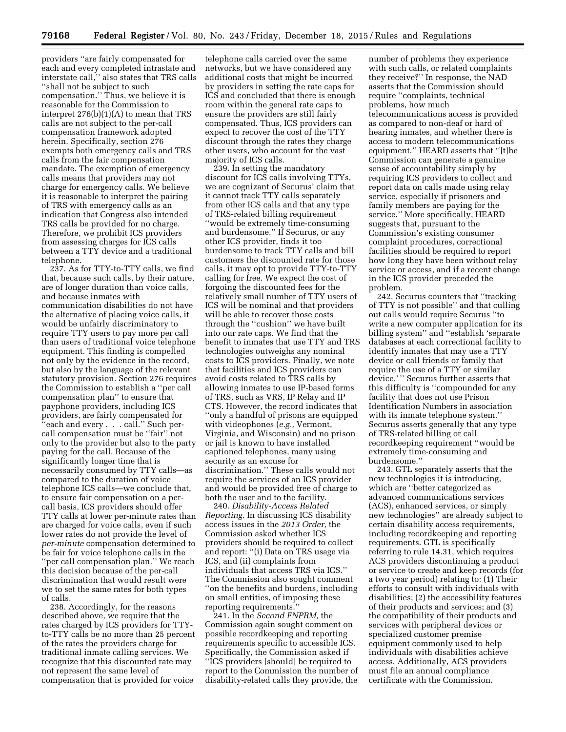providers ''are fairly compensated for each and every completed intrastate and interstate call,'' also states that TRS calls ''shall not be subject to such compensation.'' Thus, we believe it is reasonable for the Commission to interpret 276(b)(1)(A) to mean that TRS calls are not subject to the per-call compensation framework adopted herein. Specifically, section 276 exempts both emergency calls and TRS calls from the fair compensation mandate. The exemption of emergency calls means that providers may not charge for emergency calls. We believe it is reasonable to interpret the pairing of TRS with emergency calls as an indication that Congress also intended TRS calls be provided for no charge. Therefore, we prohibit ICS providers from assessing charges for ICS calls between a TTY device and a traditional telephone.

237. As for TTY-to-TTY calls, we find that, because such calls, by their nature, are of longer duration than voice calls, and because inmates with communication disabilities do not have the alternative of placing voice calls, it would be unfairly discriminatory to require TTY users to pay more per call than users of traditional voice telephone equipment. This finding is compelled not only by the evidence in the record, but also by the language of the relevant statutory provision. Section 276 requires the Commission to establish a ''per call compensation plan'' to ensure that payphone providers, including ICS providers, are fairly compensated for ''each and every . . . call.'' Such percall compensation must be ''fair'' not only to the provider but also to the party paying for the call. Because of the significantly longer time that is necessarily consumed by TTY calls—as compared to the duration of voice telephone ICS calls—we conclude that, to ensure fair compensation on a percall basis, ICS providers should offer TTY calls at lower per-minute rates than are charged for voice calls, even if such lower rates do not provide the level of *per-minute* compensation determined to be fair for voice telephone calls in the ''per call compensation plan.'' We reach this decision because of the per-call discrimination that would result were we to set the same rates for both types of calls.

238. Accordingly, for the reasons described above, we require that the rates charged by ICS providers for TTYto-TTY calls be no more than 25 percent of the rates the providers charge for traditional inmate calling services. We recognize that this discounted rate may not represent the same level of compensation that is provided for voice

telephone calls carried over the same networks, but we have considered any additional costs that might be incurred by providers in setting the rate caps for ICS and concluded that there is enough room within the general rate caps to ensure the providers are still fairly compensated. Thus, ICS providers can expect to recover the cost of the TTY discount through the rates they charge other users, who account for the vast majority of ICS calls.

239. In setting the mandatory discount for ICS calls involving TTYs, we are cognizant of Securus' claim that it cannot track TTY calls separately from other ICS calls and that any type of TRS-related billing requirement ''would be extremely time-consuming and burdensome.'' If Securus, or any other ICS provider, finds it too burdensome to track TTY calls and bill customers the discounted rate for those calls, it may opt to provide TTY-to-TTY calling for free. We expect the cost of forgoing the discounted fees for the relatively small number of TTY users of ICS will be nominal and that providers will be able to recover those costs through the ''cushion'' we have built into our rate caps. We find that the benefit to inmates that use TTY and TRS technologies outweighs any nominal costs to ICS providers. Finally, we note that facilities and ICS providers can avoid costs related to TRS calls by allowing inmates to use IP-based forms of TRS, such as VRS, IP Relay and IP CTS. However, the record indicates that ''only a handful of prisons are equipped with videophones (*e.g.,* Vermont, Virginia, and Wisconsin) and no prison or jail is known to have installed captioned telephones, many using security as an excuse for discrimination.'' These calls would not require the services of an ICS provider and would be provided free of charge to both the user and to the facility.

240. *Disability-Access Related Reporting.* In discussing ICS disability access issues in the *2013 Order,* the Commission asked whether ICS providers should be required to collect and report: ''(i) Data on TRS usage via ICS, and (ii) complaints from individuals that access TRS via ICS.'' The Commission also sought comment ''on the benefits and burdens, including on small entities, of imposing these reporting requirements.''

241. In the *Second FNPRM,* the Commission again sought comment on possible recordkeeping and reporting requirements specific to accessible ICS. Specifically, the Commission asked if ''ICS providers [should] be required to report to the Commission the number of disability-related calls they provide, the

number of problems they experience with such calls, or related complaints they receive?'' In response, the NAD asserts that the Commission should require ''complaints, technical problems, how much telecommunications access is provided as compared to non-deaf or hard of hearing inmates, and whether there is access to modern telecommunications equipment.'' HEARD asserts that ''[t]he Commission can generate a genuine sense of accountability simply by requiring ICS providers to collect and report data on calls made using relay service, especially if prisoners and family members are paying for the service.'' More specifically, HEARD suggests that, pursuant to the Commission's existing consumer complaint procedures, correctional facilities should be required to report how long they have been without relay service or access, and if a recent change in the ICS provider preceded the problem.

242. Securus counters that ''tracking of TTY is not possible'' and that culling out calls would require Securus ''to write a new computer application for its billing system'' and ''establish 'separate databases at each correctional facility to identify inmates that may use a TTY device or call friends or family that require the use of a TTY or similar device.' '' Securus further asserts that this difficulty is ''compounded for any facility that does not use Prison Identification Numbers in association with its inmate telephone system.'' Securus asserts generally that any type of TRS-related billing or call recordkeeping requirement ''would be extremely time-consuming and burdensome.''

243. GTL separately asserts that the new technologies it is introducing, which are ''better categorized as advanced communications services (ACS), enhanced services, or simply new technologies'' are already subject to certain disability access requirements, including recordkeeping and reporting requirements. GTL is specifically referring to rule 14.31, which requires ACS providers discontinuing a product or service to create and keep records (for a two year period) relating to: (1) Their efforts to consult with individuals with disabilities; (2) the accessibility features of their products and services; and (3) the compatibility of their products and services with peripheral devices or specialized customer premise equipment commonly used to help individuals with disabilities achieve access. Additionally, ACS providers must file an annual compliance certificate with the Commission.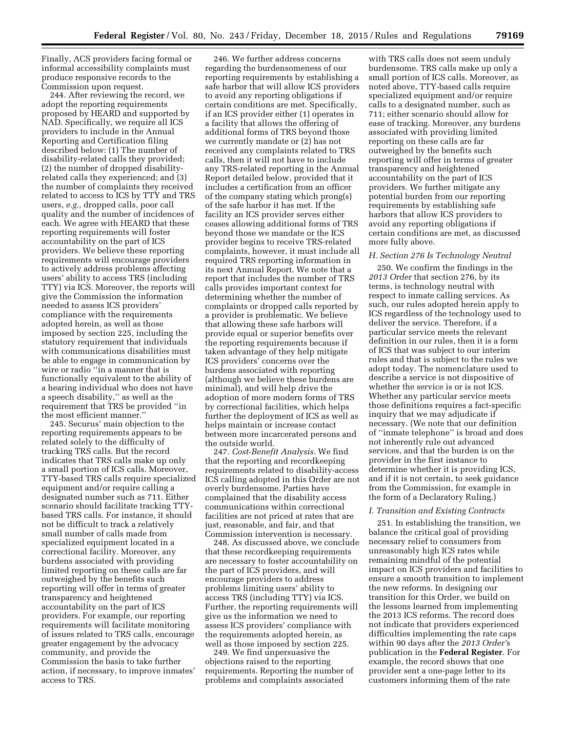Finally, ACS providers facing formal or informal accessibility complaints must produce responsive records to the Commission upon request.

244. After reviewing the record, we adopt the reporting requirements proposed by HEARD and supported by NAD. Specifically, we require all ICS providers to include in the Annual Reporting and Certification filing described below: (1) The number of disability-related calls they provided; (2) the number of dropped disabilityrelated calls they experienced; and (3) the number of complaints they received related to access to ICS by TTY and TRS users, *e.g.,* dropped calls, poor call quality and the number of incidences of each. We agree with HEARD that these reporting requirements will foster accountability on the part of ICS providers. We believe these reporting requirements will encourage providers to actively address problems affecting users' ability to access TRS (including TTY) via ICS. Moreover, the reports will give the Commission the information needed to assess ICS providers' compliance with the requirements adopted herein, as well as those imposed by section 225, including the statutory requirement that individuals with communications disabilities must be able to engage in communication by wire or radio ''in a manner that is functionally equivalent to the ability of a hearing individual who does not have a speech disability,'' as well as the requirement that TRS be provided ''in the most efficient manner.''

245. Securus' main objection to the reporting requirements appears to be related solely to the difficulty of tracking TRS calls. But the record indicates that TRS calls make up only a small portion of ICS calls. Moreover, TTY-based TRS calls require specialized equipment and/or require calling a designated number such as 711. Either scenario should facilitate tracking TTYbased TRS calls. For instance, it should not be difficult to track a relatively small number of calls made from specialized equipment located in a correctional facility. Moreover, any burdens associated with providing limited reporting on these calls are far outweighed by the benefits such reporting will offer in terms of greater transparency and heightened accountability on the part of ICS providers. For example, our reporting requirements will facilitate monitoring of issues related to TRS calls, encourage greater engagement by the advocacy community, and provide the Commission the basis to take further action, if necessary, to improve inmates' access to TRS.

246. We further address concerns regarding the burdensomeness of our reporting requirements by establishing a safe harbor that will allow ICS providers to avoid any reporting obligations if certain conditions are met. Specifically, if an ICS provider either (1) operates in a facility that allows the offering of additional forms of TRS beyond those we currently mandate or (2) has not received any complaints related to TRS calls, then it will not have to include any TRS-related reporting in the Annual Report detailed below, provided that it includes a certification from an officer of the company stating which prong(s) of the safe harbor it has met. If the facility an ICS provider serves either ceases allowing additional forms of TRS beyond those we mandate or the ICS provider begins to receive TRS-related complaints, however, it must include all required TRS reporting information in its next Annual Report. We note that a report that includes the number of TRS calls provides important context for determining whether the number of complaints or dropped calls reported by a provider is problematic. We believe that allowing these safe harbors will provide equal or superior benefits over the reporting requirements because if taken advantage of they help mitigate ICS providers' concerns over the burdens associated with reporting (although we believe these burdens are minimal), and will help drive the adoption of more modern forms of TRS by correctional facilities, which helps further the deployment of ICS as well as helps maintain or increase contact between more incarcerated persons and the outside world.

247. *Cost-Benefit Analysis.* We find that the reporting and recordkeeping requirements related to disability-access ICS calling adopted in this Order are not overly burdensome. Parties have complained that the disability access communications within correctional facilities are not priced at rates that are just, reasonable, and fair, and that Commission intervention is necessary.

248. As discussed above, we conclude that these recordkeeping requirements are necessary to foster accountability on the part of ICS providers, and will encourage providers to address problems limiting users' ability to access TRS (including TTY) via ICS. Further, the reporting requirements will give us the information we need to assess ICS providers' compliance with the requirements adopted herein, as well as those imposed by section 225.

249. We find unpersuasive the objections raised to the reporting requirements. Reporting the number of problems and complaints associated

with TRS calls does not seem unduly burdensome. TRS calls make up only a small portion of ICS calls. Moreover, as noted above, TTY-based calls require specialized equipment and/or require calls to a designated number, such as 711; either scenario should allow for ease of tracking. Moreover, any burdens associated with providing limited reporting on these calls are far outweighed by the benefits such reporting will offer in terms of greater transparency and heightened accountability on the part of ICS providers. We further mitigate any potential burden from our reporting requirements by establishing safe harbors that allow ICS providers to avoid any reporting obligations if certain conditions are met, as discussed more fully above.

#### *H. Section 276 Is Technology Neutral*

250. We confirm the findings in the *2013 Order* that section 276, by its terms, is technology neutral with respect to inmate calling services. As such, our rules adopted herein apply to ICS regardless of the technology used to deliver the service. Therefore, if a particular service meets the relevant definition in our rules, then it is a form of ICS that was subject to our interim rules and that is subject to the rules we adopt today. The nomenclature used to describe a service is not dispositive of whether the service is or is not ICS. Whether any particular service meets those definitions requires a fact-specific inquiry that we may adjudicate if necessary. (We note that our definition of ''inmate telephone'' is broad and does not inherently rule out advanced services, and that the burden is on the provider in the first instance to determine whether it is providing ICS, and if it is not certain, to seek guidance from the Commission, for example in the form of a Declaratory Ruling.)

#### *I. Transition and Existing Contracts*

251. In establishing the transition, we balance the critical goal of providing necessary relief to consumers from unreasonably high ICS rates while remaining mindful of the potential impact on ICS providers and facilities to ensure a smooth transition to implement the new reforms. In designing our transition for this Order, we build on the lessons learned from implementing the 2013 ICS reforms. The record does not indicate that providers experienced difficulties implementing the rate caps within 90 days after the *2013 Order'*s publication in the **Federal Register**. For example, the record shows that one provider sent a one-page letter to its customers informing them of the rate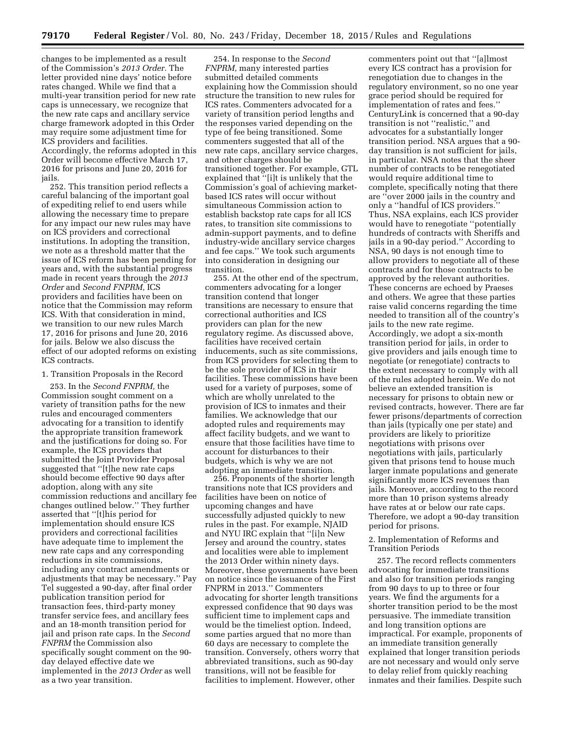changes to be implemented as a result of the Commission's *2013 Order.* The letter provided nine days' notice before rates changed. While we find that a multi-year transition period for new rate caps is unnecessary, we recognize that the new rate caps and ancillary service charge framework adopted in this Order may require some adjustment time for ICS providers and facilities. Accordingly, the reforms adopted in this Order will become effective March 17, 2016 for prisons and June 20, 2016 for jails.

252. This transition period reflects a careful balancing of the important goal of expediting relief to end users while allowing the necessary time to prepare for any impact our new rules may have on ICS providers and correctional institutions. In adopting the transition, we note as a threshold matter that the issue of ICS reform has been pending for years and, with the substantial progress made in recent years through the *2013 Order* and *Second FNPRM,* ICS providers and facilities have been on notice that the Commission may reform ICS. With that consideration in mind, we transition to our new rules March 17, 2016 for prisons and June 20, 2016 for jails. Below we also discuss the effect of our adopted reforms on existing ICS contracts.

1. Transition Proposals in the Record

253. In the *Second FNPRM,* the Commission sought comment on a variety of transition paths for the new rules and encouraged commenters advocating for a transition to identify the appropriate transition framework and the justifications for doing so. For example, the ICS providers that submitted the Joint Provider Proposal suggested that ''[t]he new rate caps should become effective 90 days after adoption, along with any site commission reductions and ancillary fee changes outlined below.'' They further asserted that ''[t]his period for implementation should ensure ICS providers and correctional facilities have adequate time to implement the new rate caps and any corresponding reductions in site commissions, including any contract amendments or adjustments that may be necessary.'' Pay Tel suggested a 90-day, after final order publication transition period for transaction fees, third-party money transfer service fees, and ancillary fees and an 18-month transition period for jail and prison rate caps. In the *Second FNPRM* the Commission also specifically sought comment on the 90 day delayed effective date we implemented in the *2013 Order* as well as a two year transition.

254. In response to the *Second FNPRM,* many interested parties submitted detailed comments explaining how the Commission should structure the transition to new rules for ICS rates. Commenters advocated for a variety of transition period lengths and the responses varied depending on the type of fee being transitioned. Some commenters suggested that all of the new rate caps, ancillary service charges, and other charges should be transitioned together. For example, GTL explained that ''[i]t is unlikely that the Commission's goal of achieving marketbased ICS rates will occur without simultaneous Commission action to establish backstop rate caps for all ICS rates, to transition site commissions to admin-support payments, and to define industry-wide ancillary service charges and fee caps.'' We took such arguments into consideration in designing our transition.

255. At the other end of the spectrum, commenters advocating for a longer transition contend that longer transitions are necessary to ensure that correctional authorities and ICS providers can plan for the new regulatory regime. As discussed above, facilities have received certain inducements, such as site commissions, from ICS providers for selecting them to be the sole provider of ICS in their facilities. These commissions have been used for a variety of purposes, some of which are wholly unrelated to the provision of ICS to inmates and their families. We acknowledge that our adopted rules and requirements may affect facility budgets, and we want to ensure that those facilities have time to account for disturbances to their budgets, which is why we are not adopting an immediate transition.

256. Proponents of the shorter length transitions note that ICS providers and facilities have been on notice of upcoming changes and have successfully adjusted quickly to new rules in the past. For example, NJAID and NYU IRC explain that ''[i]n New Jersey and around the country, states and localities were able to implement the 2013 Order within ninety days. Moreover, these governments have been on notice since the issuance of the First FNPRM in 2013.'' Commenters advocating for shorter length transitions expressed confidence that 90 days was sufficient time to implement caps and would be the timeliest option. Indeed, some parties argued that no more than 60 days are necessary to complete the transition. Conversely, others worry that abbreviated transitions, such as 90-day transitions, will not be feasible for facilities to implement. However, other

commenters point out that ''[a]lmost every ICS contract has a provision for renegotiation due to changes in the regulatory environment, so no one year grace period should be required for implementation of rates and fees.'' CenturyLink is concerned that a 90-day transition is not ''realistic,'' and advocates for a substantially longer transition period. NSA argues that a 90 day transition is not sufficient for jails, in particular. NSA notes that the sheer number of contracts to be renegotiated would require additional time to complete, specifically noting that there are ''over 2000 jails in the country and only a ''handful of ICS providers.'' Thus, NSA explains, each ICS provider would have to renegotiate ''potentially hundreds of contracts with Sheriffs and jails in a 90-day period.'' According to NSA, 90 days is not enough time to allow providers to negotiate all of these contracts and for those contracts to be approved by the relevant authorities. These concerns are echoed by Praeses and others. We agree that these parties raise valid concerns regarding the time needed to transition all of the country's jails to the new rate regime. Accordingly, we adopt a six-month transition period for jails, in order to give providers and jails enough time to negotiate (or renegotiate) contracts to the extent necessary to comply with all of the rules adopted herein. We do not believe an extended transition is necessary for prisons to obtain new or revised contracts, however. There are far fewer prisons/departments of correction than jails (typically one per state) and providers are likely to prioritize negotiations with prisons over negotiations with jails, particularly given that prisons tend to house much larger inmate populations and generate significantly more ICS revenues than jails. Moreover, according to the record more than 10 prison systems already have rates at or below our rate caps. Therefore, we adopt a 90-day transition period for prisons.

#### 2. Implementation of Reforms and Transition Periods

257. The record reflects commenters advocating for immediate transitions and also for transition periods ranging from 90 days to up to three or four years. We find the arguments for a shorter transition period to be the most persuasive. The immediate transition and long transition options are impractical. For example, proponents of an immediate transition generally explained that longer transition periods are not necessary and would only serve to delay relief from quickly reaching inmates and their families. Despite such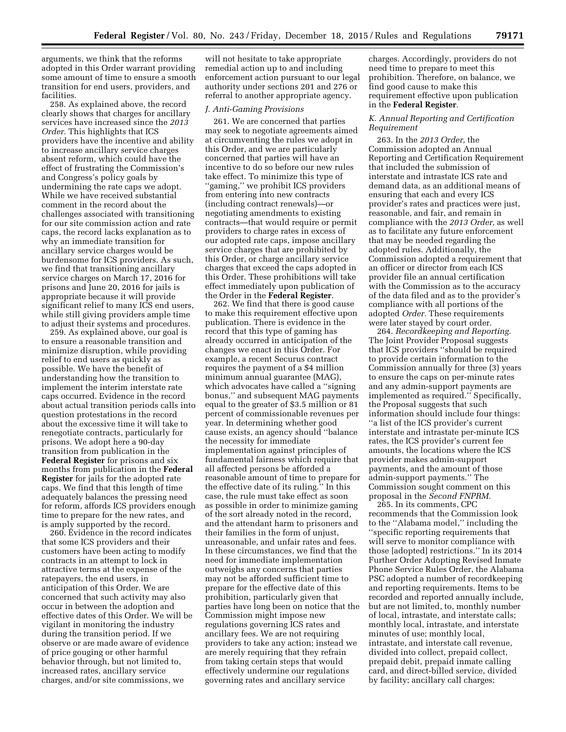arguments, we think that the reforms adopted in this Order warrant providing some amount of time to ensure a smooth transition for end users, providers, and facilities.

258. As explained above, the record clearly shows that charges for ancillary services have increased since the *2013 Order.* This highlights that ICS providers have the incentive and ability to increase ancillary service charges absent reform, which could have the effect of frustrating the Commission's and Congress's policy goals by undermining the rate caps we adopt. While we have received substantial comment in the record about the challenges associated with transitioning for our site commission action and rate caps, the record lacks explanation as to why an immediate transition for ancillary service charges would be burdensome for ICS providers. As such, we find that transitioning ancillary service charges on March 17, 2016 for prisons and June 20, 2016 for jails is appropriate because it will provide significant relief to many ICS end users, while still giving providers ample time to adjust their systems and procedures.

259. As explained above, our goal is to ensure a reasonable transition and minimize disruption, while providing relief to end users as quickly as possible. We have the benefit of understanding how the transition to implement the interim interstate rate caps occurred. Evidence in the record about actual transition periods calls into question protestations in the record about the excessive time it will take to renegotiate contracts, particularly for prisons. We adopt here a 90-day transition from publication in the **Federal Register** for prisons and six months from publication in the **Federal Register** for jails for the adopted rate caps. We find that this length of time adequately balances the pressing need for reform, affords ICS providers enough time to prepare for the new rates, and is amply supported by the record.

260. Evidence in the record indicates that some ICS providers and their customers have been acting to modify contracts in an attempt to lock in attractive terms at the expense of the ratepayers, the end users, in anticipation of this Order. We are concerned that such activity may also occur in between the adoption and effective dates of this Order. We will be vigilant in monitoring the industry during the transition period. If we observe or are made aware of evidence of price gouging or other harmful behavior through, but not limited to, increased rates, ancillary service charges, and/or site commissions, we

will not hesitate to take appropriate remedial action up to and including enforcement action pursuant to our legal authority under sections 201 and 276 or referral to another appropriate agency.

# *J. Anti-Gaming Provisions*

261. We are concerned that parties may seek to negotiate agreements aimed at circumventing the rules we adopt in this Order, and we are particularly concerned that parties will have an incentive to do so before our new rules take effect. To minimize this type of ''gaming,'' we prohibit ICS providers from entering into new contracts (including contract renewals)—or negotiating amendments to existing contracts—that would require or permit providers to charge rates in excess of our adopted rate caps, impose ancillary service charges that are prohibited by this Order, or charge ancillary service charges that exceed the caps adopted in this Order. These prohibitions will take effect immediately upon publication of the Order in the **Federal Register**.

262. We find that there is good cause to make this requirement effective upon publication. There is evidence in the record that this type of gaming has already occurred in anticipation of the changes we enact in this Order. For example, a recent Securus contract requires the payment of a \$4 million minimum annual guarantee (MAG), which advocates have called a ''signing bonus,'' and subsequent MAG payments equal to the greater of \$3.5 million or 81 percent of commissionable revenues per year. In determining whether good cause exists, an agency should ''balance the necessity for immediate implementation against principles of fundamental fairness which require that all affected persons be afforded a reasonable amount of time to prepare for the effective date of its ruling.'' In this case, the rule must take effect as soon as possible in order to minimize gaming of the sort already noted in the record, and the attendant harm to prisoners and their families in the form of unjust, unreasonable, and unfair rates and fees. In these circumstances, we find that the need for immediate implementation outweighs any concerns that parties may not be afforded sufficient time to prepare for the effective date of this prohibition, particularly given that parties have long been on notice that the Commission might impose new regulations governing ICS rates and ancillary fees. We are not requiring providers to take any action; instead we are merely requiring that they refrain from taking certain steps that would effectively undermine our regulations governing rates and ancillary service

charges. Accordingly, providers do not need time to prepare to meet this prohibition. Therefore, on balance, we find good cause to make this requirement effective upon publication in the **Federal Register**.

#### *K. Annual Reporting and Certification Requirement*

263. In the *2013 Order,* the Commission adopted an Annual Reporting and Certification Requirement that included the submission of interstate and intrastate ICS rate and demand data, as an additional means of ensuring that each and every ICS provider's rates and practices were just, reasonable, and fair, and remain in compliance with the *2013 Order,* as well as to facilitate any future enforcement that may be needed regarding the adopted rules. Additionally, the Commission adopted a requirement that an officer or director from each ICS provider file an annual certification with the Commission as to the accuracy of the data filed and as to the provider's compliance with all portions of the adopted *Order.* These requirements were later stayed by court order.

264. *Recordkeeping and Reporting.*  The Joint Provider Proposal suggests that ICS providers ''should be required to provide certain information to the Commission annually for three (3) years to ensure the caps on per-minute rates and any admin-support payments are implemented as required.'' Specifically, the Proposal suggests that such information should include four things: ''a list of the ICS provider's current interstate and intrastate per-minute ICS rates, the ICS provider's current fee amounts, the locations where the ICS provider makes admin-support payments, and the amount of those admin-support payments.'' The Commission sought comment on this proposal in the *Second FNPRM.* 

265. In its comments, CPC recommends that the Commission look to the ''Alabama model,'' including the ''specific reporting requirements that will serve to monitor compliance with those [adopted] restrictions.'' In its 2014 Further Order Adopting Revised Inmate Phone Service Rules Order, the Alabama PSC adopted a number of recordkeeping and reporting requirements. Items to be recorded and reported annually include, but are not limited, to, monthly number of local, intrastate, and interstate calls; monthly local, intrastate, and interstate minutes of use; monthly local, intrastate, and interstate call revenue, divided into collect, prepaid collect, prepaid debit, prepaid inmate calling card, and direct-billed service, divided by facility; ancillary call charges;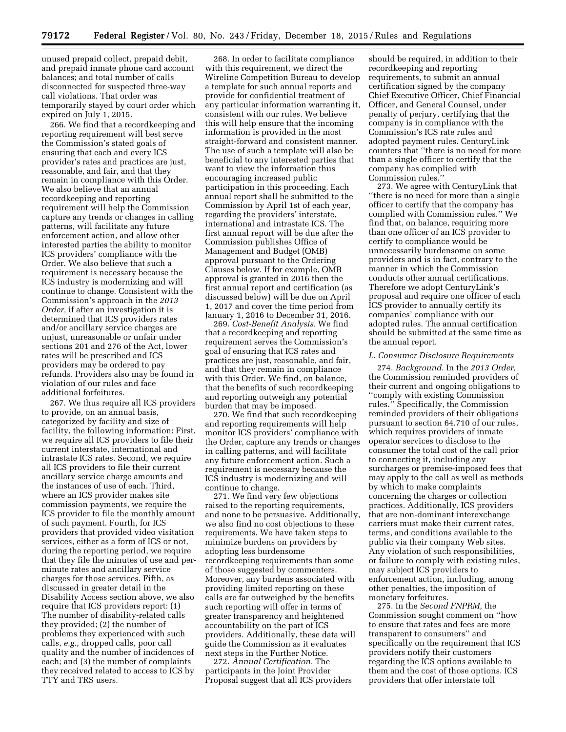unused prepaid collect, prepaid debit, and prepaid inmate phone card account balances; and total number of calls disconnected for suspected three-way call violations. That order was temporarily stayed by court order which expired on July 1, 2015.

266. We find that a recordkeeping and reporting requirement will best serve the Commission's stated goals of ensuring that each and every ICS provider's rates and practices are just, reasonable, and fair, and that they remain in compliance with this Order. We also believe that an annual recordkeeping and reporting requirement will help the Commission capture any trends or changes in calling patterns, will facilitate any future enforcement action, and allow other interested parties the ability to monitor ICS providers' compliance with the Order. We also believe that such a requirement is necessary because the ICS industry is modernizing and will continue to change. Consistent with the Commission's approach in the *2013 Order,* if after an investigation it is determined that ICS providers rates and/or ancillary service charges are unjust, unreasonable or unfair under sections 201 and 276 of the Act, lower rates will be prescribed and ICS providers may be ordered to pay refunds. Providers also may be found in violation of our rules and face additional forfeitures.

267. We thus require all ICS providers to provide, on an annual basis, categorized by facility and size of facility, the following information: First, we require all ICS providers to file their current interstate, international and intrastate ICS rates. Second, we require all ICS providers to file their current ancillary service charge amounts and the instances of use of each. Third, where an ICS provider makes site commission payments, we require the ICS provider to file the monthly amount of such payment. Fourth, for ICS providers that provided video visitation services, either as a form of ICS or not, during the reporting period, we require that they file the minutes of use and perminute rates and ancillary service charges for those services. Fifth, as discussed in greater detail in the Disability Access section above, we also require that ICS providers report: (1) The number of disability-related calls they provided; (2) the number of problems they experienced with such calls, *e.g.,* dropped calls, poor call quality and the number of incidences of each; and (3) the number of complaints they received related to access to ICS by TTY and TRS users.

268. In order to facilitate compliance with this requirement, we direct the Wireline Competition Bureau to develop a template for such annual reports and provide for confidential treatment of any particular information warranting it, consistent with our rules. We believe this will help ensure that the incoming information is provided in the most straight-forward and consistent manner. The use of such a template will also be beneficial to any interested parties that want to view the information thus encouraging increased public participation in this proceeding. Each annual report shall be submitted to the Commission by April 1st of each year, regarding the providers' interstate, international and intrastate ICS. The first annual report will be due after the Commission publishes Office of Management and Budget (OMB) approval pursuant to the Ordering Clauses below. If for example, OMB approval is granted in 2016 then the first annual report and certification (as discussed below) will be due on April 1, 2017 and cover the time period from January 1, 2016 to December 31, 2016.

269. *Cost-Benefit Analysis.* We find that a recordkeeping and reporting requirement serves the Commission's goal of ensuring that ICS rates and practices are just, reasonable, and fair, and that they remain in compliance with this Order. We find, on balance, that the benefits of such recordkeeping and reporting outweigh any potential burden that may be imposed.

270. We find that such recordkeeping and reporting requirements will help monitor ICS providers' compliance with the Order, capture any trends or changes in calling patterns, and will facilitate any future enforcement action. Such a requirement is necessary because the ICS industry is modernizing and will continue to change.

271. We find very few objections raised to the reporting requirements, and none to be persuasive. Additionally, we also find no cost objections to these requirements. We have taken steps to minimize burdens on providers by adopting less burdensome recordkeeping requirements than some of those suggested by commenters. Moreover, any burdens associated with providing limited reporting on these calls are far outweighed by the benefits such reporting will offer in terms of greater transparency and heightened accountability on the part of ICS providers. Additionally, these data will guide the Commission as it evaluates next steps in the Further Notice.

272. *Annual Certification.* The participants in the Joint Provider Proposal suggest that all ICS providers

should be required, in addition to their recordkeeping and reporting requirements, to submit an annual certification signed by the company Chief Executive Officer, Chief Financial Officer, and General Counsel, under penalty of perjury, certifying that the company is in compliance with the Commission's ICS rate rules and adopted payment rules. CenturyLink counters that ''there is no need for more than a single officer to certify that the company has complied with Commission rules.''

273. We agree with CenturyLink that ''there is no need for more than a single officer to certify that the company has complied with Commission rules.'' We find that, on balance, requiring more than one officer of an ICS provider to certify to compliance would be unnecessarily burdensome on some providers and is in fact, contrary to the manner in which the Commission conducts other annual certifications. Therefore we adopt CenturyLink's proposal and require one officer of each ICS provider to annually certify its companies' compliance with our adopted rules. The annual certification should be submitted at the same time as the annual report.

#### *L. Consumer Disclosure Requirements*

274. *Background.* In the *2013 Order,*  the Commission reminded providers of their current and ongoing obligations to ''comply with existing Commission rules.'' Specifically, the Commission reminded providers of their obligations pursuant to section 64.710 of our rules, which requires providers of inmate operator services to disclose to the consumer the total cost of the call prior to connecting it, including any surcharges or premise-imposed fees that may apply to the call as well as methods by which to make complaints concerning the charges or collection practices. Additionally, ICS providers that are non-dominant interexchange carriers must make their current rates, terms, and conditions available to the public via their company Web sites. Any violation of such responsibilities, or failure to comply with existing rules, may subject ICS providers to enforcement action, including, among other penalties, the imposition of monetary forfeitures.

275. In the *Second FNPRM,* the Commission sought comment on ''how to ensure that rates and fees are more transparent to consumers'' and specifically on the requirement that ICS providers notify their customers regarding the ICS options available to them and the cost of those options. ICS providers that offer interstate toll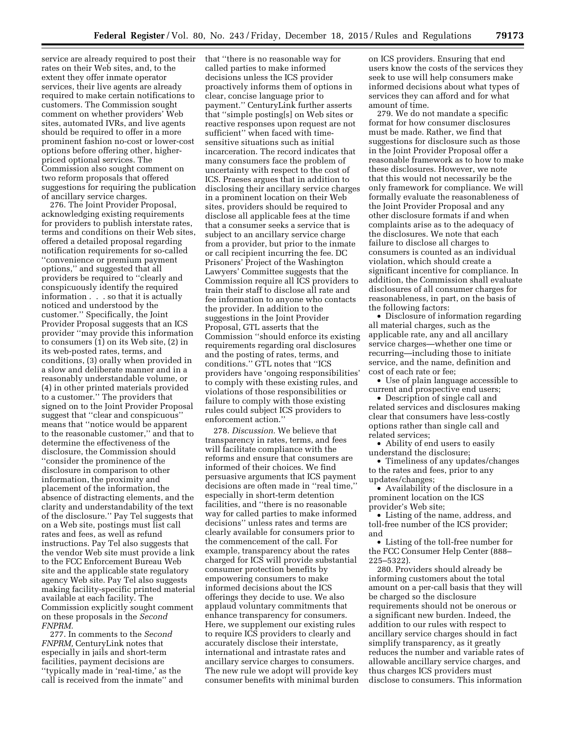service are already required to post their rates on their Web sites, and, to the extent they offer inmate operator services, their live agents are already required to make certain notifications to customers. The Commission sought comment on whether providers' Web sites, automated IVRs, and live agents should be required to offer in a more prominent fashion no-cost or lower-cost options before offering other, higherpriced optional services. The Commission also sought comment on two reform proposals that offered suggestions for requiring the publication of ancillary service charges.

276. The Joint Provider Proposal, acknowledging existing requirements for providers to publish interstate rates, terms and conditions on their Web sites, offered a detailed proposal regarding notification requirements for so-called ''convenience or premium payment options,'' and suggested that all providers be required to ''clearly and conspicuously identify the required information . . . so that it is actually noticed and understood by the customer.'' Specifically, the Joint Provider Proposal suggests that an ICS provider ''may provide this information to consumers (1) on its Web site, (2) in its web-posted rates, terms, and conditions, (3) orally when provided in a slow and deliberate manner and in a reasonably understandable volume, or (4) in other printed materials provided to a customer.'' The providers that signed on to the Joint Provider Proposal suggest that ''clear and conspicuous'' means that ''notice would be apparent to the reasonable customer,'' and that to determine the effectiveness of the disclosure, the Commission should ''consider the prominence of the disclosure in comparison to other information, the proximity and placement of the information, the absence of distracting elements, and the clarity and understandability of the text of the disclosure.'' Pay Tel suggests that on a Web site, postings must list call rates and fees, as well as refund instructions. Pay Tel also suggests that the vendor Web site must provide a link to the FCC Enforcement Bureau Web site and the applicable state regulatory agency Web site. Pay Tel also suggests making facility-specific printed material available at each facility. The Commission explicitly sought comment on these proposals in the *Second FNPRM.* 

277. In comments to the *Second FNPRM,* CenturyLink notes that especially in jails and short-term facilities, payment decisions are ''typically made in 'real-time,' as the call is received from the inmate'' and that ''there is no reasonable way for called parties to make informed decisions unless the ICS provider proactively informs them of options in clear, concise language prior to payment.'' CenturyLink further asserts that ''simple posting[s] on Web sites or reactive responses upon request are not sufficient'' when faced with timesensitive situations such as initial incarceration. The record indicates that many consumers face the problem of uncertainty with respect to the cost of ICS. Praeses argues that in addition to disclosing their ancillary service charges in a prominent location on their Web sites, providers should be required to disclose all applicable fees at the time that a consumer seeks a service that is subject to an ancillary service charge from a provider, but prior to the inmate or call recipient incurring the fee. DC Prisoners' Project of the Washington Lawyers' Committee suggests that the Commission require all ICS providers to train their staff to disclose all rate and fee information to anyone who contacts the provider. In addition to the suggestions in the Joint Provider Proposal, GTL asserts that the Commission ''should enforce its existing requirements regarding oral disclosures and the posting of rates, terms, and conditions.'' GTL notes that ''ICS providers have 'ongoing responsibilities' to comply with these existing rules, and violations of those responsibilities or failure to comply with those existing rules could subject ICS providers to enforcement action.''

278. *Discussion.* We believe that transparency in rates, terms, and fees will facilitate compliance with the reforms and ensure that consumers are informed of their choices. We find persuasive arguments that ICS payment decisions are often made in ''real time,'' especially in short-term detention facilities, and ''there is no reasonable way for called parties to make informed decisions'' unless rates and terms are clearly available for consumers prior to the commencement of the call. For example, transparency about the rates charged for ICS will provide substantial consumer protection benefits by empowering consumers to make informed decisions about the ICS offerings they decide to use. We also applaud voluntary commitments that enhance transparency for consumers. Here, we supplement our existing rules to require ICS providers to clearly and accurately disclose their interstate, international and intrastate rates and ancillary service charges to consumers. The new rule we adopt will provide key consumer benefits with minimal burden on ICS providers. Ensuring that end users know the costs of the services they seek to use will help consumers make informed decisions about what types of services they can afford and for what amount of time.

279. We do not mandate a specific format for how consumer disclosures must be made. Rather, we find that suggestions for disclosure such as those in the Joint Provider Proposal offer a reasonable framework as to how to make these disclosures. However, we note that this would not necessarily be the only framework for compliance. We will formally evaluate the reasonableness of the Joint Provider Proposal and any other disclosure formats if and when complaints arise as to the adequacy of the disclosures. We note that each failure to disclose all charges to consumers is counted as an individual violation, which should create a significant incentive for compliance. In addition, the Commission shall evaluate disclosures of all consumer charges for reasonableness, in part, on the basis of the following factors:

• Disclosure of information regarding all material charges, such as the applicable rate, any and all ancillary service charges—whether one time or recurring—including those to initiate service, and the name, definition and cost of each rate or fee;

• Use of plain language accessible to current and prospective end users;

• Description of single call and related services and disclosures making clear that consumers have less-costly options rather than single call and related services;

• Ability of end users to easily understand the disclosure;

• Timeliness of any updates/changes to the rates and fees, prior to any updates/changes;

• Availability of the disclosure in a prominent location on the ICS provider's Web site;

• Listing of the name, address, and toll-free number of the ICS provider; and

• Listing of the toll-free number for the FCC Consumer Help Center (888– 225–5322).

280. Providers should already be informing customers about the total amount on a per-call basis that they will be charged so the disclosure requirements should not be onerous or a significant new burden. Indeed, the addition to our rules with respect to ancillary service charges should in fact simplify transparency, as it greatly reduces the number and variable rates of allowable ancillary service charges, and thus charges ICS providers must disclose to consumers. This information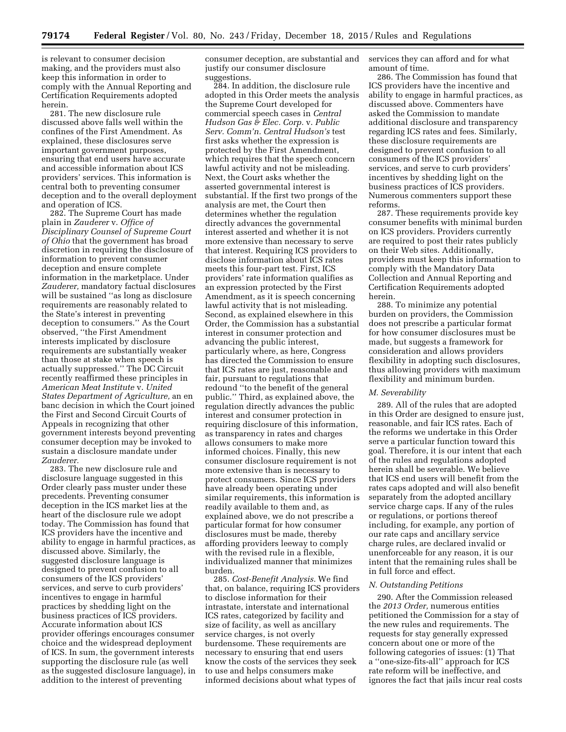is relevant to consumer decision making, and the providers must also keep this information in order to comply with the Annual Reporting and Certification Requirements adopted herein.

281. The new disclosure rule discussed above falls well within the confines of the First Amendment. As explained, these disclosures serve important government purposes, ensuring that end users have accurate and accessible information about ICS providers' services. This information is central both to preventing consumer deception and to the overall deployment and operation of ICS.

282. The Supreme Court has made plain in *Zauderer* v. *Office of Disciplinary Counsel of Supreme Court of Ohio* that the government has broad discretion in requiring the disclosure of information to prevent consumer deception and ensure complete information in the marketplace. Under *Zauderer,* mandatory factual disclosures will be sustained ''as long as disclosure requirements are reasonably related to the State's interest in preventing deception to consumers.'' As the Court observed, ''the First Amendment interests implicated by disclosure requirements are substantially weaker than those at stake when speech is actually suppressed.'' The DC Circuit recently reaffirmed these principles in *American Meat Institute* v. *United States Department of Agriculture,* an en banc decision in which the Court joined the First and Second Circuit Courts of Appeals in recognizing that other government interests beyond preventing consumer deception may be invoked to sustain a disclosure mandate under *Zauderer.* 

283. The new disclosure rule and disclosure language suggested in this Order clearly pass muster under these precedents. Preventing consumer deception in the ICS market lies at the heart of the disclosure rule we adopt today. The Commission has found that ICS providers have the incentive and ability to engage in harmful practices, as discussed above. Similarly, the suggested disclosure language is designed to prevent confusion to all consumers of the ICS providers' services, and serve to curb providers' incentives to engage in harmful practices by shedding light on the business practices of ICS providers. Accurate information about ICS provider offerings encourages consumer choice and the widespread deployment of ICS. In sum, the government interests supporting the disclosure rule (as well as the suggested disclosure language), in addition to the interest of preventing

consumer deception, are substantial and justify our consumer disclosure suggestions.

284. In addition, the disclosure rule adopted in this Order meets the analysis the Supreme Court developed for commercial speech cases in *Central Hudson Gas & Elec. Corp.* v. *Public Serv. Comm'n. Central Hudson's* test first asks whether the expression is protected by the First Amendment, which requires that the speech concern lawful activity and not be misleading. Next, the Court asks whether the asserted governmental interest is substantial. If the first two prongs of the analysis are met, the Court then determines whether the regulation directly advances the governmental interest asserted and whether it is not more extensive than necessary to serve that interest. Requiring ICS providers to disclose information about ICS rates meets this four-part test. First, ICS providers' rate information qualifies as an expression protected by the First Amendment, as it is speech concerning lawful activity that is not misleading. Second, as explained elsewhere in this Order, the Commission has a substantial interest in consumer protection and advancing the public interest, particularly where, as here, Congress has directed the Commission to ensure that ICS rates are just, reasonable and fair, pursuant to regulations that redound ''to the benefit of the general public.'' Third, as explained above, the regulation directly advances the public interest and consumer protection in requiring disclosure of this information, as transparency in rates and charges allows consumers to make more informed choices. Finally, this new consumer disclosure requirement is not more extensive than is necessary to protect consumers. Since ICS providers have already been operating under similar requirements, this information is readily available to them and, as explained above, we do not prescribe a particular format for how consumer disclosures must be made, thereby affording providers leeway to comply with the revised rule in a flexible, individualized manner that minimizes burden.

285. *Cost-Benefit Analysis.* We find that, on balance, requiring ICS providers to disclose information for their intrastate, interstate and international ICS rates, categorized by facility and size of facility, as well as ancillary service charges, is not overly burdensome. These requirements are necessary to ensuring that end users know the costs of the services they seek to use and helps consumers make informed decisions about what types of

services they can afford and for what amount of time.

286. The Commission has found that ICS providers have the incentive and ability to engage in harmful practices, as discussed above. Commenters have asked the Commission to mandate additional disclosure and transparency regarding ICS rates and fees. Similarly, these disclosure requirements are designed to prevent confusion to all consumers of the ICS providers' services, and serve to curb providers' incentives by shedding light on the business practices of ICS providers. Numerous commenters support these reforms.

287. These requirements provide key consumer benefits with minimal burden on ICS providers. Providers currently are required to post their rates publicly on their Web sites. Additionally, providers must keep this information to comply with the Mandatory Data Collection and Annual Reporting and Certification Requirements adopted herein.

288. To minimize any potential burden on providers, the Commission does not prescribe a particular format for how consumer disclosures must be made, but suggests a framework for consideration and allows providers flexibility in adopting such disclosures, thus allowing providers with maximum flexibility and minimum burden.

# *M. Severability*

289. All of the rules that are adopted in this Order are designed to ensure just, reasonable, and fair ICS rates. Each of the reforms we undertake in this Order serve a particular function toward this goal. Therefore, it is our intent that each of the rules and regulations adopted herein shall be severable. We believe that ICS end users will benefit from the rates caps adopted and will also benefit separately from the adopted ancillary service charge caps. If any of the rules or regulations, or portions thereof including, for example, any portion of our rate caps and ancillary service charge rules, are declared invalid or unenforceable for any reason, it is our intent that the remaining rules shall be in full force and effect.

#### *N. Outstanding Petitions*

290. After the Commission released the *2013 Order,* numerous entities petitioned the Commission for a stay of the new rules and requirements. The requests for stay generally expressed concern about one or more of the following categories of issues: (1) That a ''one-size-fits-all'' approach for ICS rate reform will be ineffective, and ignores the fact that jails incur real costs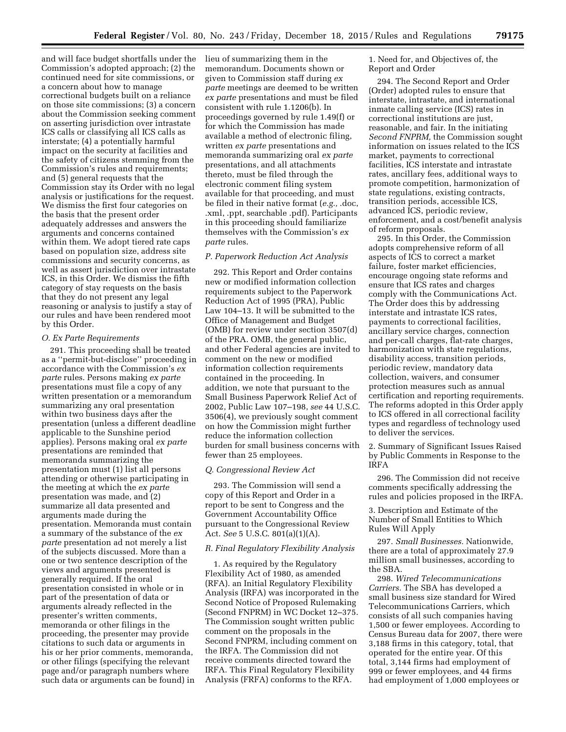and will face budget shortfalls under the Commission's adopted approach; (2) the continued need for site commissions, or a concern about how to manage correctional budgets built on a reliance on those site commissions; (3) a concern about the Commission seeking comment on asserting jurisdiction over intrastate ICS calls or classifying all ICS calls as interstate; (4) a potentially harmful impact on the security at facilities and the safety of citizens stemming from the Commission's rules and requirements; and (5) general requests that the Commission stay its Order with no legal analysis or justifications for the request. We dismiss the first four categories on the basis that the present order adequately addresses and answers the arguments and concerns contained within them. We adopt tiered rate caps based on population size, address site commissions and security concerns, as well as assert jurisdiction over intrastate ICS, in this Order. We dismiss the fifth category of stay requests on the basis that they do not present any legal reasoning or analysis to justify a stay of our rules and have been rendered moot by this Order.

#### *O. Ex Parte Requirements*

291. This proceeding shall be treated as a ''permit-but-disclose'' proceeding in accordance with the Commission's *ex parte* rules. Persons making *ex parte*  presentations must file a copy of any written presentation or a memorandum summarizing any oral presentation within two business days after the presentation (unless a different deadline applicable to the Sunshine period applies). Persons making oral *ex parte*  presentations are reminded that memoranda summarizing the presentation must (1) list all persons attending or otherwise participating in the meeting at which the *ex parte*  presentation was made, and (2) summarize all data presented and arguments made during the presentation. Memoranda must contain a summary of the substance of the *ex parte* presentation ad not merely a list of the subjects discussed. More than a one or two sentence description of the views and arguments presented is generally required. If the oral presentation consisted in whole or in part of the presentation of data or arguments already reflected in the presenter's written comments, memoranda or other filings in the proceeding, the presenter may provide citations to such data or arguments in his or her prior comments, memoranda, or other filings (specifying the relevant page and/or paragraph numbers where such data or arguments can be found) in

lieu of summarizing them in the memorandum. Documents shown or given to Commission staff during *ex parte* meetings are deemed to be written *ex parte* presentations and must be filed consistent with rule 1.1206(b). In proceedings governed by rule 1.49(f) or for which the Commission has made available a method of electronic filing, written *ex parte* presentations and memoranda summarizing oral *ex parte*  presentations, and all attachments thereto, must be filed through the electronic comment filing system available for that proceeding, and must be filed in their native format (*e.g.,* .doc, .xml, .ppt, searchable .pdf). Participants in this proceeding should familiarize themselves with the Commission's *ex parte* rules.

# *P. Paperwork Reduction Act Analysis*

292. This Report and Order contains new or modified information collection requirements subject to the Paperwork Reduction Act of 1995 (PRA), Public Law 104–13. It will be submitted to the Office of Management and Budget (OMB) for review under section 3507(d) of the PRA. OMB, the general public, and other Federal agencies are invited to comment on the new or modified information collection requirements contained in the proceeding. In addition, we note that pursuant to the Small Business Paperwork Relief Act of 2002, Public Law 107–198, *see* 44 U.S.C. 3506(4), we previously sought comment on how the Commission might further reduce the information collection burden for small business concerns with fewer than 25 employees.

## *Q. Congressional Review Act*

293. The Commission will send a copy of this Report and Order in a report to be sent to Congress and the Government Accountability Office pursuant to the Congressional Review Act. *See* 5 U.S.C. 801(a)(1)(A).

# *R. Final Regulatory Flexibility Analysis*

1. As required by the Regulatory Flexibility Act of 1980, as amended (RFA). an Initial Regulatory Flexibility Analysis (IRFA) was incorporated in the Second Notice of Proposed Rulemaking (Second FNPRM) in WC Docket 12–375. The Commission sought written public comment on the proposals in the Second FNPRM, including comment on the IRFA. The Commission did not receive comments directed toward the IRFA. This Final Regulatory Flexibility Analysis (FRFA) conforms to the RFA.

1. Need for, and Objectives of, the Report and Order

294. The Second Report and Order (Order) adopted rules to ensure that interstate, intrastate, and international inmate calling service (ICS) rates in correctional institutions are just, reasonable, and fair. In the initiating *Second FNPRM,* the Commission sought information on issues related to the ICS market, payments to correctional facilities, ICS interstate and intrastate rates, ancillary fees, additional ways to promote competition, harmonization of state regulations, existing contracts, transition periods, accessible ICS, advanced ICS, periodic review, enforcement, and a cost/benefit analysis of reform proposals.

295. In this Order, the Commission adopts comprehensive reform of all aspects of ICS to correct a market failure, foster market efficiencies, encourage ongoing state reforms and ensure that ICS rates and charges comply with the Communications Act. The Order does this by addressing interstate and intrastate ICS rates, payments to correctional facilities, ancillary service charges, connection and per-call charges, flat-rate charges, harmonization with state regulations, disability access, transition periods, periodic review, mandatory data collection, waivers, and consumer protection measures such as annual certification and reporting requirements. The reforms adopted in this Order apply to ICS offered in all correctional facility types and regardless of technology used to deliver the services.

2. Summary of Significant Issues Raised by Public Comments in Response to the IRFA

296. The Commission did not receive comments specifically addressing the rules and policies proposed in the IRFA.

3. Description and Estimate of the Number of Small Entities to Which Rules Will Apply

297. *Small Businesses.* Nationwide, there are a total of approximately 27.9 million small businesses, according to the SBA.

298. *Wired Telecommunications Carriers.* The SBA has developed a small business size standard for Wired Telecommunications Carriers, which consists of all such companies having 1,500 or fewer employees. According to Census Bureau data for 2007, there were 3,188 firms in this category, total, that operated for the entire year. Of this total, 3,144 firms had employment of 999 or fewer employees, and 44 firms had employment of 1,000 employees or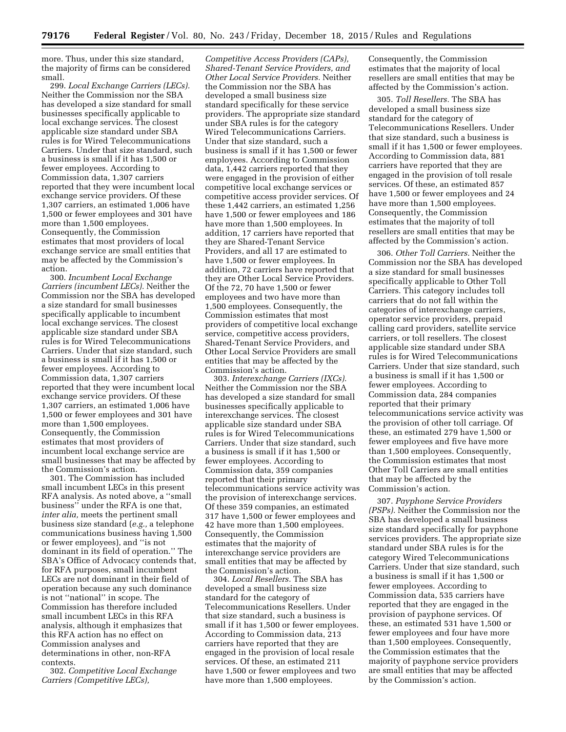more. Thus, under this size standard, the majority of firms can be considered small.

299. *Local Exchange Carriers (LECs).*  Neither the Commission nor the SBA has developed a size standard for small businesses specifically applicable to local exchange services. The closest applicable size standard under SBA rules is for Wired Telecommunications Carriers. Under that size standard, such a business is small if it has 1,500 or fewer employees. According to Commission data, 1,307 carriers reported that they were incumbent local exchange service providers. Of these 1,307 carriers, an estimated 1,006 have 1,500 or fewer employees and 301 have more than 1,500 employees. Consequently, the Commission estimates that most providers of local exchange service are small entities that may be affected by the Commission's action.

300. *Incumbent Local Exchange Carriers (incumbent LECs).* Neither the Commission nor the SBA has developed a size standard for small businesses specifically applicable to incumbent local exchange services. The closest applicable size standard under SBA rules is for Wired Telecommunications Carriers. Under that size standard, such a business is small if it has 1,500 or fewer employees. According to Commission data, 1,307 carriers reported that they were incumbent local exchange service providers. Of these 1,307 carriers, an estimated 1,006 have 1,500 or fewer employees and 301 have more than 1,500 employees. Consequently, the Commission estimates that most providers of incumbent local exchange service are small businesses that may be affected by the Commission's action.

301. The Commission has included small incumbent LECs in this present RFA analysis. As noted above, a ''small business'' under the RFA is one that, *inter alia,* meets the pertinent small business size standard (*e.g.,* a telephone communications business having 1,500 or fewer employees), and ''is not dominant in its field of operation.'' The SBA's Office of Advocacy contends that, for RFA purposes, small incumbent LECs are not dominant in their field of operation because any such dominance is not ''national'' in scope. The Commission has therefore included small incumbent LECs in this RFA analysis, although it emphasizes that this RFA action has no effect on Commission analyses and determinations in other, non-RFA contexts.

302. *Competitive Local Exchange Carriers (Competitive LECs),* 

*Competitive Access Providers (CAPs), Shared-Tenant Service Providers, and Other Local Service Providers.* Neither the Commission nor the SBA has developed a small business size standard specifically for these service providers. The appropriate size standard under SBA rules is for the category Wired Telecommunications Carriers. Under that size standard, such a business is small if it has 1,500 or fewer employees. According to Commission data, 1,442 carriers reported that they were engaged in the provision of either competitive local exchange services or competitive access provider services. Of these 1,442 carriers, an estimated 1,256 have 1,500 or fewer employees and 186 have more than 1,500 employees. In addition, 17 carriers have reported that they are Shared-Tenant Service Providers, and all 17 are estimated to have 1,500 or fewer employees. In addition, 72 carriers have reported that they are Other Local Service Providers. Of the 72, 70 have 1,500 or fewer employees and two have more than 1,500 employees. Consequently, the Commission estimates that most providers of competitive local exchange service, competitive access providers, Shared-Tenant Service Providers, and Other Local Service Providers are small entities that may be affected by the Commission's action.

303. *Interexchange Carriers (IXCs).*  Neither the Commission nor the SBA has developed a size standard for small businesses specifically applicable to interexchange services. The closest applicable size standard under SBA rules is for Wired Telecommunications Carriers. Under that size standard, such a business is small if it has 1,500 or fewer employees. According to Commission data, 359 companies reported that their primary telecommunications service activity was the provision of interexchange services. Of these 359 companies, an estimated 317 have 1,500 or fewer employees and 42 have more than 1,500 employees. Consequently, the Commission estimates that the majority of interexchange service providers are small entities that may be affected by the Commission's action.

304. *Local Resellers.* The SBA has developed a small business size standard for the category of Telecommunications Resellers. Under that size standard, such a business is small if it has 1,500 or fewer employees. According to Commission data, 213 carriers have reported that they are engaged in the provision of local resale services. Of these, an estimated 211 have 1,500 or fewer employees and two have more than 1,500 employees.

Consequently, the Commission estimates that the majority of local resellers are small entities that may be affected by the Commission's action.

305. *Toll Resellers.* The SBA has developed a small business size standard for the category of Telecommunications Resellers. Under that size standard, such a business is small if it has 1,500 or fewer employees. According to Commission data, 881 carriers have reported that they are engaged in the provision of toll resale services. Of these, an estimated 857 have 1,500 or fewer employees and 24 have more than 1,500 employees. Consequently, the Commission estimates that the majority of toll resellers are small entities that may be affected by the Commission's action.

306. *Other Toll Carriers.* Neither the Commission nor the SBA has developed a size standard for small businesses specifically applicable to Other Toll Carriers. This category includes toll carriers that do not fall within the categories of interexchange carriers, operator service providers, prepaid calling card providers, satellite service carriers, or toll resellers. The closest applicable size standard under SBA rules is for Wired Telecommunications Carriers. Under that size standard, such a business is small if it has 1,500 or fewer employees. According to Commission data, 284 companies reported that their primary telecommunications service activity was the provision of other toll carriage. Of these, an estimated 279 have 1,500 or fewer employees and five have more than 1,500 employees. Consequently, the Commission estimates that most Other Toll Carriers are small entities that may be affected by the Commission's action.

307. *Payphone Service Providers (PSPs).* Neither the Commission nor the SBA has developed a small business size standard specifically for payphone services providers. The appropriate size standard under SBA rules is for the category Wired Telecommunications Carriers. Under that size standard, such a business is small if it has 1,500 or fewer employees. According to Commission data, 535 carriers have reported that they are engaged in the provision of payphone services. Of these, an estimated 531 have 1,500 or fewer employees and four have more than 1,500 employees. Consequently, the Commission estimates that the majority of payphone service providers are small entities that may be affected by the Commission's action.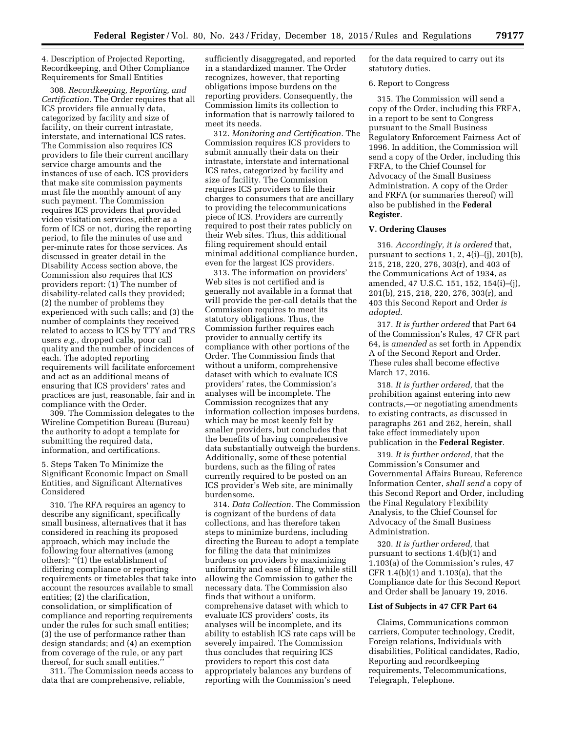4. Description of Projected Reporting, Recordkeeping, and Other Compliance Requirements for Small Entities

308. *Recordkeeping, Reporting, and Certification.* The Order requires that all ICS providers file annually data, categorized by facility and size of facility, on their current intrastate, interstate, and international ICS rates. The Commission also requires ICS providers to file their current ancillary service charge amounts and the instances of use of each. ICS providers that make site commission payments must file the monthly amount of any such payment. The Commission requires ICS providers that provided video visitation services, either as a form of ICS or not, during the reporting period, to file the minutes of use and per-minute rates for those services. As discussed in greater detail in the Disability Access section above, the Commission also requires that ICS providers report: (1) The number of disability-related calls they provided; (2) the number of problems they experienced with such calls; and (3) the number of complaints they received related to access to ICS by TTY and TRS users *e.g.,* dropped calls, poor call quality and the number of incidences of each. The adopted reporting requirements will facilitate enforcement and act as an additional means of ensuring that ICS providers' rates and practices are just, reasonable, fair and in compliance with the Order.

309. The Commission delegates to the Wireline Competition Bureau (Bureau) the authority to adopt a template for submitting the required data, information, and certifications.

5. Steps Taken To Minimize the Significant Economic Impact on Small Entities, and Significant Alternatives Considered

310. The RFA requires an agency to describe any significant, specifically small business, alternatives that it has considered in reaching its proposed approach, which may include the following four alternatives (among others): ''(1) the establishment of differing compliance or reporting requirements or timetables that take into account the resources available to small entities; (2) the clarification, consolidation, or simplification of compliance and reporting requirements under the rules for such small entities; (3) the use of performance rather than design standards; and (4) an exemption from coverage of the rule, or any part thereof, for such small entities.''

311. The Commission needs access to data that are comprehensive, reliable,

sufficiently disaggregated, and reported in a standardized manner. The Order recognizes, however, that reporting obligations impose burdens on the reporting providers. Consequently, the Commission limits its collection to information that is narrowly tailored to meet its needs.

312. *Monitoring and Certification.* The Commission requires ICS providers to submit annually their data on their intrastate, interstate and international ICS rates, categorized by facility and size of facility. The Commission requires ICS providers to file their charges to consumers that are ancillary to providing the telecommunications piece of ICS. Providers are currently required to post their rates publicly on their Web sites. Thus, this additional filing requirement should entail minimal additional compliance burden, even for the largest ICS providers.

313. The information on providers' Web sites is not certified and is generally not available in a format that will provide the per-call details that the Commission requires to meet its statutory obligations. Thus, the Commission further requires each provider to annually certify its compliance with other portions of the Order. The Commission finds that without a uniform, comprehensive dataset with which to evaluate ICS providers' rates, the Commission's analyses will be incomplete. The Commission recognizes that any information collection imposes burdens, which may be most keenly felt by smaller providers, but concludes that the benefits of having comprehensive data substantially outweigh the burdens. Additionally, some of these potential burdens, such as the filing of rates currently required to be posted on an ICS provider's Web site, are minimally burdensome.

314. *Data Collection.* The Commission is cognizant of the burdens of data collections, and has therefore taken steps to minimize burdens, including directing the Bureau to adopt a template for filing the data that minimizes burdens on providers by maximizing uniformity and ease of filing, while still allowing the Commission to gather the necessary data. The Commission also finds that without a uniform, comprehensive dataset with which to evaluate ICS providers' costs, its analyses will be incomplete, and its ability to establish ICS rate caps will be severely impaired. The Commission thus concludes that requiring ICS providers to report this cost data appropriately balances any burdens of reporting with the Commission's need

for the data required to carry out its statutory duties.

#### 6. Report to Congress

315. The Commission will send a copy of the Order, including this FRFA, in a report to be sent to Congress pursuant to the Small Business Regulatory Enforcement Fairness Act of 1996. In addition, the Commission will send a copy of the Order, including this FRFA, to the Chief Counsel for Advocacy of the Small Business Administration. A copy of the Order and FRFA (or summaries thereof) will also be published in the **Federal Register**.

# **V. Ordering Clauses**

316. *Accordingly, it is ordered* that, pursuant to sections 1, 2,  $4(i)$ –(j), 201(b), 215, 218, 220, 276, 303(r), and 403 of the Communications Act of 1934, as amended, 47 U.S.C. 151, 152, 154(i)–(j), 201(b), 215, 218, 220, 276, 303(r), and 403 this Second Report and Order *is adopted.* 

317. *It is further ordered* that Part 64 of the Commission's Rules, 47 CFR part 64, is *amended* as set forth in Appendix A of the Second Report and Order. These rules shall become effective March 17, 2016.

318. *It is further ordered,* that the prohibition against entering into new contracts,—or negotiating amendments to existing contracts, as discussed in paragraphs 261 and 262, herein, shall take effect immediately upon publication in the **Federal Register**.

319. *It is further ordered,* that the Commission's Consumer and Governmental Affairs Bureau, Reference Information Center, *shall send* a copy of this Second Report and Order, including the Final Regulatory Flexibility Analysis, to the Chief Counsel for Advocacy of the Small Business Administration.

320. *It is further ordered,* that pursuant to sections 1.4(b)(1) and 1.103(a) of the Commission's rules, 47 CFR 1.4(b)(1) and 1.103(a), that the Compliance date for this Second Report and Order shall be January 19, 2016.

#### **List of Subjects in 47 CFR Part 64**

Claims, Communications common carriers, Computer technology, Credit, Foreign relations, Individuals with disabilities, Political candidates, Radio, Reporting and recordkeeping requirements, Telecommunications, Telegraph, Telephone.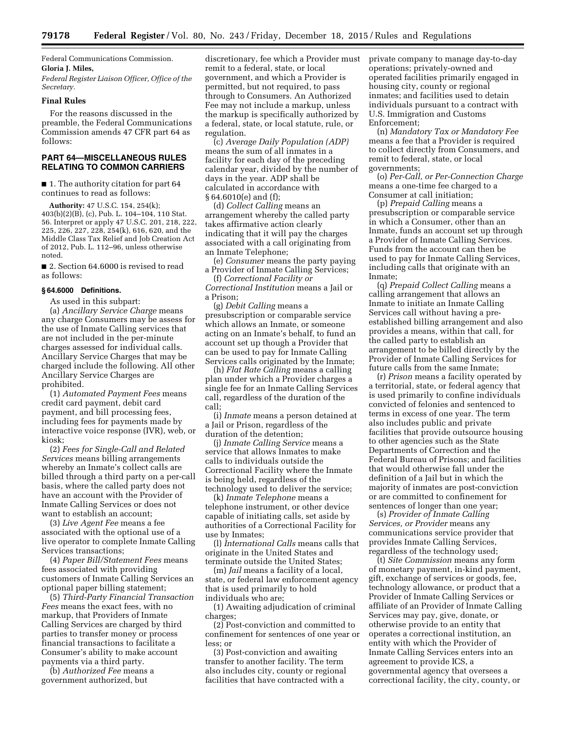Federal Communications Commission. **Gloria J. Miles,** 

*Federal Register Liaison Officer, Office of the Secretary.* 

# **Final Rules**

For the reasons discussed in the preamble, the Federal Communications Commission amends 47 CFR part 64 as follows:

# **PART 64—MISCELLANEOUS RULES RELATING TO COMMON CARRIERS**

■ 1. The authority citation for part 64 continues to read as follows:

**Authority:** 47 U.S.C. 154, 254(k); 403(b)(2)(B), (c), Pub. L. 104–104, 110 Stat. 56. Interpret or apply 47 U.S.C. 201, 218, 222, 225, 226, 227, 228, 254(k), 616, 620, and the Middle Class Tax Relief and Job Creation Act of 2012, Pub. L. 112–96, unless otherwise noted.

■ 2. Section 64.6000 is revised to read as follows:

#### **§ 64.6000 Definitions.**

As used in this subpart:

(a) *Ancillary Service Charge* means any charge Consumers may be assess for the use of Inmate Calling services that are not included in the per-minute charges assessed for individual calls. Ancillary Service Charges that may be charged include the following. All other Ancillary Service Charges are prohibited.

(1) *Automated Payment Fees* means credit card payment, debit card payment, and bill processing fees, including fees for payments made by interactive voice response (IVR), web, or kiosk;

(2) *Fees for Single-Call and Related Services* means billing arrangements whereby an Inmate's collect calls are billed through a third party on a per-call basis, where the called party does not have an account with the Provider of Inmate Calling Services or does not want to establish an account;

(3) *Live Agent Fee* means a fee associated with the optional use of a live operator to complete Inmate Calling Services transactions;

(4) *Paper Bill/Statement Fees* means fees associated with providing customers of Inmate Calling Services an optional paper billing statement;

(5) *Third-Party Financial Transaction Fees* means the exact fees, with no markup, that Providers of Inmate Calling Services are charged by third parties to transfer money or process financial transactions to facilitate a Consumer's ability to make account payments via a third party.

(b) *Authorized Fee* means a government authorized, but

discretionary, fee which a Provider must remit to a federal, state, or local government, and which a Provider is permitted, but not required, to pass through to Consumers. An Authorized Fee may not include a markup, unless the markup is specifically authorized by a federal, state, or local statute, rule, or regulation.

(c) *Average Daily Population (ADP)*  means the sum of all inmates in a facility for each day of the preceding calendar year, divided by the number of days in the year. ADP shall be calculated in accordance with § 64.6010(e) and (f);

(d) *Collect Calling* means an arrangement whereby the called party takes affirmative action clearly indicating that it will pay the charges associated with a call originating from an Inmate Telephone;

(e) *Consumer* means the party paying a Provider of Inmate Calling Services; (f) *Correctional Facility or* 

*Correctional Institution* means a Jail or a Prison;

(g) *Debit Calling* means a presubscription or comparable service which allows an Inmate, or someone acting on an Inmate's behalf, to fund an account set up though a Provider that can be used to pay for Inmate Calling Services calls originated by the Inmate;

(h) *Flat Rate Calling* means a calling plan under which a Provider charges a single fee for an Inmate Calling Services call, regardless of the duration of the call;

(i) *Inmate* means a person detained at a Jail or Prison, regardless of the duration of the detention;

(j) *Inmate Calling Service* means a service that allows Inmates to make calls to individuals outside the Correctional Facility where the Inmate is being held, regardless of the technology used to deliver the service;

(k) *Inmate Telephone* means a telephone instrument, or other device capable of initiating calls, set aside by authorities of a Correctional Facility for use by Inmates;

(l) *International Calls* means calls that originate in the United States and terminate outside the United States;

(m) *Jail* means a facility of a local, state, or federal law enforcement agency that is used primarily to hold individuals who are;

(1) Awaiting adjudication of criminal charges;

(2) Post-conviction and committed to confinement for sentences of one year or less; or

(3) Post-conviction and awaiting transfer to another facility. The term also includes city, county or regional facilities that have contracted with a

private company to manage day-to-day operations; privately-owned and operated facilities primarily engaged in housing city, county or regional inmates; and facilities used to detain individuals pursuant to a contract with U.S. Immigration and Customs Enforcement;

(n) *Mandatory Tax or Mandatory Fee*  means a fee that a Provider is required to collect directly from Consumers, and remit to federal, state, or local governments;

(o) *Per-Call, or Per-Connection Charge*  means a one-time fee charged to a Consumer at call initiation;

(p) *Prepaid Calling* means a presubscription or comparable service in which a Consumer, other than an Inmate, funds an account set up through a Provider of Inmate Calling Services. Funds from the account can then be used to pay for Inmate Calling Services, including calls that originate with an Inmate;

(q) *Prepaid Collect Calling* means a calling arrangement that allows an Inmate to initiate an Inmate Calling Services call without having a preestablished billing arrangement and also provides a means, within that call, for the called party to establish an arrangement to be billed directly by the Provider of Inmate Calling Services for future calls from the same Inmate;

(r) *Prison* means a facility operated by a territorial, state, or federal agency that is used primarily to confine individuals convicted of felonies and sentenced to terms in excess of one year. The term also includes public and private facilities that provide outsource housing to other agencies such as the State Departments of Correction and the Federal Bureau of Prisons; and facilities that would otherwise fall under the definition of a Jail but in which the majority of inmates are post-conviction or are committed to confinement for sentences of longer than one year;

(s) *Provider of Inmate Calling Services, or Provider* means any communications service provider that provides Inmate Calling Services, regardless of the technology used;

(t) *Site Commission* means any form of monetary payment, in-kind payment, gift, exchange of services or goods, fee, technology allowance, or product that a Provider of Inmate Calling Services or affiliate of an Provider of Inmate Calling Services may pay, give, donate, or otherwise provide to an entity that operates a correctional institution, an entity with which the Provider of Inmate Calling Services enters into an agreement to provide ICS, a governmental agency that oversees a correctional facility, the city, county, or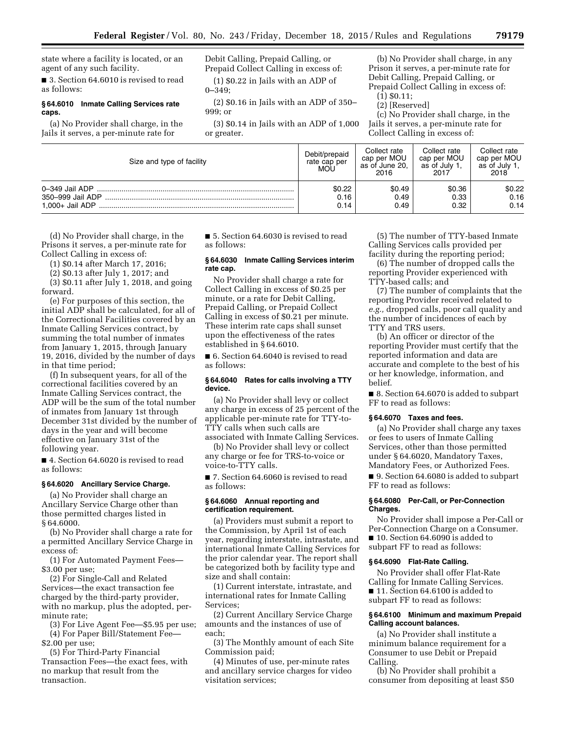state where a facility is located, or an agent of any such facility.

■ 3. Section 64.6010 is revised to read as follows:

#### **§ 64.6010 Inmate Calling Services rate caps.**

(a) No Provider shall charge, in the Jails it serves, a per-minute rate for

Debit Calling, Prepaid Calling, or Prepaid Collect Calling in excess of: (1) \$0.22 in Jails with an ADP of

0–349;

(2) \$0.16 in Jails with an ADP of 350– 999; or

(3) \$0.14 in Jails with an ADP of 1,000 or greater.

(b) No Provider shall charge, in any Prison it serves, a per-minute rate for Debit Calling, Prepaid Calling, or Prepaid Collect Calling in excess of:

(1) \$0.11;

(2) [Reserved]

(c) No Provider shall charge, in the Jails it serves, a per-minute rate for Collect Calling in excess of:

| Size and type of facility                             | Debit/prepaid<br>rate cap per<br>MOL | Collect rate<br>cap per MOU<br>as of June 20.<br>2016 | Collect rate<br>cap per MOU<br>as of July 1.<br>2017 | Collect rate<br>cap per MOU<br>as of July 1.<br>2018 |
|-------------------------------------------------------|--------------------------------------|-------------------------------------------------------|------------------------------------------------------|------------------------------------------------------|
| 0-349 Jail ADP<br>350-999 Jail ADP<br>1.000+ Jail ADP | \$0.22<br>0.16<br>0.14               | \$0.49<br>0.49<br>0.49                                | \$0.36<br>0.33<br>0.32                               | \$0.22<br>0.16<br>0.14                               |

(d) No Provider shall charge, in the Prisons it serves, a per-minute rate for Collect Calling in excess of:

(1) \$0.14 after March 17, 2016;

(2) \$0.13 after July 1, 2017; and

(3) \$0.11 after July 1, 2018, and going forward.

(e) For purposes of this section, the initial ADP shall be calculated, for all of the Correctional Facilities covered by an Inmate Calling Services contract, by summing the total number of inmates from January 1, 2015, through January 19, 2016, divided by the number of days in that time period;

(f) In subsequent years, for all of the correctional facilities covered by an Inmate Calling Services contract, the ADP will be the sum of the total number of inmates from January 1st through December 31st divided by the number of days in the year and will become effective on January 31st of the following year.

■ 4. Section 64.6020 is revised to read as follows:

### **§ 64.6020 Ancillary Service Charge.**

(a) No Provider shall charge an Ancillary Service Charge other than those permitted charges listed in § 64.6000.

(b) No Provider shall charge a rate for a permitted Ancillary Service Charge in excess of:

(1) For Automated Payment Fees— \$3.00 per use;

(2) For Single-Call and Related Services—the exact transaction fee charged by the third-party provider, with no markup, plus the adopted, perminute rate;

(3) For Live Agent Fee—\$5.95 per use; (4) For Paper Bill/Statement Fee—

\$2.00 per use; (5) For Third-Party Financial Transaction Fees—the exact fees, with no markup that result from the transaction.

■ 5. Section 64.6030 is revised to read as follows:

# **§ 64.6030 Inmate Calling Services interim rate cap.**

No Provider shall charge a rate for Collect Calling in excess of \$0.25 per minute, or a rate for Debit Calling, Prepaid Calling, or Prepaid Collect Calling in excess of \$0.21 per minute. These interim rate caps shall sunset upon the effectiveness of the rates established in § 64.6010.

■ 6. Section 64.6040 is revised to read as follows:

#### **§ 64.6040 Rates for calls involving a TTY device.**

(a) No Provider shall levy or collect any charge in excess of 25 percent of the applicable per-minute rate for TTY-to-TTY calls when such calls are associated with Inmate Calling Services.

(b) No Provider shall levy or collect any charge or fee for TRS-to-voice or voice-to-TTY calls.

■ 7. Section 64.6060 is revised to read as follows:

#### **§ 64.6060 Annual reporting and certification requirement.**

(a) Providers must submit a report to the Commission, by April 1st of each year, regarding interstate, intrastate, and international Inmate Calling Services for the prior calendar year. The report shall be categorized both by facility type and size and shall contain:

(1) Current interstate, intrastate, and international rates for Inmate Calling Services;

(2) Current Ancillary Service Charge amounts and the instances of use of each;

(3) The Monthly amount of each Site Commission paid;

(4) Minutes of use, per-minute rates and ancillary service charges for video visitation services;

(5) The number of TTY-based Inmate Calling Services calls provided per facility during the reporting period;

(6) The number of dropped calls the reporting Provider experienced with TTY-based calls; and

(7) The number of complaints that the reporting Provider received related to *e.g.,* dropped calls, poor call quality and the number of incidences of each by TTY and TRS users.

(b) An officer or director of the reporting Provider must certify that the reported information and data are accurate and complete to the best of his or her knowledge, information, and belief.

■ 8. Section 64.6070 is added to subpart FF to read as follows:

# **§ 64.6070 Taxes and fees.**

(a) No Provider shall charge any taxes or fees to users of Inmate Calling Services, other than those permitted under § 64.6020, Mandatory Taxes, Mandatory Fees, or Authorized Fees.

■ 9. Section 64.6080 is added to subpart FF to read as follows:

# **§ 64.6080 Per-Call, or Per-Connection Charges.**

No Provider shall impose a Per-Call or Per-Connection Charge on a Consumer. ■ 10. Section 64.6090 is added to subpart FF to read as follows:

#### **§ 64.6090 Flat-Rate Calling.**

No Provider shall offer Flat-Rate Calling for Inmate Calling Services. ■ 11. Section 64.6100 is added to subpart FF to read as follows:

# **§ 64.6100 Minimum and maximum Prepaid Calling account balances.**

(a) No Provider shall institute a minimum balance requirement for a Consumer to use Debit or Prepaid Calling.

(b) No Provider shall prohibit a consumer from depositing at least \$50